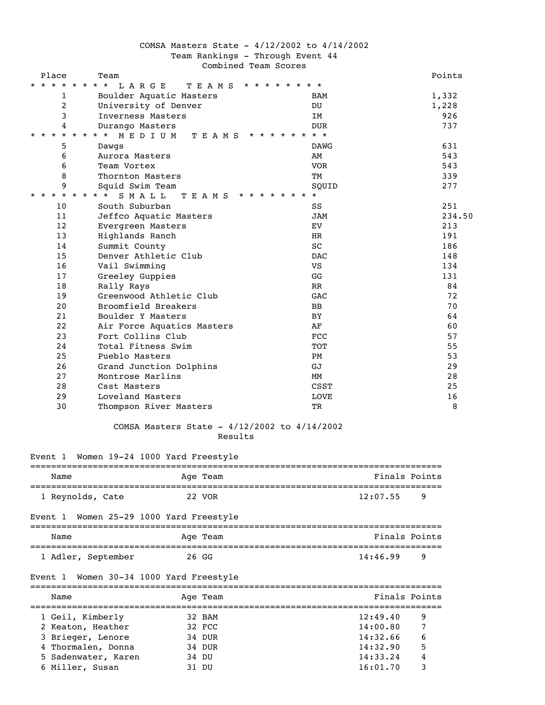# COMSA Masters State - 4/12/2002 to 4/14/2002 Team Rankings - Through Event 44 Combined Team Scores

| Place                                         | Team                                           |                      |          |               | Points |
|-----------------------------------------------|------------------------------------------------|----------------------|----------|---------------|--------|
| $\star$ $\star$<br>$\star$<br>$\star$ $\star$ | * * *<br>* * * * * * * *<br>LARGE<br>T E A M S |                      |          |               |        |
| 1                                             | Boulder Aquatic Masters                        | BAM                  |          |               | 1,332  |
| 2                                             | University of Denver                           | DU                   |          |               | 1,228  |
| 3                                             | Inverness Masters                              | IM                   |          |               | 926    |
| 4                                             | Durango Masters                                | <b>DUR</b>           |          |               | 737    |
| $\star$ $\star$<br>$\star$                    | * * * * * * * *<br>* * * *<br>MEDIUM<br>TEAMS  |                      |          |               |        |
| 5                                             | Dawgs                                          | DAWG                 |          |               | 631    |
| 6                                             | Aurora Masters                                 | AM                   |          |               | 543    |
| 6                                             | Team Vortex                                    | VOR                  |          |               | 543    |
| 8                                             | Thornton Masters                               | TМ                   |          |               | 339    |
| 9                                             | Squid Swim Team                                | SOUID                |          |               | 277    |
| * * * * * * * *                               | * * * * * * * *<br>SMALL<br>TEAMS              |                      |          |               |        |
| 10                                            | South Suburban                                 | SS                   |          |               | 251    |
| 11                                            | Jeffco Aquatic Masters                         | JAM                  |          |               | 234.50 |
| 12                                            | Evergreen Masters                              | EV                   |          |               | 213    |
| 13                                            | Highlands Ranch                                | HR                   |          |               | 191    |
| 14                                            | Summit County                                  | SC                   |          |               | 186    |
| 15                                            | Denver Athletic Club                           | <b>DAC</b>           |          |               | 148    |
| 16                                            | Vail Swimming                                  | VS                   |          |               | 134    |
| 17                                            | Greeley Guppies                                | GG                   |          |               | 131    |
| 18                                            | Rally Rays                                     | RR                   |          |               | 84     |
| 19                                            | Greenwood Athletic Club                        | GAC                  |          |               | 72     |
| 20                                            | Broomfield Breakers                            | BB                   |          |               | 70     |
| 21                                            | Boulder Y Masters                              | BY                   |          |               | 64     |
| 22                                            | Air Force Aquatics Masters                     | AF                   |          |               | 60     |
| 23                                            | Fort Collins Club                              | FCC                  |          |               | 57     |
| 24                                            | Total Fitness Swim                             | TOT                  |          |               | 55     |
| 25                                            | Pueblo Masters                                 | PM                   |          |               | 53     |
| 26                                            | Grand Junction Dolphins                        | GJ                   |          |               | 29     |
| 27                                            | Montrose Marlins                               | MМ                   |          |               | 28     |
| 28                                            | Csst Masters                                   | CSST                 |          |               | 25     |
| 29                                            | Loveland Masters                               | <b>LOVE</b>          |          |               | 16     |
| 30                                            | Thompson River Masters                         | ТR                   |          |               | 8      |
|                                               |                                                |                      |          |               |        |
|                                               | COMSA Masters State - 4/12/2002 to 4/14/2002   |                      |          |               |        |
|                                               | Results                                        |                      |          |               |        |
|                                               |                                                |                      |          |               |        |
|                                               | Event 1 Women 19-24 1000 Yard Freestyle        |                      |          |               |        |
|                                               |                                                |                      |          | Finals Points |        |
| Name                                          | Age Team<br>=================================  | -------------------- |          |               |        |
|                                               | 1 Reynolds, Cate<br>22 VOR                     |                      | 12:07.55 | 9             |        |
|                                               |                                                |                      |          |               |        |
| Event 1                                       | Women 25-29 1000 Yard Freestyle                |                      |          |               |        |
| Name                                          | ====================<br>========<br>Age Team   |                      |          | Finals Points |        |
|                                               |                                                |                      |          |               |        |
|                                               | 1 Adler, September<br>26 GG                    |                      | 14:46.99 | 9             |        |
| Event 1                                       | Women 30-34 1000 Yard Freestyle                |                      |          |               |        |
|                                               | -------------------------------                |                      |          |               |        |
| Name                                          | Age Team                                       |                      |          | Finals Points |        |

| 1 Geil, Kimberly    | 32 BAM | 12:49.40 | 9 |
|---------------------|--------|----------|---|
| 2 Keaton, Heather   | 32 FCC | 14:00.80 |   |
| 3 Brieger, Lenore   | 34 DUR | 14:32.66 | 6 |
| 4 Thormalen, Donna  | 34 DUR | 14:32.90 | 5 |
| 5 Sadenwater, Karen | 34 DU  | 14:33.24 | 4 |
| 6 Miller, Susan     | 31 DU  | 16:01.70 |   |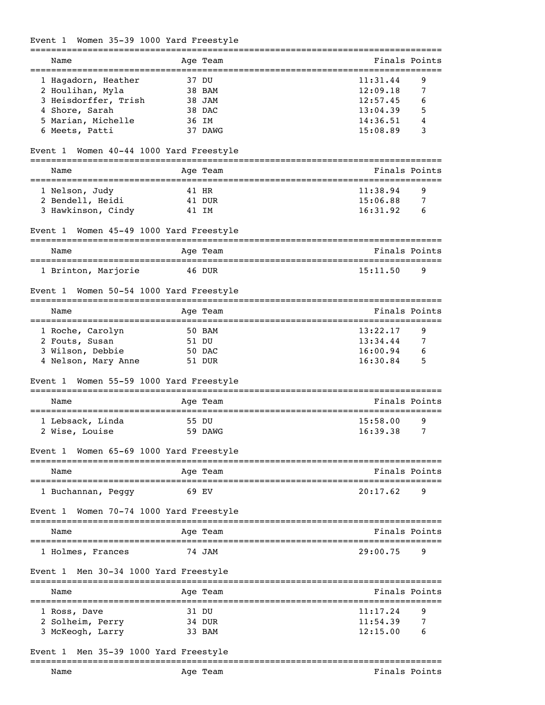# Event 1 Women 35-39 1000 Yard Freestyle

| Name                                       |                  | Age Team | Finals Points                                     |   |
|--------------------------------------------|------------------|----------|---------------------------------------------------|---|
| 1 Hagadorn, Heather                        | 37 DU            |          | 11:31.44                                          | 9 |
| 2 Houlihan, Myla                           |                  | 38 BAM   | 12:09.18                                          | 7 |
| 3 Heisdorffer, Trish                       |                  | 38 JAM   | 12:57.45                                          | 6 |
| 4 Shore, Sarah                             |                  | 38 DAC   | 13:04.39                                          | 5 |
| 5 Marian, Michelle                         | 36 IM            |          | 14:36.51                                          |   |
| 6 Meets, Patti                             |                  | 37 DAWG  | 15:08.89                                          | 3 |
| Women 40-44 1000 Yard Freestyle<br>Event 1 |                  |          |                                                   |   |
| Name                                       |                  | Age Team | Finals Points                                     |   |
| 1 Nelson, Judy                             | 41 HR            |          | 11:38.94                                          | 9 |
| 2 Bendell, Heidi                           |                  | 41 DUR   | 15:06.88                                          | 7 |
|                                            |                  |          |                                                   |   |
| 3 Hawkinson, Cindy                         | 41 IM            |          | 16:31.92                                          | 6 |
| Women 45-49 1000 Yard Freestyle<br>Event 1 |                  |          |                                                   |   |
| Name<br>===================                |                  | Age Team | Finals Points<br>================                 |   |
| 1 Brinton, Marjorie                        |                  | 46 DUR   | 15:11.50                                          | 9 |
| Women 50-54 1000 Yard Freestyle<br>Event 1 |                  |          |                                                   |   |
| Name                                       |                  | Age Team | Finals Points<br>================================ |   |
| 1 Roche, Carolyn                           |                  | 50 BAM   | 13:22.17                                          | 9 |
| 2 Fouts, Susan                             | 51 DU            |          | 13:34.44                                          | 7 |
| 3 Wilson, Debbie                           |                  | 50 DAC   | 16:00.94                                          | 6 |
| 4 Nelson, Mary Anne                        |                  | 51 DUR   | 16:30.84                                          | 5 |
| Women 55-59 1000 Yard Freestyle<br>Event 1 |                  |          |                                                   |   |
| Name                                       | =============    | Age Team | Finals Points                                     |   |
|                                            |                  |          |                                                   |   |
| 1 Lebsack, Linda                           | 55 DU            |          | 15:58.00                                          | 9 |
| 2 Wise, Louise                             |                  | 59 DAWG  | 16:39.38                                          | 7 |
| Event 1 Women 65-69 1000 Yard Freestyle    |                  |          |                                                   |   |
| Name                                       |                  | Age Team | Finals Points                                     |   |
| 1 Buchannan, Peggy                         | 69 EV            |          | 20:17.62                                          | 9 |
| Women 70-74 1000 Yard Freestyle<br>Event 1 |                  |          |                                                   |   |
| Name                                       |                  | Age Team | Finals Points                                     |   |
| 1 Holmes, Frances                          |                  | 74 JAM   | 29:00.75                                          | 9 |
| Men 30-34 1000 Yard Freestyle<br>Event 1   |                  |          |                                                   |   |
| Name                                       |                  | Age Team | Finals Points                                     |   |
| 1 Ross, Dave                               | 31 DU            |          | 11:17.24                                          | 9 |
| 2 Solheim, Perry                           | 34 DUR           |          | 11:54.39                                          | 7 |
| 3 McKeogh, Larry                           |                  | 33 BAM   | 12:15.00                                          | 6 |
|                                            |                  |          |                                                   |   |
| Men 35-39 1000 Yard Freestyle<br>Event 1   | ---------------- |          |                                                   |   |
| Name                                       |                  | Age Team | Finals Points                                     |   |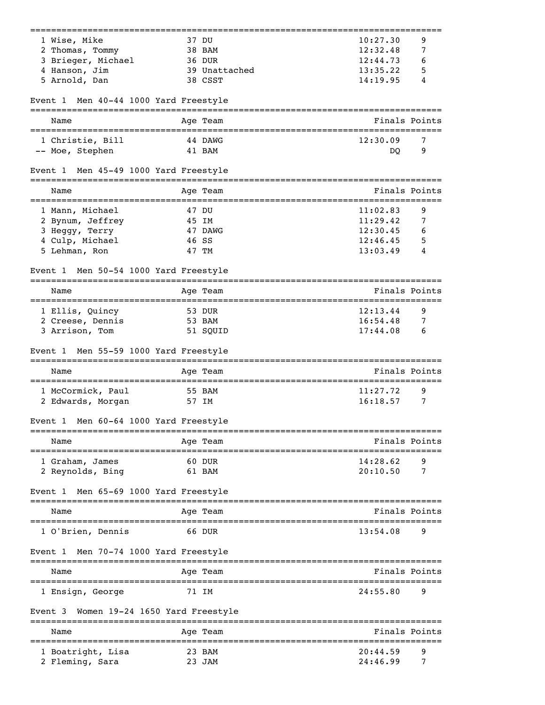| 10:27.30<br>12:32.48<br>12:44.73<br>13:35.22<br>14:19.95<br>12:30.09<br>DQ | 9<br>7<br>6<br>5<br>4<br>Finals Points<br>7 |
|----------------------------------------------------------------------------|---------------------------------------------|
|                                                                            |                                             |
|                                                                            |                                             |
|                                                                            |                                             |
|                                                                            |                                             |
|                                                                            |                                             |
|                                                                            |                                             |
|                                                                            |                                             |
|                                                                            |                                             |
|                                                                            | 9                                           |
|                                                                            |                                             |
|                                                                            | Finals Points                               |
| 11:02.83                                                                   | 9                                           |
| 11:29.42                                                                   | 7                                           |
| 12:30.45                                                                   | 6                                           |
| 12:46.45                                                                   | 5                                           |
| 13:03.49                                                                   | 4                                           |
|                                                                            |                                             |
|                                                                            | Finals Points                               |
| 12:13.44                                                                   | 9                                           |
| 16:54.48                                                                   | 7                                           |
| 17:44.08                                                                   | 6                                           |
|                                                                            |                                             |
|                                                                            | Finals Points                               |
| 11:27.72                                                                   | 9                                           |
|                                                                            | 7                                           |
|                                                                            |                                             |
|                                                                            | Finals Points                               |
| 14:28.62                                                                   | 9                                           |
| 20:10.50                                                                   | 7                                           |
|                                                                            |                                             |
|                                                                            | Finals Points                               |
| 13:54.08                                                                   | 9                                           |
|                                                                            |                                             |
|                                                                            | Finals Points                               |
| 24:55.80                                                                   | 9                                           |
|                                                                            |                                             |
|                                                                            | Finals Points                               |
|                                                                            | 9                                           |
| 24:46.99                                                                   | 7                                           |
|                                                                            | 16:18.57<br>20:44.59                        |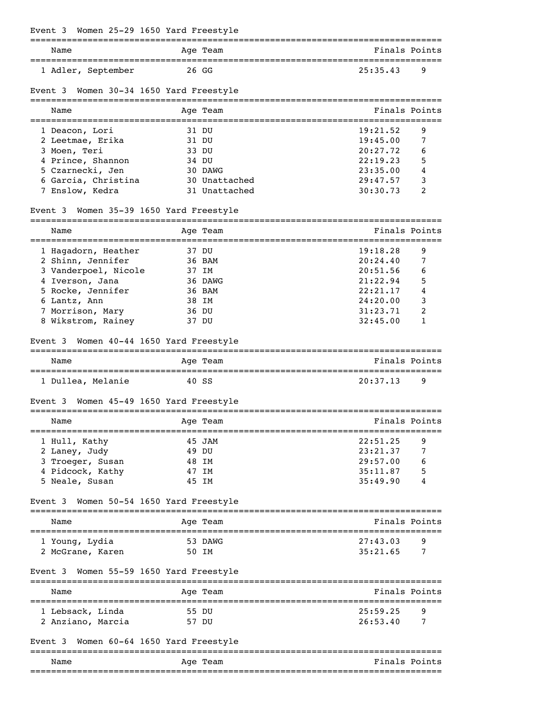| Event 3 Women 25-29 1650 Yard Freestyle                          |       |               |                                               |   |
|------------------------------------------------------------------|-------|---------------|-----------------------------------------------|---|
| ================================<br>Name                         |       | Age Team      | Finals Points                                 |   |
| 1 Adler, September                                               | 26 GG |               | 25:35.43                                      | 9 |
| Event 3<br>Women 30-34 1650 Yard Freestyle                       |       |               |                                               |   |
| Name                                                             |       | Age Team      | Finals Points                                 |   |
| 1 Deacon, Lori                                                   | 31 DU |               | 19:21.52                                      | 9 |
| 2 Leetmae, Erika                                                 | 31 DU |               | 19:45.00                                      | 7 |
| 3 Moen, Teri                                                     | 33 DU |               | 20:27.72                                      | 6 |
| 4 Prince, Shannon                                                | 34 DU |               | 22:19.23                                      | 5 |
| 5 Czarnecki, Jen                                                 |       | 30 DAWG       | 23:35.00                                      | 4 |
| 6 Garcia, Christina                                              |       | 30 Unattached | 29:47.57                                      | 3 |
| 7 Enslow, Kedra                                                  |       | 31 Unattached | 30:30.73                                      | 2 |
| Event 3 Women 35-39 1650 Yard Freestyle                          |       |               |                                               |   |
| Name<br>:==========================                              |       | Age Team      | Finals Points<br>============================ |   |
| 1 Hagadorn, Heather                                              | 37 DU |               | 19:18.28                                      | 9 |
| 2 Shinn, Jennifer                                                |       | 36 BAM        | 20:24.40                                      | 7 |
| 3 Vanderpoel, Nicole                                             | 37 IM |               | 20:51.56                                      | 6 |
| 4 Iverson, Jana                                                  |       | 36 DAWG       | 21:22.94                                      | 5 |
| 5 Rocke, Jennifer                                                |       | 36 BAM        | 22:21.17                                      | 4 |
| 6 Lantz, Ann                                                     | 38 IM |               | 24:20.00                                      | 3 |
| 7 Morrison, Mary                                                 | 36 DU |               | 31:23.71                                      | 2 |
| 8 Wikstrom, Rainey<br>Women 40-44 1650 Yard Freestyle<br>Event 3 | 37 DU |               | 32:45.00                                      | 1 |
|                                                                  |       | Age Team      | Finals Points                                 |   |
| Name                                                             |       |               |                                               |   |
| 1 Dullea, Melanie                                                | 40 SS |               | 20:37.13                                      | 9 |
| Women 45-49 1650 Yard Freestyle<br>Event 3                       |       |               |                                               |   |
| Name                                                             |       | Age Team      | Finals Points                                 |   |
| 1 Hull, Kathy                                                    |       | 45 JAM        | 22:51.25                                      | 9 |
| 2 Laney, Judy                                                    | 49 DU |               | 23:21.37                                      | 7 |
| 3 Troeger, Susan                                                 | 48 IM |               | 29:57.00                                      | 6 |
| 4 Pidcock, Kathy                                                 | 47 IM |               | 35:11.87                                      | 5 |
| 5 Neale, Susan                                                   | 45 IM |               | 35:49.90                                      | 4 |
| Women 50-54 1650 Yard Freestyle<br>Event 3                       |       |               |                                               |   |
| Name                                                             |       | Age Team      | Finals Points                                 |   |
| 1 Young, Lydia                                                   |       | 53 DAWG       | 27:43.03                                      | 9 |
| 2 McGrane, Karen                                                 | 50 IM |               | 35:21.65                                      | 7 |
| Women 55-59 1650 Yard Freestyle<br>Event 3                       |       |               |                                               |   |
| Name                                                             |       | Age Team      | Finals Points                                 |   |
| 1 Lebsack, Linda                                                 | 55 DU |               | 25:59.25                                      | 9 |
| 2 Anziano, Marcia                                                | 57 DU |               | 26:53.40                                      | 7 |
|                                                                  |       |               |                                               |   |
| Women 60-64 1650 Yard Freestyle<br>Event 3                       |       |               |                                               |   |
| Name                                                             |       | Age Team      | Finals Points                                 |   |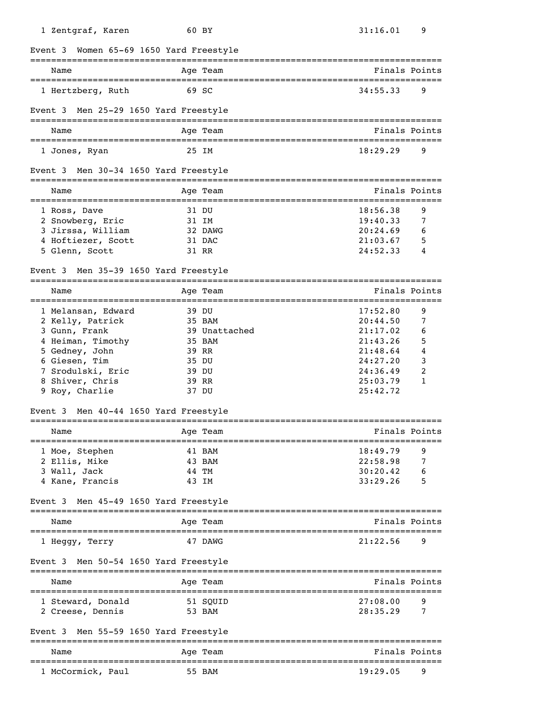| 1 Zentgraf, Karen                           | 60 BY                                        | 31:16.01             | 9                      |
|---------------------------------------------|----------------------------------------------|----------------------|------------------------|
| Women 65-69 1650 Yard Freestyle<br>Event 3  |                                              |                      |                        |
| Name                                        | Aqe Team                                     |                      | Finals Points          |
| 1 Hertzberg, Ruth                           | 69 SC                                        | 34:55.33             | 9                      |
| Event 3 Men 25-29 1650 Yard Freestyle       |                                              |                      |                        |
| Name<br>================================    | Age Team<br>================================ |                      | Finals Points          |
| 1 Jones, Ryan                               | 25 IM                                        | 18:29.29             | 9                      |
| Men 30-34 1650 Yard Freestyle<br>Event 3    |                                              |                      |                        |
| Name                                        | Age Team                                     |                      | Finals Points          |
| 1 Ross, Dave                                | 31 DU                                        | 18:56.38             | 9                      |
| 2 Snowberg, Eric                            | 31 IM                                        | 19:40.33             | 7                      |
| 3 Jirssa, William                           | 32 DAWG                                      | 20:24.69             | 6                      |
| 4 Hoftiezer, Scott                          | 31 DAC                                       | 21:03.67             | 5                      |
| 5 Glenn, Scott                              | 31 RR                                        | 24:52.33             | 4                      |
| Event 3 Men 35-39 1650 Yard Freestyle       |                                              |                      |                        |
| Name<br>=================================== | Age Team<br>===============================  |                      | Finals Points<br>===== |
| 1 Melansan, Edward                          | 39 DU                                        | 17:52.80             | 9                      |
| 2 Kelly, Patrick                            | 35 BAM                                       | 20:44.50             | 7                      |
| 3 Gunn, Frank                               | 39 Unattached                                | 21:17.02             | 6                      |
| 4 Heiman, Timothy                           | 35 BAM                                       | 21:43.26             | 5                      |
| 5 Gedney, John                              | 39 RR                                        | 21:48.64             | 4                      |
| 6 Giesen, Tim                               | 35 DU                                        | 24:27.20             | 3                      |
| 7 Srodulski, Eric                           | 39 DU                                        | 24:36.49             | 2                      |
| 8 Shiver, Chris                             | 39 RR                                        | 25:03.79             | 1                      |
| 9 Roy, Charlie                              | 37 DU                                        | 25:42.72             |                        |
| Men 40-44 1650 Yard Freestyle<br>Event 3    |                                              |                      |                        |
| Name                                        | Age Team                                     |                      | Finals Points          |
| ================<br>1 Moe, Stephen          | 41 BAM                                       | 18:49.79             | 9                      |
| 2 Ellis, Mike                               | 43 BAM                                       | 22:58.98             | 7                      |
| 3 Wall, Jack                                | 44 TM                                        | 30:20.42             |                        |
| 4 Kane, Francis                             | 43 IM                                        | 33:29.26             | 5                      |
| Event 3 Men 45-49 1650 Yard Freestyle       |                                              |                      |                        |
| Name                                        | Age Team                                     |                      | Finals Points          |
| 1 Heggy, Terry                              | 47 DAWG                                      | 21:22.56             | 9                      |
| Event 3 Men 50-54 1650 Yard Freestyle       |                                              |                      |                        |
| Name                                        | Age Team                                     |                      | Finals Points          |
|                                             |                                              |                      |                        |
| 1 Steward, Donald<br>2 Creese, Dennis       | 51 SQUID<br>53 BAM                           | 27:08.00<br>28:35.29 | 9<br>7                 |
| Men 55-59 1650 Yard Freestyle<br>Event 3    |                                              |                      |                        |
| Name                                        | Age Team                                     |                      | Finals Points          |
| 1 McCormick, Paul                           | 55 BAM                                       | 19:29.05             | 9                      |
|                                             |                                              |                      |                        |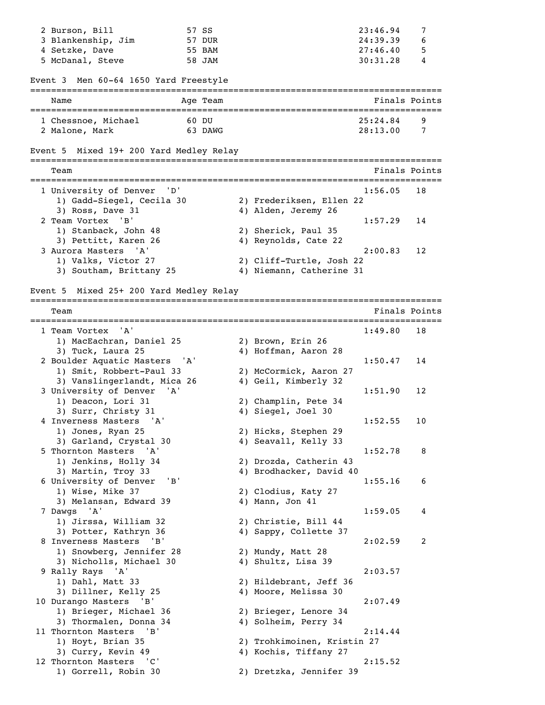| 2 Burson, Bill                                | 57 SS            |                                                      | 23:46.94                                 | 7      |
|-----------------------------------------------|------------------|------------------------------------------------------|------------------------------------------|--------|
| 3 Blankenship, Jim                            | 57 DUR           |                                                      | 24:39.39                                 | 6      |
| 4 Setzke, Dave<br>5 McDanal, Steve            | 55 BAM<br>58 JAM |                                                      | 27:46.40<br>30:31.28                     | 5<br>4 |
|                                               |                  |                                                      |                                          |        |
| Men 60-64 1650 Yard Freestyle<br>Event 3      |                  |                                                      |                                          |        |
| Name                                          | Age Team         |                                                      | Finals Points                            |        |
| 1 Chessnoe, Michael                           | 60 DU            |                                                      | 25:24.84                                 | 9      |
| 2 Malone, Mark                                | 63 DAWG          |                                                      | 28:13.00                                 | 7      |
| Event 5 Mixed 19+ 200 Yard Medley Relay       |                  |                                                      |                                          |        |
| Team                                          |                  |                                                      | Finals Points                            |        |
|                                               |                  |                                                      |                                          |        |
| 1 University of Denver                        |                  |                                                      | 1:56.05                                  | 18     |
| 1) Gadd-Siegel, Cecila 30<br>3) Ross, Dave 31 |                  | 2) Frederiksen, Ellen 22                             |                                          |        |
| 2 Team Vortex<br>'B'                          |                  | 4) Alden, Jeremy 26                                  | 1:57.29                                  | 14     |
| 1) Stanback, John 48                          |                  | 2) Sherick, Paul 35                                  |                                          |        |
| 3) Pettitt, Karen 26                          |                  | 4) Reynolds, Cate 22                                 |                                          |        |
| 3 Aurora Masters 'A'                          |                  |                                                      | 2:00.83                                  | 12     |
| 1) Valks, Victor 27                           |                  | 2) Cliff-Turtle, Josh 22                             |                                          |        |
| 3) Southam, Brittany 25                       |                  | 4) Niemann, Catherine 31                             |                                          |        |
|                                               |                  |                                                      |                                          |        |
| Event 5 Mixed 25+ 200 Yard Medley Relay       |                  |                                                      |                                          |        |
| Team                                          |                  |                                                      | =======================<br>Finals Points |        |
| 1 Team Vortex<br>'A'                          |                  |                                                      | ======================<br>1:49.80        | 18     |
| 1) MacEachran, Daniel 25                      |                  | 2) Brown, Erin 26                                    |                                          |        |
| 3) Tuck, Laura 25                             |                  | 4) Hoffman, Aaron 28                                 |                                          |        |
| 2 Boulder Aquatic Masters 'A'                 |                  |                                                      | 1:50.47                                  | 14     |
| 1) Smit, Robbert-Paul 33                      |                  | 2) McCormick, Aaron 27                               |                                          |        |
| 3) Vanslingerlandt, Mica 26                   |                  | 4) Geil, Kimberly 32                                 |                                          |        |
| 3 University of Denver                        | 'A'              |                                                      | 1:51.90                                  | 12     |
| 1) Deacon, Lori 31                            |                  | 2) Champlin, Pete 34                                 |                                          |        |
| 3) Surr, Christy 31                           |                  | 4) Siegel, Joel 30                                   |                                          |        |
| 4 Inverness Masters<br>'A'                    |                  |                                                      | 1:52.55                                  | 10     |
| 1) Jones, Ryan 25                             |                  | 2) Hicks, Stephen 29                                 |                                          |        |
| 3) Garland, Crystal 30                        |                  | 4) Seavall, Kelly 33                                 |                                          |        |
| 5 Thornton Masters<br>'A'                     |                  |                                                      | 1:52.78                                  | 8      |
| 1) Jenkins, Holly 34                          |                  | 2) Drozda, Catherin 43                               |                                          |        |
| 3) Martin, Troy 33                            |                  | 4) Brodhacker, David 40                              |                                          |        |
| 6 University of Denver                        | 'B'              |                                                      | 1:55.16                                  | 6      |
| 1) Wise, Mike 37                              |                  | 2) Clodius, Katy 27                                  |                                          |        |
| 3) Melansan, Edward 39                        |                  | 4) Mann, Jon 41                                      |                                          |        |
| 7 Dawgs 'A'                                   |                  |                                                      | 1:59.05                                  | 4      |
| 1) Jirssa, William 32                         |                  | 2) Christie, Bill 44                                 |                                          |        |
| 3) Potter, Kathryn 36                         |                  | 4) Sappy, Collette 37                                |                                          |        |
| 8 Inverness Masters 'B'                       |                  |                                                      | 2:02.59                                  | 2      |
| 1) Snowberg, Jennifer 28                      |                  | 2) Mundy, Matt 28                                    |                                          |        |
| 3) Nicholls, Michael 30                       |                  | 4) Shultz, Lisa 39                                   |                                          |        |
| 9 Rally Rays 'A'                              |                  |                                                      | 2:03.57                                  |        |
| 1) Dahl, Matt 33                              |                  | 2) Hildebrant, Jeff 36                               |                                          |        |
| 3) Dillner, Kelly 25                          |                  | 4) Moore, Melissa 30                                 |                                          |        |
| 10 Durango Masters<br>'B'                     |                  |                                                      | 2:07.49                                  |        |
| 1) Brieger, Michael 36                        |                  | 2) Brieger, Lenore 34                                |                                          |        |
| 3) Thormalen, Donna 34                        |                  | 4) Solheim, Perry 34                                 |                                          |        |
| 11 Thornton Masters<br>'B'                    |                  |                                                      | 2:14.44                                  |        |
| 1) Hoyt, Brian 35                             |                  | 2) Trohkimoinen, Kristin 27<br>4) Kochis, Tiffany 27 |                                          |        |
| 3) Curry, Kevin 49                            |                  |                                                      |                                          |        |
| 12 Thornton Masters 'C'                       |                  |                                                      | 2:15.52                                  |        |
| 1) Gorrell, Robin 30                          |                  | 2) Dretzka, Jennifer 39                              |                                          |        |
|                                               |                  |                                                      |                                          |        |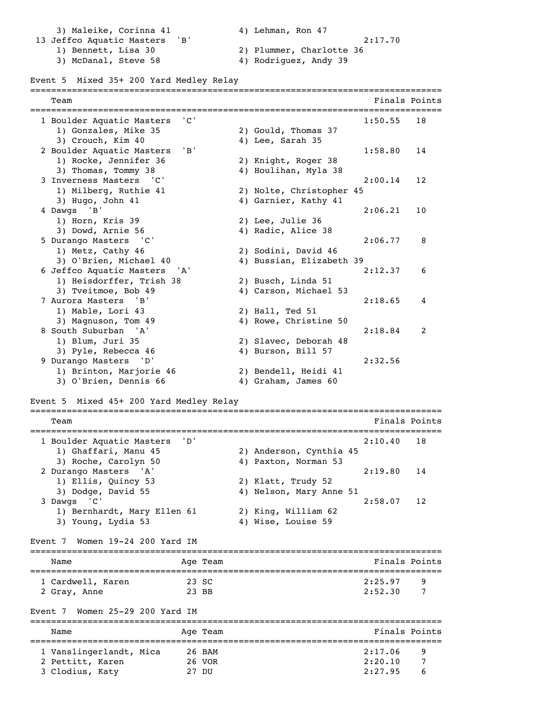3) Maleike, Corinna 41  $\hskip1cm 4$ ) Lehman, Ron 47 13 Jeffco Aquatic Masters 'B' 2:17.70 1) Bennett, Lisa 30 2) Plummer, Charlotte 36 2) Plummer, Charlotte 36<br>
3) McDanal, Steve 58 4) Rodriguez, Andy 39

# Event 5 Mixed 35+ 200 Yard Medley Relay

| Team                                                      |        |          |                                             |               | Finals Points |
|-----------------------------------------------------------|--------|----------|---------------------------------------------|---------------|---------------|
| 1 Boulder Aquatic Masters                                 | ' C '  |          |                                             | 1:50.55       | 18            |
| 1) Gonzales, Mike 35                                      |        |          | 2) Gould, Thomas 37                         |               |               |
| 3) Crouch, Kim 40                                         |        |          | 4) Lee, Sarah 35                            |               |               |
| 2 Boulder Aquatic Masters                                 | $'$ B' |          |                                             | 1:58.80       | 14            |
| 1) Rocke, Jennifer 36                                     |        |          | 2) Knight, Roger 38                         |               |               |
| 3) Thomas, Tommy 38                                       |        |          | 4) Houlihan, Myla 38                        |               |               |
| 3 Inverness Masters<br>$^{\circ}$ $^{\circ}$ C $^{\circ}$ |        |          |                                             | 2:00.14       | 12            |
| 1) Milberg, Ruthie 41                                     |        |          | 2) Nolte, Christopher 45                    |               |               |
| 3) Hugo, John 41                                          |        |          | 4) Garnier, Kathy 41                        |               |               |
| 4 Dawgs<br>'B'                                            |        |          |                                             | 2:06.21       | 10            |
| 1) Horn, Kris 39                                          |        |          | 2) Lee, Julie 36                            |               |               |
| 3) Dowd, Arnie 56                                         |        |          | 4) Radic, Alice 38                          |               |               |
| 5 Durango Masters 'C'                                     |        |          |                                             | 2:06.77       | 8             |
| 1) Metz, Cathy 46                                         |        |          | 2) Sodini, David 46                         |               |               |
| 3) O'Brien, Michael 40                                    |        |          | 4) Bussian, Elizabeth 39                    |               |               |
| 6 Jeffco Aquatic Masters                                  | 'A'    |          |                                             | 2:12.37       | 6             |
| 1) Heisdorffer, Trish 38                                  |        |          | 2) Busch, Linda 51                          |               |               |
| 3) Tveitmoe, Bob 49                                       |        |          | 4) Carson, Michael 53                       |               |               |
| 7 Aurora Masters<br>'B'                                   |        |          |                                             | 2:18.65       | 4             |
| 1) Mable, Lori 43                                         |        |          | 2) Hall, Ted 51                             |               |               |
| 3) Magnuson, Tom 49                                       |        |          | 4) Rowe, Christine 50                       |               |               |
| 8 South Suburban<br>'A'                                   |        |          |                                             | 2:18.84       | 2             |
|                                                           |        |          |                                             |               |               |
| 1) Blum, Juri 35                                          |        |          | 2) Slavec, Deborah 48                       |               |               |
| 3) Pyle, Rebecca 46                                       |        |          | 4) Burson, Bill 57                          |               |               |
| 9 Durango Masters<br>'D '                                 |        |          |                                             | 2:32.56       |               |
| 1) Brinton, Marjorie 46<br>3) O'Brien, Dennis 66          |        |          | 2) Bendell, Heidi 41<br>4) Graham, James 60 |               |               |
| Mixed 45+ 200 Yard Medley Relay<br>Event 5                |        |          |                                             |               |               |
| Team                                                      |        |          |                                             | Finals Points |               |
|                                                           |        |          |                                             |               |               |
| 1 Boulder Aquatic Masters                                 | 'ת'    |          |                                             | 2:10.40       | 18            |
| 1) Ghaffari, Manu 45                                      |        |          | 2) Anderson, Cynthia 45                     |               |               |
| 3) Roche, Carolyn 50                                      |        |          | 4) Paxton, Norman 53                        |               |               |
| 2 Durango Masters 'A'                                     |        |          |                                             | 2:19.80       | 14            |
| 1) Ellis, Quincy 53                                       |        |          | 2) Klatt, Trudy 52                          |               |               |
| 3) Dodge, David 55                                        |        |          | 4) Nelson, Mary Anne 51                     |               |               |
| . 'C'<br>3 Dawgs                                          |        |          |                                             | 2:58.07       | 12            |
| 1) Bernhardt, Mary Ellen 61                               |        |          | 2) King, William 62                         |               |               |
| 3) Young, Lydia 53                                        |        |          | 4) Wise, Louise 59                          |               |               |
| Event 7 Women 19-24 200 Yard IM                           |        |          |                                             |               |               |
|                                                           |        |          |                                             |               |               |
| Name                                                      |        | Age Team |                                             | Finals Points |               |
| 1 Cardwell, Karen                                         |        | 23 SC    |                                             | 2:25.97       | 9             |
| 2 Gray, Anne                                              |        | 23 BB    |                                             | 2:52.30       | 7             |
| Women 25-29 200 Yard IM<br>Event 7                        |        |          |                                             |               |               |
| Name                                                      |        | Age Team |                                             | Finals Points |               |
|                                                           |        |          |                                             |               |               |
| 1 Vanslingerlandt, Mica                                   |        | 26 BAM   |                                             | 2:17.06       | 9             |
| 2 Pettitt, Karen                                          |        | 26 VOR   |                                             | 2:20.10       | 7             |
| 3 Clodius, Katy                                           |        | 27 DU    |                                             | 2:27.95       | 6             |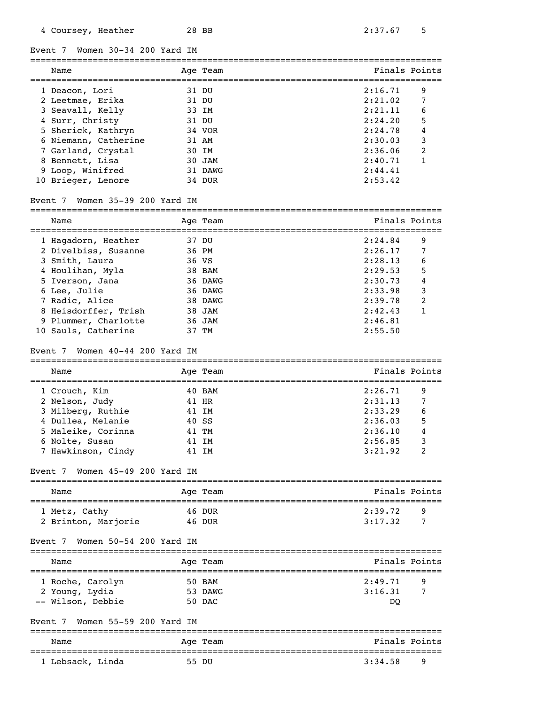Event 7 Women 30-34 200 Yard IM

| Name                               | Age Team | Finals Points |                |
|------------------------------------|----------|---------------|----------------|
| 1 Deacon, Lori                     | 31 DU    | 2:16.71       | 9              |
| 2 Leetmae, Erika                   | 31 DU    | 2:21.02       | 7              |
| 3 Seavall, Kelly                   | 33 IM    | 2:21.11       | 6              |
| 4 Surr, Christy                    | 31 DU    | 2:24.20       | 5              |
| 5 Sherick, Kathryn                 | 34 VOR   | 2:24.78       | 4              |
| 6 Niemann, Catherine               | 31 AM    | 2:30.03       | 3              |
| 7 Garland, Crystal                 | 30 IM    | 2:36.06       | $\overline{2}$ |
| 8 Bennett, Lisa                    | 30 JAM   | 2:40.71       |                |
| 9 Loop, Winifred                   | 31 DAWG  | 2:44.41       |                |
| 10 Brieger, Lenore                 | 34 DUR   | 2:53.42       |                |
| Women 35-39 200 Yard IM<br>Event 7 |          |               |                |

| Name                 | Age Team | Finals Points |   |
|----------------------|----------|---------------|---|
|                      |          |               |   |
| 1 Hagadorn, Heather  | 37 DU    | 2:24.84       | 9 |
| 2 Divelbiss, Susanne | 36 PM    | 2:26.17       | 7 |
| 3 Smith, Laura       | 36 VS    | 2:28.13       | 6 |
| 4 Houlihan, Myla     | 38 BAM   | 2:29.53       | 5 |
| 5 Iverson, Jana      | 36 DAWG  | 2:30.73       | 4 |
| 6 Lee, Julie         | 36 DAWG  | 2:33.98       | 3 |
| 7 Radic, Alice       | 38 DAWG  | 2:39.78       | 2 |
| 8 Heisdorffer, Trish | 38 JAM   | 2:42.43       | 1 |
| 9 Plummer, Charlotte | 36 JAM   | 2:46.81       |   |
| 10 Sauls, Catherine  | 37 TM    | 2:55.50       |   |

#### Event 7 Women 40-44 200 Yard IM

=============================================================================== Name Team Age Team and Team Finals Points =============================================================================== 1 Crouch, Kim 40 BAM 2:26.71 9 2 Nelson, Judy 3 Milberg, Ruthie 41 IM 2:33.29 6 4 Dullea, Melanie 40 SS 2:36.03 5<br>
5 Maleike, Corinna 41 TM 2:36.10 4<br>
6 Nolte, Susan 41 IM 2:56.85 3 5 Maleike, Corinna 41 TM 2:36.10 4 6 Nolte, Susan 41 IM 2:56.85 3 7 Hawkinson, Cindy 31 IM

# Event 7 Women 45-49 200 Yard IM

| Name                | Age Team | Finals Points |
|---------------------|----------|---------------|
| 1 Metz, Cathy       | 46 DUR   | 2:39.72<br>q  |
| 2 Brinton, Marjorie | 46 DUR   | 3:17.32       |

## Event 7 Women 50-54 200 Yard IM

| Name              | Age Team | Finals Points |   |
|-------------------|----------|---------------|---|
| 1 Roche, Carolyn  | 50 BAM   | 2:49.71       | 9 |
| 2 Young, Lydia    | 53 DAWG  | 3:16.31       |   |
| -- Wilson, Debbie | 50 DAC   | DO            |   |

# Event 7 Women 55-59 200 Yard IM

| Name | Age<br>Team | Finals Points |
|------|-------------|---------------|
|      |             |               |

1 Lebsack, Linda 55 DU 3:34.58 9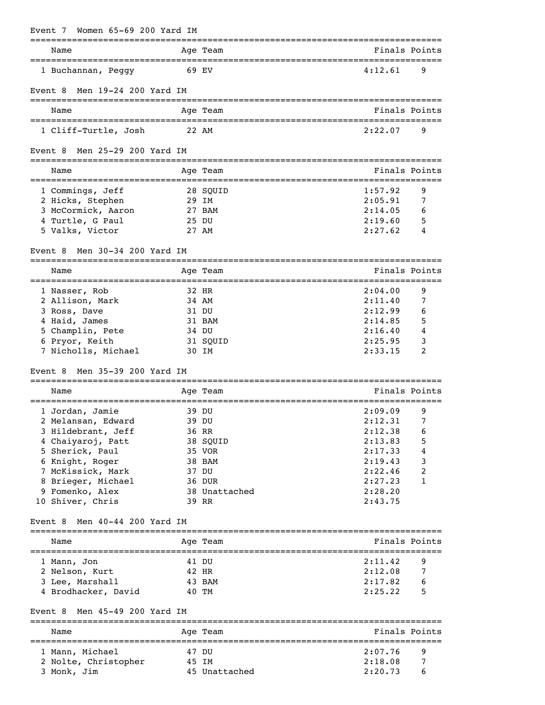| Women 65-69 200 Yard IM<br>Event 7                       |                                                   |         |               |
|----------------------------------------------------------|---------------------------------------------------|---------|---------------|
| Name                                                     | Age Team<br>===================================== |         | Finals Points |
| 1 Buchannan, Peggy                                       | 69 EV                                             | 4:12.61 | 9             |
| Men 19-24 200 Yard IM<br>Event 8                         |                                                   |         |               |
| Name                                                     | Age Team                                          |         | Finals Points |
| 1 Cliff-Turtle, Josh                                     | 22 AM                                             | 2:22.07 | 9             |
| Men 25-29 200 Yard IM<br>Event 8                         |                                                   |         |               |
| Name                                                     | Age Team                                          |         | Finals Points |
| ====================================<br>1 Commings, Jeff | 28 SQUID                                          | 1:57.92 | 9             |
| 2 Hicks, Stephen                                         | 29 IM                                             | 2:05.91 | 7             |
| 3 McCormick, Aaron                                       | 27 BAM                                            | 2:14.05 | 6             |
| 4 Turtle, G Paul                                         | 25 DU                                             | 2:19.60 | 5             |
| 5 Valks, Victor                                          | 27 AM                                             | 2:27.62 | 4             |
| Men 30-34 200 Yard IM<br>Event <sub>8</sub>              |                                                   |         |               |
| Name                                                     | Age Team<br>====================================  |         | Finals Points |
| 1 Nasser, Rob                                            | 32 HR                                             | 2:04.00 | 9             |
| 2 Allison, Mark                                          | 34 AM                                             | 2:11.40 | 7             |
| 3 Ross, Dave                                             | 31 DU                                             | 2:12.99 | 6             |
| 4 Haid, James                                            | 31 BAM                                            | 2:14.85 | 5             |
| 5 Champlin, Pete                                         | 34 DU                                             | 2:16.40 | 4             |
| 6 Pryor, Keith                                           | 31 SQUID                                          | 2:25.95 | 3             |
| 7 Nicholls, Michael                                      | 30 IM                                             | 2:33.15 | 2             |
| Men 35-39 200 Yard IM<br>Event 8                         |                                                   |         |               |
| --------------------------------------<br>Name           | Age Team                                          |         | Finals Points |
| 1 Jordan, Jamie                                          | 39 DU                                             | 2:09.09 | 9             |
| 2 Melansan, Edward                                       | 39 DU                                             | 2:12.31 | 7             |
| 3 Hildebrant, Jeff                                       | 36 RR                                             | 2:12.38 | 6             |
| 4 Chaiyaroj, Patt                                        | 38 SQUID                                          | 2:13.83 | 5             |
| 5 Sherick, Paul                                          | 35 VOR                                            | 2:17.33 | 4             |
| 6 Knight, Roger                                          | 38 BAM                                            | 2:19.43 | 3             |
| 7 McKissick, Mark                                        | 37 DU                                             | 2:22.46 | 2             |
| 8 Brieger, Michael                                       | 36 DUR                                            | 2:27.23 | 1             |
| 9 Fomenko, Alex                                          | 38 Unattached                                     | 2:28.20 |               |
| 10 Shiver, Chris                                         | 39 RR                                             | 2:43.75 |               |
| Men 40-44 200 Yard IM<br>Event 8                         |                                                   |         |               |
| Name                                                     | Age Team                                          |         | Finals Points |
| 1 Mann, Jon                                              | 41 DU                                             | 2:11.42 | 9             |
| 2 Nelson, Kurt                                           | 42 HR                                             | 2:12.08 | 7             |
| 3 Lee, Marshall                                          | 43 BAM                                            | 2:17.82 | 6             |
| 4 Brodhacker, David                                      | 40 TM                                             | 2:25.22 | 5             |
| Event 8 Men 45-49 200 Yard IM                            |                                                   |         |               |
| Name                                                     | Age Team                                          |         | Finals Points |
| 1 Mann, Michael                                          | 47 DU                                             | 2:07.76 | 9             |
| 2 Nolte, Christopher                                     | 45 IM                                             | 2:18.08 | 7             |
| 3 Monk, Jim                                              | 45 Unattached                                     | 2:20.73 | 6             |
|                                                          |                                                   |         |               |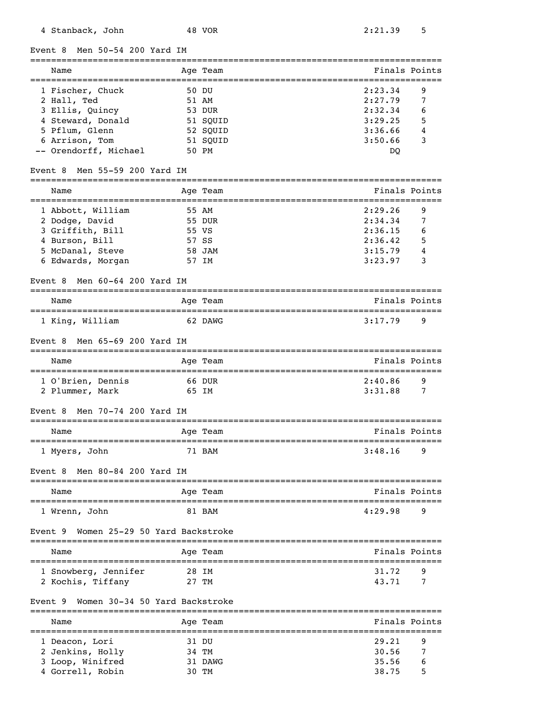$M$ on 50-54 200 Yard I

| Men 50–54 200 Yard<br>Event 8             |       |                        |         |               |
|-------------------------------------------|-------|------------------------|---------|---------------|
| Name                                      |       | Age Team               |         | Finals Points |
| 1 Fischer, Chuck                          |       | 50 DU                  | 2:23.34 | 9             |
| 2 Hall, Ted                               |       | 51 AM                  | 2:27.79 | 7             |
| 3 Ellis, Quincy                           |       | 53 DUR                 | 2:32.34 | 6             |
| 4 Steward, Donald                         |       | 51 SQUID               | 3:29.25 | 5             |
| 5 Pflum, Glenn                            |       | 52 SQUID               | 3:36.66 | 4             |
| 6 Arrison, Tom                            |       | 51 SQUID               | 3:50.66 | 3             |
| -- Orendorff, Michael                     |       | 50 PM                  | DQ      |               |
| Men 55-59 200 Yard IM<br>Event 8          |       | =========              |         |               |
| Name                                      |       | Age Team               |         | Finals Points |
| 1 Abbott, William                         | 55 AM |                        | 2:29.26 | 9             |
| 2 Dodge, David                            |       | 55 DUR                 | 2:34.34 | 7             |
| 3 Griffith, Bill                          | 55 VS |                        | 2:36.15 | 6             |
| 4 Burson, Bill                            | 57 SS |                        | 2:36.42 | 5             |
| 5 McDanal, Steve                          |       | 58 JAM                 | 3:15.79 |               |
| 6 Edwards, Morgan                         |       | 57 IM                  | 3:23.97 | 3             |
| Men 60-64 200 Yard IM<br>Event 8          |       |                        |         |               |
| Name                                      |       | Age Team               |         | Finals Points |
| 1 King, William                           |       | 62 DAWG                | 3:17.79 | 9             |
| Men 65-69 200 Yard IM<br>Event 8          |       |                        |         |               |
| Name                                      |       | Age Team               |         | Finals Points |
| 1 O'Brien, Dennis                         |       | 66 DUR                 | 2:40.86 | 9             |
| 2 Plummer, Mark                           | 65 IM |                        | 3:31.88 | 7             |
| Men 70-74 200 Yard IM<br>Event 8          |       |                        |         |               |
| Name                                      |       | Age Team               |         | Finals Points |
| 1 Myers, John                             |       | 71 BAM                 | 3:48.16 | 9             |
| Men 80-84 200 Yard IM<br>Event 8          |       |                        |         |               |
| Name                                      |       | Age Team               |         | Finals Points |
| 1 Wrenn, John                             |       | 81 BAM                 | 4:29.98 | 9             |
| Women 25-29 50 Yard Backstroke<br>Event 9 |       |                        |         |               |
| Name                                      |       | Age Team               |         | Finals Points |
| 1 Snowberg, Jennifer                      |       | 28 IM                  | 31.72   | 9             |
| 2 Kochis, Tiffany                         |       | 27 TM                  | 43.71   | 7             |
| Women 30-34 50 Yard Backstroke<br>Event 9 |       |                        |         |               |
| Name                                      |       | ==========<br>Age Team |         | Finals Points |
| 1 Deacon, Lori                            | 31 DU |                        | 29.21   | 9             |
| 2 Jenkins, Holly                          | 34 TM |                        | 30.56   | 7             |

 3 Loop, Winifred 31 DAWG 35.56 6 4 Gorrell, Robin 30 TM 38.75 5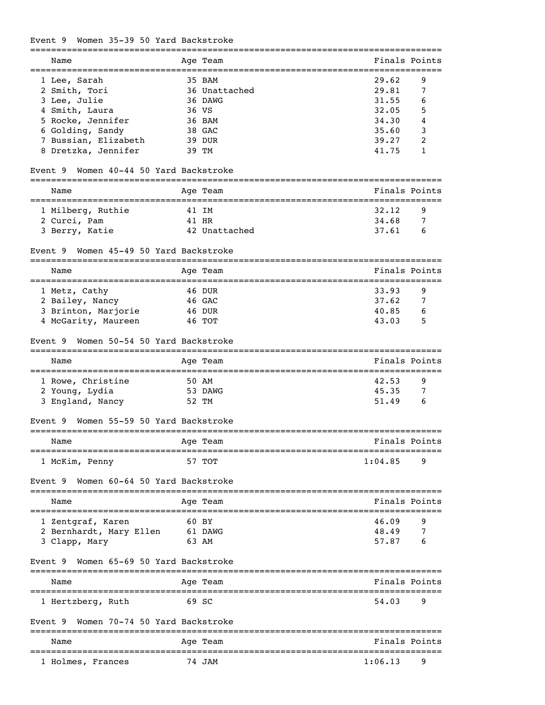# Event 9 Women 35-39 50 Yard Backstroke

| Name                                                                               | Age Team                                                   |         | Finals Points |
|------------------------------------------------------------------------------------|------------------------------------------------------------|---------|---------------|
| 1 Lee, Sarah                                                                       | 35 BAM                                                     | 29.62   | 9             |
| 2 Smith, Tori                                                                      | 36 Unattached                                              | 29.81   | 7             |
| 3 Lee, Julie                                                                       | 36 DAWG                                                    | 31.55   | 6             |
| 4 Smith, Laura                                                                     | 36 VS                                                      | 32.05   | 5             |
| 5 Rocke, Jennifer                                                                  | 36 BAM                                                     | 34.30   | 4             |
| 6 Golding, Sandy                                                                   | 38 GAC                                                     | 35.60   | 3             |
| 7 Bussian, Elizabeth                                                               | 39 DUR                                                     | 39.27   | 2             |
| 8 Dretzka, Jennifer                                                                | 39 TM                                                      | 41.75   | 1             |
| Women 40-44 50 Yard Backstroke<br>Event 9                                          |                                                            |         |               |
| Name                                                                               | Age Team                                                   |         | Finals Points |
| ==================================<br>1 Milberg, Ruthie                            | =====================================<br>41 IM             | 32.12   | 9             |
| 2 Curci, Pam                                                                       | 41 HR                                                      | 34.68   | 7             |
| 3 Berry, Katie                                                                     | 42 Unattached                                              | 37.61   | 6             |
| Women 45-49 50 Yard Backstroke<br>Event 9<br>===================================== |                                                            |         |               |
| Name                                                                               | Age Team                                                   |         | Finals Points |
| =======================<br>1 Metz, Cathy                                           | ===================<br>=========================<br>46 DUR | 33.93   | 9             |
| 2 Bailey, Nancy                                                                    | 46 GAC                                                     | 37.62   | 7             |
| 3 Brinton, Marjorie                                                                | 46 DUR                                                     | 40.85   | 6             |
| 4 McGarity, Maureen                                                                | 46 TOT                                                     | 43.03   | 5             |
| Women 50-54 50 Yard Backstroke<br>Event 9                                          |                                                            |         |               |
| Name                                                                               | Age Team                                                   |         | Finals Points |
| ===================================<br>1 Rowe, Christine                           | ==========================<br>50 AM                        | 42.53   | 9             |
| 2 Young, Lydia                                                                     | 53 DAWG                                                    | 45.35   | 7             |
| 3 England, Nancy                                                                   | 52 TM                                                      | 51.49   | 6             |
| Women 55-59 50 Yard Backstroke<br>Event 9                                          |                                                            |         |               |
| Name                                                                               | Age Team                                                   |         | Finals Points |
| 1 McKim, Penny                                                                     | 57 TOT                                                     | 1:04.85 | 9             |
| Women 60-64 50 Yard Backstroke<br>Event 9                                          |                                                            |         |               |
| Name                                                                               | Age Team                                                   |         | Finals Points |
| 1 Zentgraf, Karen                                                                  | 60 BY                                                      | 46.09   | 9             |
| 2 Bernhardt, Mary Ellen 61 DAWG                                                    |                                                            | 48.49   | 7             |
| 3 Clapp, Mary                                                                      | 63 AM                                                      | 57.87   | 6             |
| Women 65-69 50 Yard Backstroke<br>Event 9                                          |                                                            |         |               |
| Name                                                                               | Age Team                                                   |         | Finals Points |
| 1 Hertzberg, Ruth                                                                  | 69 SC                                                      | 54.03   | 9             |
| Women 70-74 50 Yard Backstroke<br>Event 9                                          |                                                            |         |               |
| Name                                                                               | ==============<br>Age Team                                 |         | Finals Points |
| 1 Holmes, Frances                                                                  | 74 JAM                                                     | 1:06.13 | 9             |
|                                                                                    |                                                            |         |               |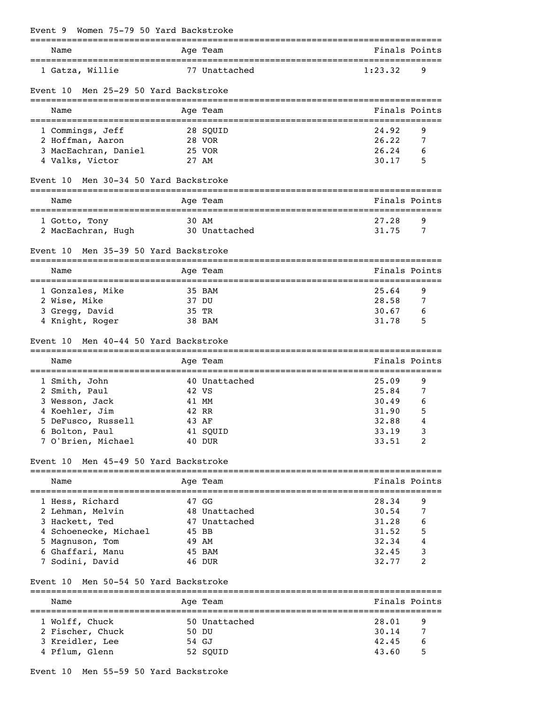| Women 75-79 50 Yard Backstroke<br>Event 9      |       |                      |                                                       |
|------------------------------------------------|-------|----------------------|-------------------------------------------------------|
| ======================================<br>Name |       | Age Team             | ____________________________________<br>Finals Points |
| 1 Gatza, Willie                                |       | 77 Unattached        | 1:23.32<br>9                                          |
| Men 25-29 50 Yard Backstroke<br>Event 10       |       |                      |                                                       |
| Name                                           |       | Age Team             | Finals Points                                         |
| 1 Commings, Jeff                               |       | 28 SQUID             | 24.92<br>9                                            |
| 2 Hoffman, Aaron                               |       | 28 VOR               | 26.22<br>7                                            |
| 3 MacEachran, Daniel                           |       | 25 VOR               | 26.24<br>6                                            |
| 4 Valks, Victor                                |       | 27 AM                | 30.17<br>5                                            |
| Men 30-34 50 Yard Backstroke<br>Event 10       |       |                      |                                                       |
| Name                                           |       | Age Team             | Finals Points                                         |
| 1 Gotto, Tony                                  |       | 30 AM                | 27.28<br>9                                            |
| 2 MacEachran, Hugh                             |       | 30 Unattached        | 31.75<br>7                                            |
| Men 35-39 50 Yard Backstroke<br>Event 10       |       |                      |                                                       |
| Name                                           |       | Age Team             | Finals Points                                         |
| ======================                         |       | .=================== | =================================                     |
| 1 Gonzales, Mike                               |       | 35 BAM               | 9<br>25.64<br>28.58                                   |
| 2 Wise, Mike                                   | 35 TR | 37 DU                | 7<br>30.67<br>6                                       |
| 3 Gregg, David<br>4 Knight, Roger              |       | 38 BAM               | 31.78<br>5                                            |
|                                                |       |                      |                                                       |
| Men 40-44 50 Yard Backstroke<br>Event 10       |       |                      |                                                       |
| Name                                           |       | Age Team             | Finals Points                                         |
| 1 Smith, John                                  |       | 40 Unattached        | 25.09<br>9                                            |
| 2 Smith, Paul                                  |       | 42 VS                | 25.84<br>7                                            |
| 3 Wesson, Jack                                 |       | 41 MM                | 30.49<br>6                                            |
| 4 Koehler, Jim                                 |       | 42 RR                | 31.90<br>5                                            |
| 5 DeFusco, Russell                             |       | 43 AF                | 32.88<br>4                                            |
| 6 Bolton, Paul                                 |       | 41 SQUID             | 33.19<br>3                                            |
| 7 O'Brien, Michael                             |       | 40 DUR               | 33.51<br>2                                            |
| Event 10 Men 45-49 50 Yard Backstroke          |       |                      |                                                       |
| Name                                           |       | Age Team             | Finals Points                                         |
| 1 Hess, Richard                                |       | 47 GG                | 28.34<br>9                                            |
| 2 Lehman, Melvin                               |       | 48 Unattached        | 30.54<br>7                                            |
| 3 Hackett, Ted                                 |       | 47 Unattached        | 31.28<br>6                                            |
| 4 Schoenecke, Michael                          |       | 45 BB                | 31.52<br>5                                            |
| 5 Magnuson, Tom                                |       | 49 AM                | 32.34<br>4                                            |
| 6 Ghaffari, Manu                               |       | 45 BAM               | 32.45<br>3                                            |
| 7 Sodini, David                                |       | 46 DUR               | 32.77<br>2                                            |
| Men 50-54 50 Yard Backstroke<br>Event 10       |       |                      |                                                       |
| Name                                           |       | Age Team             | Finals Points                                         |
| 1 Wolff, Chuck                                 |       | 50 Unattached        | 28.01<br>9                                            |
| 2 Fischer, Chuck                               |       | 50 DU                | 30.14<br>7                                            |
| 3 Kreidler, Lee                                |       | 54 GJ                | 42.45<br>6                                            |
| 4 Pflum, Glenn                                 |       | 52 SQUID             | 43.60<br>5                                            |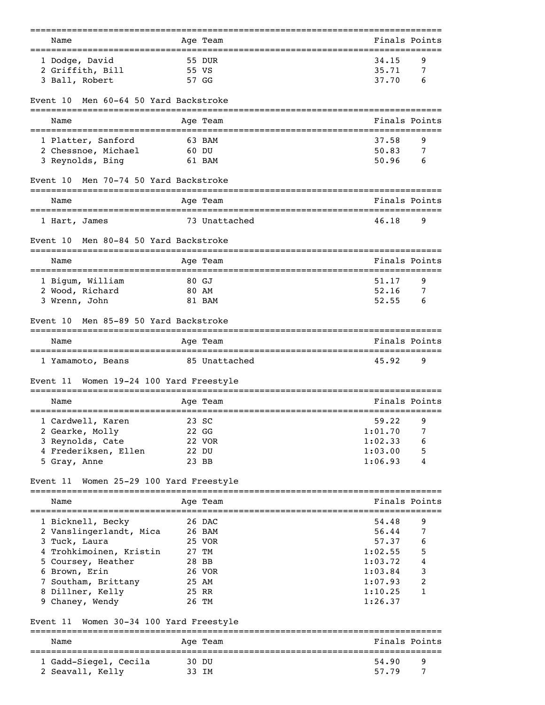| Name                                       | Age Team             | Finals Points                |
|--------------------------------------------|----------------------|------------------------------|
| 1 Dodge, David                             | 55 DUR               | 34.15<br>9                   |
| 2 Griffith, Bill                           | 55 VS                | 35.71<br>7                   |
| 3 Ball, Robert                             | 57 GG                | 37.70<br>6                   |
| Men 60-64 50 Yard Backstroke<br>Event 10   |                      |                              |
| Name                                       | Age Team             | Finals Points                |
| 1 Platter, Sanford                         | 63 BAM               | 37.58<br>9                   |
| 2 Chessnoe, Michael                        | 60 DU                | 50.83<br>7                   |
| 3 Reynolds, Bing                           | 61 BAM               | 50.96<br>6                   |
| Men 70-74 50 Yard Backstroke<br>Event 10   | -----------          |                              |
| Name                                       | Age Team             | Finals Points                |
| 1 Hart, James                              | 73 Unattached        | 46.18<br>9                   |
| Men 80-84 50 Yard Backstroke<br>Event 10   |                      |                              |
| Name                                       | Age Team             | Finals Points                |
| 1 Bigum, William                           | 80 GJ                | 51.17<br>9                   |
| 2 Wood, Richard                            | 80 AM                | 52.16<br>7                   |
| 3 Wrenn, John                              | 81 BAM               | 52.55<br>6                   |
| Men 85-89 50 Yard Backstroke<br>Event 10   |                      |                              |
| Name                                       | Age Team             | Finals Points                |
| 1 Yamamoto, Beans                          | 85 Unattached        | 9<br>45.92                   |
| Women 19-24 100 Yard Freestyle<br>Event 11 |                      |                              |
| Name                                       | Age Team             | Finals Points                |
| 1 Cardwell, Karen                          | :==========<br>23 SC | --------------<br>59.22<br>9 |
| 2 Gearke, Molly                            | 22 GG                | 1:01.70<br>7                 |
| 3 Reynolds, Cate                           | 22 VOR               | 1:02.33<br>6                 |
| 4 Frederiksen, Ellen                       | 22 DU                | 1:03.00<br>5                 |
| 5 Gray, Anne                               | 23 BB                | 1:06.93<br>4                 |
| Event 11<br>Women 25-29 100 Yard Freestyle |                      |                              |
| Name                                       | Age Team             | Finals Points                |
| 1 Bicknell, Becky                          | 26 DAC               | 54.48<br>9                   |
| 2 Vanslingerlandt, Mica                    | 26 BAM               | 56.44<br>7                   |
| 3 Tuck, Laura                              | 25 VOR               | 57.37<br>6                   |
| 4 Trohkimoinen, Kristin                    | 27 TM                | 1:02.55<br>5                 |
| 5 Coursey, Heather                         | 28 BB                | 4<br>1:03.72                 |
| 6 Brown, Erin                              | 26 VOR               | 3<br>1:03.84                 |
| 7 Southam, Brittany                        | 25 AM                | 2<br>1:07.93                 |
| 8 Dillner, Kelly<br>9 Chaney, Wendy        | 25 RR<br>26 TM       | 1:10.25<br>1<br>1:26.37      |
|                                            |                      |                              |
| Women 30-34 100 Yard Freestyle<br>Event 11 | =======              |                              |
| Name                                       | Age Team             | Finals Points                |
| 1 Gadd-Siegel, Cecila                      | 30 DU                | 54.90<br>9                   |
| 2 Seavall, Kelly                           | 33 IM                | 57.79<br>7                   |
|                                            |                      |                              |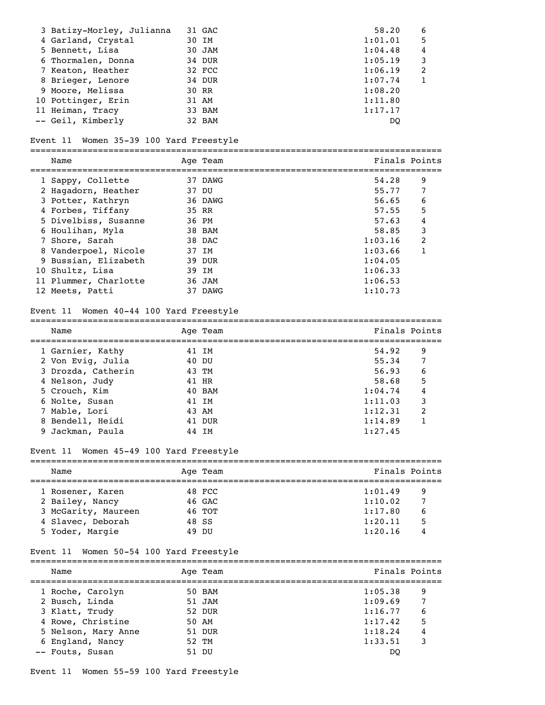| 3 Batizy-Morley, Julianna | 31 GAC | 58.20   | 6 |
|---------------------------|--------|---------|---|
| 4 Garland, Crystal        | 30 IM  | 1:01.01 | 5 |
| 5 Bennett, Lisa           | 30 JAM | 1:04.48 | 4 |
| 6 Thormalen, Donna        | 34 DUR | 1:05.19 | 3 |
| 7 Keaton, Heather         | 32 FCC | 1:06.19 | 2 |
| 8 Brieger, Lenore         | 34 DUR | 1:07.74 |   |
| 9 Moore, Melissa          | 30 RR  | 1:08.20 |   |
| 10 Pottinger, Erin        | 31 AM  | 1:11.80 |   |
| 11 Heiman, Tracy          | 33 BAM | 1:17.17 |   |
| -- Geil, Kimberly         | 32 BAM | DO      |   |

#### Event 11 Women 35-39 100 Yard Freestyle

===============================================================================

| Name                  |       | Age Team | Finals Points |               |
|-----------------------|-------|----------|---------------|---------------|
| 1 Sappy, Collette     |       | 37 DAWG  | 54.28         | 9             |
| 2 Hagadorn, Heather   | 37 DU |          | 55.77         | 7             |
| 3 Potter, Kathryn     |       | 36 DAWG  | 56.65         | 6             |
| 4 Forbes, Tiffany     | 35 RR |          | 57.55         | 5             |
| 5 Divelbiss, Susanne  | 36 PM |          | 57.63         | 4             |
| 6 Houlihan, Myla      |       | 38 BAM   | 58.85         | 3             |
| 7 Shore, Sarah        |       | 38 DAC   | 1:03.16       | $\mathcal{L}$ |
| 8 Vanderpoel, Nicole  |       | 37 IM    | 1:03.66       |               |
| 9 Bussian, Elizabeth  |       | 39 DUR   | 1:04.05       |               |
| 10 Shultz, Lisa       |       | 39 IM    | 1:06.33       |               |
| 11 Plummer, Charlotte |       | 36 JAM   | 1:06.53       |               |
| 12 Meets, Patti       |       | 37 DAWG  | 1:10.73       |               |

## Event 11 Women 40-44 100 Yard Freestyle

Name Age Team Age Team Finals Points =============================================================================== 1 Garnier, Kathy **41 IM** 54.92 9 2 Von Evig, Julia 40 DU 55.34 7 3 Drozda, Catherin 43 TM 56.93 6 3 Drozda, Catherin 43 TM 56.93 6<br>
4 Nelson, Judy 41 HR 58.68 5<br>
5 Crouch, Kim 40 BAM 1:04.74 4 5 Crouch, Kim 6 Nolte, Susan 41 IM 1:11.03 3 7 Mable, Lori 43 AM 1:12.31 2 1 Mable, Lori 43 AM 1:12.31 2<br>
8 Bendell, Heidi 41 DUR 1:14.89 1<br>
9 Jackman, Paula 44 IM 1:27.45 9 Jackman, Paula 44 IM 1:27.45

===============================================================================

## Event 11 Women 45-49 100 Yard Freestyle

|  | Name                |       | Age Team | Finals Points |   |
|--|---------------------|-------|----------|---------------|---|
|  | 1 Rosener, Karen    |       | 48 FCC   | 1:01.49       | 9 |
|  | 2 Bailey, Nancy     |       | 46 GAC   | 1:10.02       | 7 |
|  | 3 McGarity, Maureen |       | 46 TOT   | 1:17.80       | 6 |
|  | 4 Slavec, Deborah   | 48 SS |          | 1:20.11       | 5 |
|  | 5 Yoder, Margie     |       | 49 DU    | 1:20.16       | 4 |

# Event 11 Women 50-54 100 Yard Freestyle

| Name                | Age Team | Finals Points |                 |
|---------------------|----------|---------------|-----------------|
|                     |          |               |                 |
| 1 Roche, Carolyn    | 50 BAM   | 1:05.38       | 9               |
| 2 Busch, Linda      | 51 JAM   | 1:09.69       | $7\phantom{.0}$ |
| 3 Klatt, Trudy      | 52 DUR   | 1:16.77       | 6               |
| 4 Rowe, Christine   | 50 AM    | 1:17.42       | 5               |
| 5 Nelson, Mary Anne | 51 DUR   | 1:18.24       | 4               |
| 6 England, Nancy    | 52 TM    | 1:33.51       | 3               |
| -- Fouts, Susan     | 51 DU    | DO            |                 |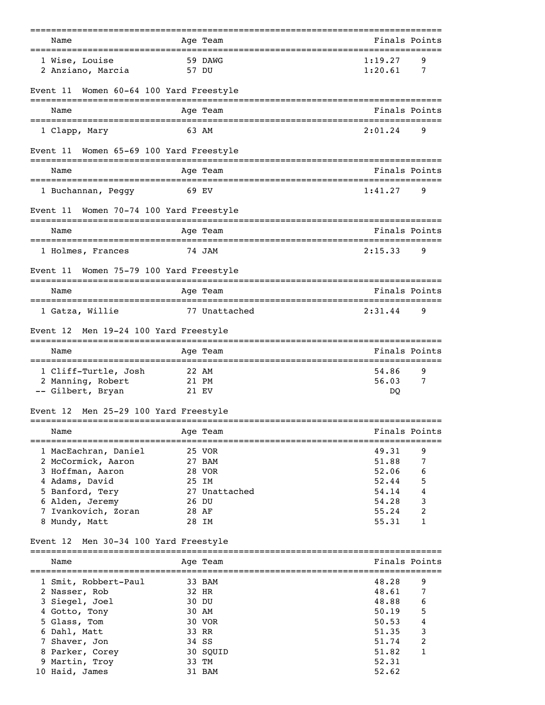| Name                                                   |       | =========<br>Age Team    | =============================== | Finals Points |
|--------------------------------------------------------|-------|--------------------------|---------------------------------|---------------|
| ==============================                         |       |                          | ---------                       |               |
| 1 Wise, Louise<br>2 Anziano, Marcia                    | 57 DU | 59 DAWG                  | 1:19.27<br>1:20.61              | 9<br>7        |
| Women 60-64 100 Yard Freestyle<br>Event 11             |       |                          |                                 |               |
| Name                                                   |       | Age Team                 |                                 | Finals Points |
| 1 Clapp, Mary                                          |       | 63 AM                    | 2:01.24                         | 9             |
| Women 65-69 100 Yard Freestyle<br>Event 11             |       |                          |                                 |               |
| Name                                                   |       | Age Team                 |                                 | Finals Points |
| 1 Buchannan, Peggy                                     | 69 EV |                          | 1:41.27                         | 9             |
| Event 11 Women 70-74 100 Yard Freestyle                |       |                          |                                 |               |
| Name                                                   |       | Age Team                 |                                 | Finals Points |
| 1 Holmes, Frances                                      |       | 74 JAM                   | 2:15.33                         | 9             |
| Women 75-79 100 Yard Freestyle<br>Event 11             |       |                          |                                 |               |
| Name                                                   |       | Age Team                 |                                 | Finals Points |
| 1 Gatza, Willie                                        |       | 77 Unattached            | 2:31.44                         | 9             |
| Men 19-24 100 Yard Freestyle<br>Event 12               |       |                          |                                 |               |
| Name                                                   |       | Age Team                 |                                 | Finals Points |
| 1 Cliff-Turtle, Josh                                   | 22 AM |                          | 54.86                           | 9             |
| 2 Manning, Robert<br>-- Gilbert, Bryan                 | 21 PM | 21 EV                    | 56.03<br>DO.                    | 7             |
| Men 25-29 100 Yard Freestyle<br>Event 12               |       |                          |                                 |               |
| ================================<br>Name               |       | ============<br>Age Team |                                 | Finals Points |
| ==============================<br>1 MacEachran, Daniel |       | 25 VOR                   | :=====================<br>49.31 | 9             |
| 2 McCormick, Aaron                                     |       | 27 BAM                   | 51.88                           | 7             |
| 3 Hoffman, Aaron                                       |       | 28 VOR                   | 52.06                           | 6             |
| 4 Adams, David                                         |       | 25 IM                    | 52.44<br>54.14                  | 5             |
| 5 Banford, Tery<br>6 Alden, Jeremy                     |       | 27 Unattached<br>26 DU   | 54.28                           | 4<br>3        |
| 7 Ivankovich, Zoran                                    |       | 28 AF                    | 55.24                           | 2             |
| 8 Mundy, Matt                                          |       | 28 IM                    | 55.31                           | 1             |
| Event 12 Men 30-34 100 Yard Freestyle                  |       |                          |                                 |               |
| Name                                                   |       | Age Team                 |                                 | Finals Points |
| 1 Smit, Robbert-Paul                                   |       | 33 BAM                   | 48.28                           | 9             |
| 2 Nasser, Rob                                          |       | 32 HR                    | 48.61                           | 7             |
| 3 Siegel, Joel                                         |       | 30 DU                    | 48.88                           | 6             |
| 4 Gotto, Tony                                          |       | 30 AM                    | 50.19                           | 5             |
| 5 Glass, Tom                                           |       | 30 VOR                   | 50.53                           | 4             |
| 6 Dahl, Matt                                           |       | 33 RR                    | 51.35                           | 3             |
| 7 Shaver, Jon                                          |       | 34 SS                    | 51.74                           | 2             |
| 8 Parker, Corey                                        |       | 30 SQUID                 | 51.82                           | 1             |
| 9 Martin, Troy                                         |       | 33 TM<br>31 BAM          | 52.31<br>52.62                  |               |
| 10 Haid, James                                         |       |                          |                                 |               |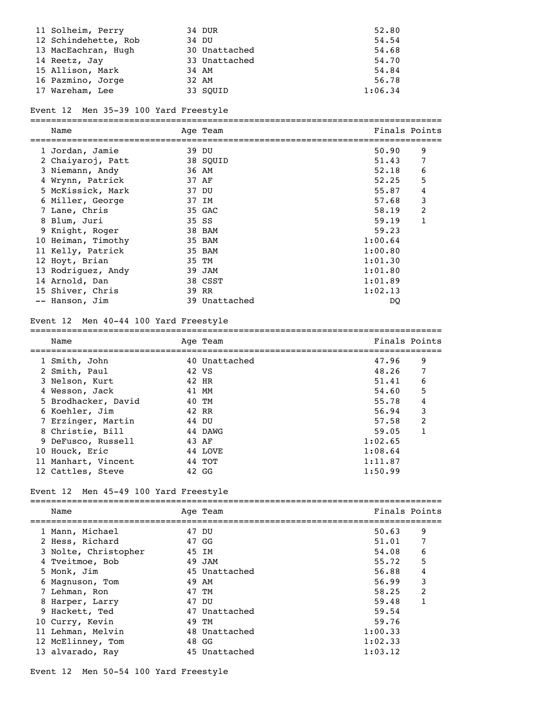| 11 Solheim, Perry    | 34 DUR        | 52.80   |
|----------------------|---------------|---------|
| 12 Schindehette, Rob | 34 DU         | 54.54   |
| 13 MacEachran, Hugh  | 30 Unattached | 54.68   |
| 14 Reetz, Jay        | 33 Unattached | 54.70   |
| 15 Allison, Mark     | 34 AM         | 54.84   |
| 16 Pazmino, Jorge    | 32 AM         | 56.78   |
| 17 Wareham, Lee      | 33 SOUID      | 1:06.34 |

#### Event 12 Men 35-39 100 Yard Freestyle

=============================================================================== Name Age Team Age Team Finals Points =============================================================================== 1 Jordan, Jamie 39 DU 50.90 9

| 2 Chaiyaroj, Patt  | 38 SOUID      | 51.43   |   |
|--------------------|---------------|---------|---|
| 3 Niemann, Andy    | 36 AM         | 52.18   | 6 |
| 4 Wrynn, Patrick   | 37 AF         | 52.25   | 5 |
| 5 McKissick, Mark  | 37 DU         | 55.87   | 4 |
| 6 Miller, George   | 37 IM         | 57.68   | 3 |
| 7 Lane, Chris      | 35 GAC        | 58.19   | 2 |
| 8 Blum, Juri       | 35 SS         | 59.19   | 1 |
| 9 Knight, Roger    | 38 BAM        | 59.23   |   |
| 10 Heiman, Timothy | 35 BAM        | 1:00.64 |   |
| 11 Kelly, Patrick  | 35 BAM        | 1:00.80 |   |
| 12 Hoyt, Brian     | 35 TM         | 1:01.30 |   |
| 13 Rodriguez, Andy | 39 JAM        | 1:01.80 |   |
| 14 Arnold, Dan     | 38 CSST       | 1:01.89 |   |
| 15 Shiver, Chris   | 39 RR         | 1:02.13 |   |
| -- Hanson, Jim     | 39 Unattached | DO      |   |

#### Event 12 Men 40-44 100 Yard Freestyle

# ===============================================================================

| Name                | Age Team      |         | Finals Points |
|---------------------|---------------|---------|---------------|
| 1 Smith, John       | 40 Unattached | 47.96   | 9             |
| 2 Smith, Paul       | 42 VS         | 48.26   | 7             |
| 3 Nelson, Kurt      | 42 HR         | 51.41   | 6             |
| 4 Wesson, Jack      | 41 MM         | 54.60   | 5             |
| 5 Brodhacker, David | 40 TM         | 55.78   | 4             |
| 6 Koehler, Jim      | 42 RR         | 56.94   | 3             |
| 7 Erzinger, Martin  | 44 DU         | 57.58   | 2             |
| 8 Christie, Bill    | 44 DAWG       | 59.05   |               |
| 9 DeFusco, Russell  | 43 AF         | 1:02.65 |               |
| 10 Houck, Eric      | 44 LOVE       | 1:08.64 |               |
| 11 Manhart, Vincent | 44 TOT        | 1:11.87 |               |
| 12 Cattles, Steve   | 42 GG         | 1:50.99 |               |

# Event 12 Men 45-49 100 Yard Freestyle

=============================================================================== Age Team  $\qquad \qquad$  Finals Points =============================================================================== 1 Mann, Michael 47 DU 50.63 9<br>2 Hess, Richard 47 GG 51.01 7 2 Hess, Richard 47 GG 51.01 7 3 Nolte, Christopher 45 IM 54.08 6 4 Tveitmoe, Bob 49 JAM 55.72 5 5 Monk, Jim 45 Unattached 56.88 4 6 Magnuson, Tom 49 AM 56.99 3 7 Lehman, Ron 47 TM 58.25 2 8 Harper, Larry 47 DU 59.48 1 9 Hackett, Ted 47 Unattached 59.54 10 Curry, Kevin 49 TM 59.76 10 Curry, Nevill 10 Curry, Nevill 10 Curry, Nevill 1:00.33<br>11 Lehman, Melvin 48 Unattached 1:00.33 12 McElinney, Tom 48 GG 1:02.33 13 alvarado, Ray 1:03.12 45 Unattached 1:03.12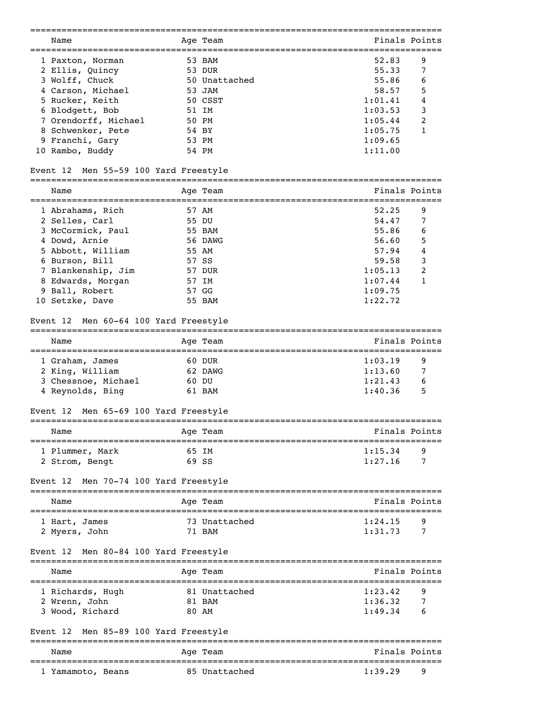|                                                                             | =============           | =====================================            |
|-----------------------------------------------------------------------------|-------------------------|--------------------------------------------------|
| Name                                                                        | Age Team                | Finals Points                                    |
| :====================================<br>1 Paxton, Norman                   | 53 BAM                  | =============================<br>52.83<br>9      |
|                                                                             | 53 DUR                  | 55.33<br>7                                       |
| 2 Ellis, Quincy                                                             | 50 Unattached           | 55.86                                            |
| 3 Wolff, Chuck                                                              |                         | 6                                                |
| 4 Carson, Michael                                                           | 53 JAM                  | 5<br>58.57                                       |
| 5 Rucker, Keith                                                             | 50 CSST                 | 4<br>1:01.41                                     |
| 6 Blodgett, Bob                                                             | 51 IM                   | 3<br>1:03.53                                     |
| 7 Orendorff, Michael                                                        | 50 PM                   | 2<br>1:05.44                                     |
| 8 Schwenker, Pete                                                           | 54 BY                   | 1:05.75<br>1                                     |
| 9 Franchi, Gary                                                             | 53 PM                   | 1:09.65                                          |
| 10 Rambo, Buddy                                                             | 54 PM                   | 1:11.00                                          |
| Event 12 Men 55-59 100 Yard Freestyle                                       |                         |                                                  |
| Name<br>===================================                                 | Age Team                | Finals Points                                    |
| 1 Abrahams, Rich                                                            | 57 AM                   | 52.25<br>9                                       |
| 2 Selles, Carl                                                              | 55 DU                   | 54.47<br>7                                       |
| 3 McCormick, Paul                                                           | 55 BAM                  | 55.86<br>6                                       |
| 4 Dowd, Arnie                                                               | 56 DAWG                 | 56.60<br>5                                       |
|                                                                             |                         |                                                  |
| 5 Abbott, William                                                           | 55 AM                   | 4<br>57.94                                       |
| 6 Burson, Bill                                                              | 57 SS                   | 3<br>59.58                                       |
| 7 Blankenship, Jim                                                          | 57 DUR                  | 2<br>1:05.13                                     |
| 8 Edwards, Morgan                                                           | 57 IM                   | 1:07.44<br>1                                     |
| 9 Ball, Robert                                                              | 57 GG                   | 1:09.75                                          |
| 10 Setzke, Dave                                                             | 55 BAM                  | 1:22.72                                          |
| Event 12 Men 60-64 100 Yard Freestyle                                       |                         |                                                  |
| Name                                                                        | Age Team                | Finals Points                                    |
| 1 Graham, James                                                             | 60 DUR                  | 1:03.19<br>9                                     |
| 2 King, William                                                             | 62 DAWG                 | 1:13.60<br>7                                     |
| 3 Chessnoe, Michael                                                         | 60 DU                   | 1:21.43<br>6                                     |
|                                                                             |                         | 1:40.36                                          |
| 4 Reynolds, Bing                                                            | 61 BAM                  | 5                                                |
| Men 65-69 100 Yard Freestyle<br>Event 12<br>=============================== | =====================   |                                                  |
| Name                                                                        | Age Team                | Finals Points                                    |
| 1 Plummer, Mark                                                             | 65 IM                   | 1:15.34<br>9                                     |
| 2 Strom, Bengt                                                              | 69 SS                   | 1:27.16<br>7                                     |
| Men 70-74 100 Yard Freestyle<br>Event 12                                    |                         |                                                  |
| ================================<br>Name                                    | Age Team                | Finals Points                                    |
|                                                                             |                         |                                                  |
| 1 Hart, James                                                               | 73 Unattached           | 1:24.15<br>9                                     |
| 2 Myers, John                                                               | 71 BAM                  | 1:31.73<br>7                                     |
| Men 80-84 100 Yard Freestyle<br>Event 12                                    |                         |                                                  |
| Name                                                                        | Age Team                | Finals Points                                    |
| 1 Richards, Hugh                                                            | 81 Unattached           | 1:23.42<br>9                                     |
| 2 Wrenn, John                                                               | 81 BAM                  | 1:36.32<br>7                                     |
| 3 Wood, Richard                                                             | 80 AM                   | 1:49.34<br>6                                     |
| Men 85-89 100 Yard Freestyle<br>Event 12                                    |                         |                                                  |
|                                                                             | -----------             |                                                  |
| Name                                                                        | Age Team<br>----------- | Finals Points<br>=============================== |
| 1 Yamamoto, Beans                                                           | 85 Unattached           | 1:39.29<br>9                                     |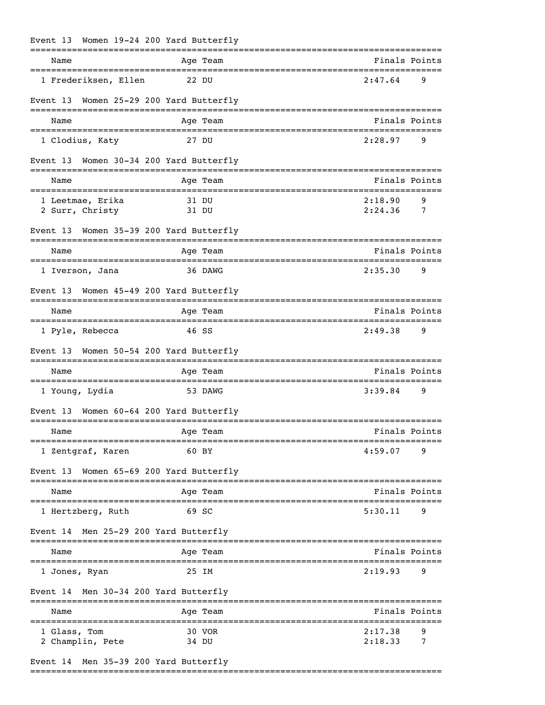| Event 13 Women 19-24 200 Yard Butterfly |                                |                           |
|-----------------------------------------|--------------------------------|---------------------------|
| Name                                    | Age Team                       | Finals Points             |
| 1 Frederiksen, Ellen                    | 22 DU                          | 2:47.64<br>9              |
| Event 13 Women 25-29 200 Yard Butterfly |                                |                           |
| Name                                    | Age Team                       | Finals Points             |
| 1 Clodius, Katy                         | 27 DU                          | 2:28.97<br>9              |
| Event 13 Women 30-34 200 Yard Butterfly |                                |                           |
| Name                                    | Age Team                       | Finals Points             |
| 1 Leetmae, Erika                        | 31 DU                          | 2:18.90<br>9              |
| 2 Surr, Christy                         | 31 DU                          | 2:24.36<br>$\overline{7}$ |
| Event 13 Women 35-39 200 Yard Butterfly |                                |                           |
| Name                                    | Age Team                       | Finals Points             |
| 1 Iverson, Jana                         | 36 DAWG                        | 2:35.30<br>9              |
| Event 13 Women 45-49 200 Yard Butterfly |                                |                           |
| Name                                    | Age Team                       | Finals Points             |
| 1 Pyle, Rebecca                         | 46 SS                          | 2:49.38<br>9              |
| Event 13                                | Women 50-54 200 Yard Butterfly |                           |
| Name                                    | Age Team                       | Finals Points             |
| 1 Young, Lydia                          | 53 DAWG                        | 3:39.84<br>9              |
| Event 13 Women 60-64 200 Yard Butterfly |                                |                           |
| Name                                    | Age Team                       | Finals Points             |
| 1 Zentgraf, Karen                       | 60 BY                          | 4:59.07<br>9              |
| Event 13 Women 65-69 200 Yard Butterfly |                                |                           |
| Name                                    | Age Team                       | Finals Points             |
| 1 Hertzberg, Ruth                       | 69 SC                          | 5:30.11<br>9              |
| Event 14 Men 25-29 200 Yard Butterfly   |                                |                           |
| Name                                    | Age Team                       | Finals Points             |
| 1 Jones, Ryan                           | 25 IM                          | 2:19.93<br>9              |
| Event 14 Men 30-34 200 Yard Butterfly   |                                |                           |
| Name                                    | Age Team                       | Finals Points             |
| 1 Glass, Tom                            | 30 VOR                         | 2:17.38<br>9              |
| 2 Champlin, Pete                        | 34 DU                          | 2:18.33<br>7              |

# Event 14 Men 35-39 200 Yard Butterfly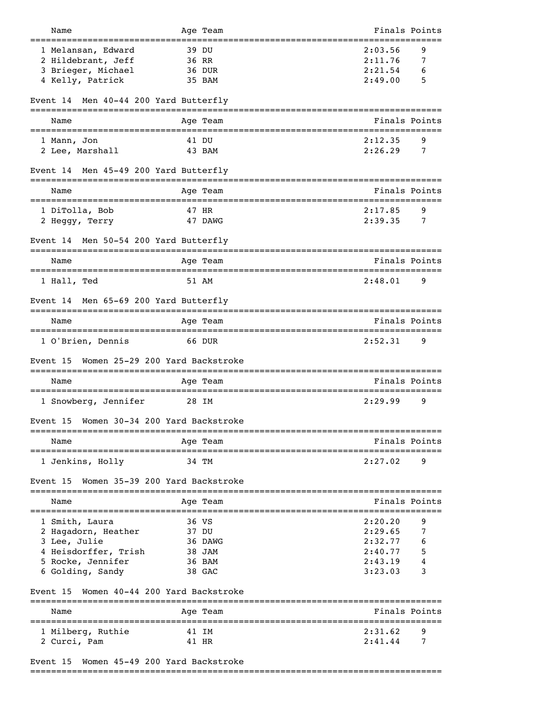| Name<br>===============================                  | Age Team      | ====================              | Finals Points |   |
|----------------------------------------------------------|---------------|-----------------------------------|---------------|---|
| 1 Melansan, Edward                                       | 39 DU         |                                   | 2:03.56       | 9 |
| 2 Hildebrant, Jeff                                       | 36 RR         |                                   | 2:11.76       | 7 |
| 3 Brieger, Michael                                       | 36 DUR        |                                   | 2:21.54       | 6 |
| 4 Kelly, Patrick                                         | 35 BAM        |                                   | 2:49.00       | 5 |
| Men 40-44 200 Yard Butterfly<br>Event 14                 |               |                                   |               |   |
| Name                                                     | Age Team      |                                   | Finals Points |   |
| 1 Mann, Jon                                              | 41 DU         |                                   | 2:12.35       | 9 |
| 2 Lee, Marshall                                          | 43 BAM        |                                   | 2:26.29       | 7 |
| Men 45-49 200 Yard Butterfly<br>Event 14                 |               |                                   |               |   |
|                                                          |               |                                   |               |   |
| Name                                                     | Age Team      |                                   | Finals Points |   |
| 1 DiTolla, Bob                                           | 47 HR         |                                   | 2:17.85       | 9 |
| 2 Heggy, Terry                                           | 47 DAWG       |                                   | 2:39.35       | 7 |
| Event 14 Men 50-54 200 Yard Butterfly                    |               |                                   |               |   |
| Name<br>=====================                            | Age Team      |                                   | Finals Points |   |
| 1 Hall, Ted                                              | 51 AM         |                                   | 2:48.01       | 9 |
| Event 14 Men 65-69 200 Yard Butterfly                    |               |                                   |               |   |
| Name                                                     | Age Team      |                                   | Finals Points |   |
| 1 O'Brien, Dennis                                        | 66 DUR        |                                   | 2:52.31       | 9 |
| Women 25-29 200 Yard Backstroke<br>Event 15              |               |                                   |               |   |
| Name                                                     | Age Team      |                                   | Finals Points |   |
| 1 Snowberg, Jennifer                                     | 28 IM         |                                   | 2:29.99       | 9 |
| Women 30-34 200 Yard Backstroke<br>Event 15              |               |                                   |               |   |
| Name                                                     | Age Team      |                                   | Finals Points |   |
| ====================================<br>1 Jenkins, Holly | 34 TM         | --------------------------------- | 2:27.02       | 9 |
|                                                          |               |                                   |               |   |
| Women 35-39 200 Yard Backstroke<br>Event 15              | ------------- |                                   |               |   |
| Name                                                     | Age Team      |                                   | Finals Points |   |
| 1 Smith, Laura                                           | 36 VS         |                                   | 2:20.20       | 9 |
| 2 Hagadorn, Heather                                      | 37 DU         |                                   | 2:29.65       | 7 |
| 3 Lee, Julie                                             | 36 DAWG       |                                   | 2:32.77       |   |
| 4 Heisdorffer, Trish                                     | 38 JAM        |                                   | 2:40.77       | 5 |
| 5 Rocke, Jennifer                                        | 36 BAM        |                                   | 2:43.19       |   |
| 6 Golding, Sandy                                         | 38 GAC        |                                   | 3:23.03       | 3 |
| Women 40-44 200 Yard Backstroke<br>Event 15              |               |                                   |               |   |
| Name                                                     | Age Team      |                                   | Finals Points |   |
| 1 Milberg, Ruthie                                        | 41 IM         |                                   | 2:31.62       | 9 |
| 2 Curci, Pam                                             | 41 HR         |                                   | 2:41.44       | 7 |
|                                                          |               |                                   |               |   |

# Event 15 Women 45-49 200 Yard Backstroke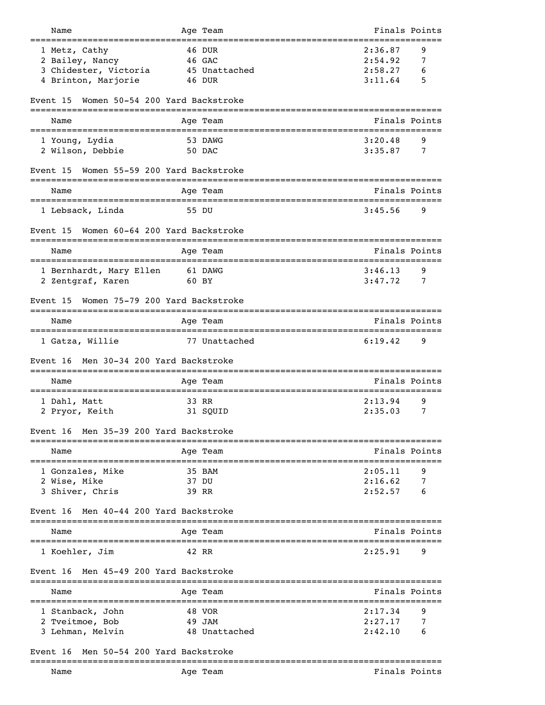| Name                                               | Age Team                        | Finals Points                                       |
|----------------------------------------------------|---------------------------------|-----------------------------------------------------|
| 1 Metz, Cathy                                      | 46 DUR                          | 2:36.87<br>9                                        |
| 2 Bailey, Nancy                                    | 46 GAC                          | 2:54.92<br>7                                        |
| 3 Chidester, Victoria                              | 45 Unattached                   | 2:58.27<br>6                                        |
| 4 Brinton, Marjorie                                | 46 DUR                          | 3:11.64<br>5                                        |
|                                                    |                                 |                                                     |
| Event 15<br>====================================== | Women 50-54 200 Yard Backstroke |                                                     |
| Name                                               | Age Team                        | Finals Points                                       |
| 1 Young, Lydia                                     | 53 DAWG                         | 3:20.48<br>9                                        |
| 2 Wilson, Debbie                                   | 50 DAC                          | 3:35.87<br>7                                        |
| Event 15                                           | Women 55-59 200 Yard Backstroke |                                                     |
| Name                                               | Age Team                        | Finals Points                                       |
| 1 Lebsack, Linda                                   | 55 DU                           | 3:45.56<br>9                                        |
| Event 15                                           | Women 60-64 200 Yard Backstroke |                                                     |
| Name                                               | .=========<br>Age Team          | Finals Points                                       |
| 1 Bernhardt, Mary Ellen                            | -------------<br>61 DAWG        | 3:46.13<br>9                                        |
| 2 Zentgraf, Karen                                  | 60 BY                           | 3:47.72<br>7                                        |
|                                                    |                                 |                                                     |
| Event 15                                           | Women 75-79 200 Yard Backstroke |                                                     |
| Name                                               | Age Team                        | Finals Points                                       |
| 1 Gatza, Willie                                    | 77 Unattached                   | 6:19.42<br>9                                        |
| Men 30-34 200 Yard Backstroke<br>Event 16          |                                 |                                                     |
| Name<br>==================================         | Age Team                        | Finals Points<br>------------------------           |
| 1 Dahl, Matt                                       | 33 RR                           | 2:13.94<br>9                                        |
| 2 Pryor, Keith                                     | 31 SQUID                        | 2:35.03<br>7                                        |
| Men 35-39 200 Yard Backstroke<br>Event 16          |                                 |                                                     |
|                                                    |                                 |                                                     |
| Name<br>==================================         | Age Team                        | Finals Points<br>================================== |
| 1 Gonzales, Mike                                   | 35 BAM                          | 2:05.11<br>9                                        |
| 2 Wise, Mike                                       | 37 DU                           | 2:16.62<br>7                                        |
| 3 Shiver, Chris                                    | 39 RR                           | 2:52.57                                             |
| Men 40-44 200 Yard Backstroke<br>Event 16          |                                 |                                                     |
| Name                                               | Age Team                        | Finals Points                                       |
| 1 Koehler, Jim                                     | 42 RR                           | 2:25.91<br>9                                        |
|                                                    |                                 |                                                     |
| Men 45-49 200 Yard Backstroke<br>Event 16          |                                 |                                                     |
| Name                                               | Age Team                        | Finals Points                                       |
| 1 Stanback, John                                   | 48 VOR                          | 2:17.34<br>9                                        |
| 2 Tveitmoe, Bob                                    | 49 JAM                          | 2:27.17<br>7                                        |
| 3 Lehman, Melvin                                   | 48 Unattached                   | 2:42.10<br>6                                        |
| Men 50-54 200 Yard Backstroke<br>Event 16          |                                 |                                                     |
|                                                    |                                 |                                                     |

Name Age Team Age Team Finals Points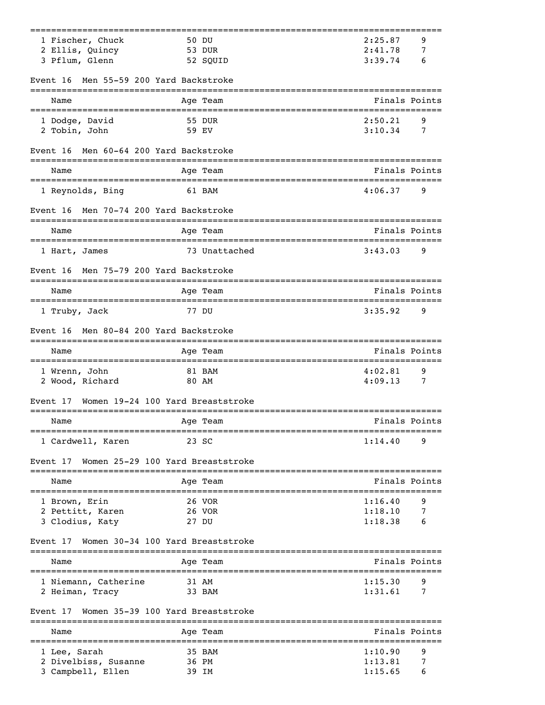| 1 Fischer, Chuck                          | 50 DU                                            | 2:25.87<br>9                 |
|-------------------------------------------|--------------------------------------------------|------------------------------|
| 2 Ellis, Quincy                           | 53 DUR                                           | 2:41.78<br>7                 |
| 3 Pflum, Glenn                            | 52 SQUID                                         | 3:39.74<br>6                 |
| Men 55-59 200 Yard Backstroke<br>Event 16 |                                                  |                              |
| Name                                      | Age Team                                         | Finals Points                |
| 1 Dodge, David                            | 55 DUR                                           | 2:50.21<br>9                 |
| 2 Tobin, John                             | 59 EV                                            | 3:10.34<br>7                 |
| Men 60-64 200 Yard Backstroke<br>Event 16 |                                                  |                              |
| Name                                      | Age Team                                         | Finals Points                |
| 1 Reynolds, Bing                          | 61 BAM                                           | 4:06.37<br>9                 |
| Men 70-74 200 Yard Backstroke<br>Event 16 | ===============                                  |                              |
| Name                                      | Age Team                                         | Finals Points                |
| 1 Hart, James                             | 73 Unattached                                    | 3:43.03<br>9                 |
| Men 75-79 200 Yard Backstroke<br>Event 16 |                                                  |                              |
| Name                                      | Age Team                                         | Finals Points                |
| 1 Truby, Jack                             | 77 DU                                            | 3:35.92<br>9                 |
| Men 80-84 200 Yard Backstroke<br>Event 16 |                                                  |                              |
| Name                                      | Age Team                                         | Finals Points                |
| 1 Wrenn, John                             | 81 BAM<br>80 AM                                  | 4:02.81<br>9<br>4:09.13<br>7 |
| 2 Wood, Richard<br>Event 17               | Women 19-24 100 Yard Breaststroke                |                              |
| Name                                      |                                                  | Finals Points                |
|                                           | Age Team                                         |                              |
| 1 Cardwell, Karen                         | 23 SC                                            | 1:14.40<br>9                 |
| Event 17                                  | Women 25-29 100 Yard Breaststroke<br>----------- |                              |
| Name                                      | Age Team                                         | Finals Points                |
| 1 Brown, Erin                             | 26 VOR                                           | 1:16.40<br>9                 |
| 2 Pettitt, Karen                          | 26 VOR                                           | 7<br>1:18.10                 |
| 3 Clodius, Katy                           | 27 DU                                            | 1:18.38<br>6                 |
| Event 17                                  | Women 30-34 100 Yard Breaststroke                |                              |
| Name                                      | Age Team                                         | Finals Points                |
| 1 Niemann, Catherine                      | 31 AM                                            | 1:15.30<br>9                 |
| 2 Heiman, Tracy                           | 33 BAM                                           | 1:31.61<br>7                 |
| Event 17                                  | Women 35-39 100 Yard Breaststroke<br>----------  |                              |
| Name                                      | Age Team                                         | Finals Points                |
| 1 Lee, Sarah                              | 35 BAM                                           | 1:10.90<br>9                 |
| 2 Divelbiss, Susanne<br>3 Campbell, Ellen | 36 PM<br>39 IM                                   | 1:13.81<br>7<br>1:15.65<br>6 |
|                                           |                                                  |                              |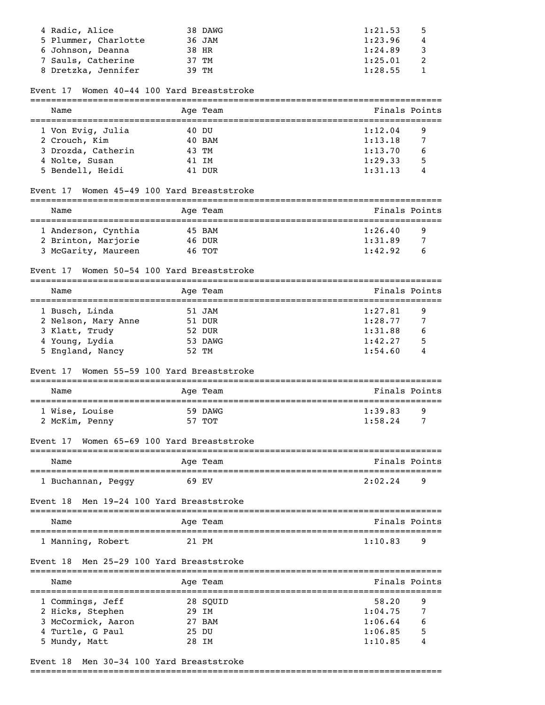| 4 Radic, Alice       | 38 DAWG | 1:21.53<br>- 5                     |
|----------------------|---------|------------------------------------|
| 5 Plummer, Charlotte | 36 JAM  | 1:23.96<br>4                       |
| 6 Johnson, Deanna    | 38 HR   | 1:24.89<br>$\overline{\mathbf{3}}$ |
| 7 Sauls, Catherine   | 37 TM   | 1:25.01                            |
| 8 Dretzka, Jennifer  | 39 TM   | 1:28.55                            |

## Event 17 Women 40-44 100 Yard Breaststroke

| Name               | Age Team | Finals Points |  |  |  |
|--------------------|----------|---------------|--|--|--|
| 1 Von Evig, Julia  | 40 DU    | 1:12.04<br>9  |  |  |  |
| 2 Crouch, Kim      | 40 BAM   | 1:13.18       |  |  |  |
| 3 Drozda, Catherin | 43 TM    | 1:13.70<br>6  |  |  |  |
| 4 Nolte, Susan     | 41 IM    | 5<br>1:29.33  |  |  |  |
| 5 Bendell, Heidi   | 41 DUR   | 1:31.13       |  |  |  |

## Event 17 Women 45-49 100 Yard Breaststroke

| Name                | Age Team | Finals Points |
|---------------------|----------|---------------|
| 1 Anderson, Cynthia | 45 BAM   | 1:26.40<br>q  |
| 2 Brinton, Marjorie | 46 DUR   | 1:31.89<br>7  |
| 3 McGarity, Maureen | 46 TOT   | 1:42.92<br>h  |

# Event 17 Women 50-54 100 Yard Breaststroke

| Name                |  | Age Team | Finals Points |                |
|---------------------|--|----------|---------------|----------------|
| 1 Busch, Linda      |  | 51 JAM   | 1:27.81       | 9              |
| 2 Nelson, Mary Anne |  | 51 DUR   | 1:28.77       | $\overline{7}$ |
| 3 Klatt, Trudy      |  | 52 DUR   | 1:31.88       | 6              |
| 4 Young, Lydia      |  | 53 DAWG  | 1:42.27       | 5              |
| 5 England, Nancy    |  | 52 TM    | 1:54.60       | 4              |
|                     |  |          |               |                |

#### Event 17 Women 55-59 100 Yard Breaststroke

| Name           | Age Team | Finals Points |  |  |  |  |
|----------------|----------|---------------|--|--|--|--|
| 1 Wise, Louise | 59 DAWG  | 1:39.83<br>-9 |  |  |  |  |
| 2 McKim, Penny | 57 TOT   | 1:58.24       |  |  |  |  |

## Event 17 Women 65-69 100 Yard Breaststroke

| Name               | Age Team | Finals Points |
|--------------------|----------|---------------|
|                    |          |               |
| 1 Buchannan, Peggy | 69 F.V   | 2:02.24<br>q  |

## Event 18 Men 19-24 100 Yard Breaststroke

| Name              | Age Team | Finals Points  |
|-------------------|----------|----------------|
| 1 Manning, Robert | 21 PM    | 1:10.83<br>- q |

#### Event 18 Men 25-29 100 Yard Breaststroke

| Name               |       | Age Team | Finals Points |  |
|--------------------|-------|----------|---------------|--|
| 1 Commings, Jeff   |       | 28 SOUID | 58.20<br>9    |  |
| 2 Hicks, Stephen   | 29 IM |          | 1:04.75       |  |
| 3 McCormick, Aaron |       | 27 BAM   | 1:06.64<br>6  |  |
| 4 Turtle, G Paul   | 25 DU |          | 5<br>1:06.85  |  |
| 5 Mundy, Matt      |       | 28 TM    | 1:10.85<br>4  |  |

# Event 18 Men 30-34 100 Yard Breaststroke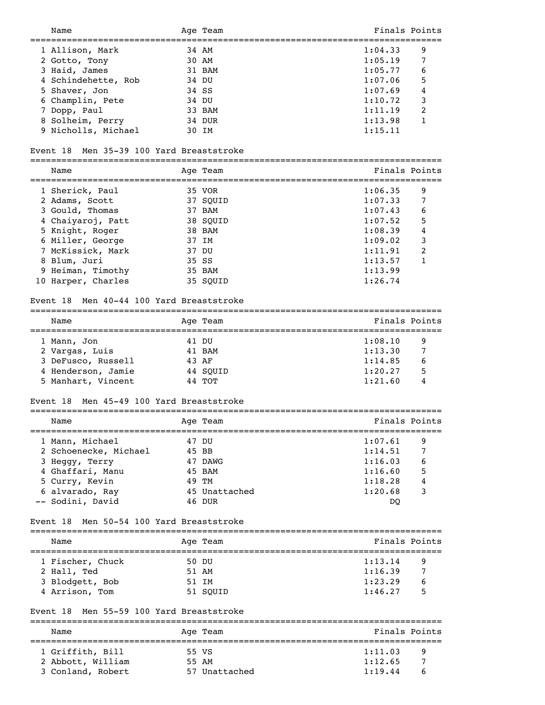| Name                                        | Age Team                  | Finals Points                         |               |
|---------------------------------------------|---------------------------|---------------------------------------|---------------|
|                                             | 34 AM                     | 1:04.33                               | 9             |
| 1 Allison, Mark                             | 30 AM                     | 1:05.19                               | 7             |
| 2 Gotto, Tony                               |                           |                                       | 6             |
| 3 Haid, James                               | 31 BAM                    | 1:05.77                               |               |
| 4 Schindehette, Rob<br>5 Shaver, Jon        | 34 DU<br>34 SS            | 1:07.06<br>1:07.69                    | 5<br>4        |
|                                             |                           |                                       |               |
| 6 Champlin, Pete                            | 34 DU                     | 1:10.72                               | 3             |
| 7 Dopp, Paul                                | 33 BAM                    | 1:11.19                               | 2             |
| 8 Solheim, Perry                            | 34 DUR                    | 1:13.98                               | 1             |
| 9 Nicholls, Michael                         | 30 IM                     | 1:15.11                               |               |
| Men 35-39 100 Yard Breaststroke<br>Event 18 |                           |                                       |               |
| Name                                        | Age Team                  |                                       | Finals Points |
| 1 Sherick, Paul                             | 35 VOR                    | 1:06.35                               | 9             |
| 2 Adams, Scott                              | 37 SQUID                  | 1:07.33                               | 7             |
| 3 Gould, Thomas                             | 37 BAM                    | 1:07.43                               | 6             |
| 4 Chaiyaroj, Patt                           | 38 SQUID                  | 1:07.52                               | 5             |
| 5 Knight, Roger                             | 38 BAM                    | 1:08.39                               | 4             |
| 6 Miller, George                            | 37 IM                     | 1:09.02                               | 3             |
| 7 McKissick, Mark                           | 37 DU                     | 1:11.91                               | 2             |
| 8 Blum, Juri                                | 35 SS                     | 1:13.57                               | $\mathbf{1}$  |
| 9 Heiman, Timothy                           | 35 BAM                    | 1:13.99                               |               |
| 10 Harper, Charles                          | 35 SQUID                  | 1:26.74                               |               |
|                                             |                           |                                       |               |
| Men 40-44 100 Yard Breaststroke<br>Event 18 |                           |                                       |               |
| Name                                        | Age Team                  |                                       | Finals Points |
| 1 Mann, Jon                                 | 41 DU                     | 1:08.10                               | 9             |
| 2 Vargas, Luis                              | 41 BAM                    | 1:13.30                               | 7             |
| 3 DeFusco, Russell                          | 43 AF                     | 1:14.85                               | 6             |
| 4 Henderson, Jamie                          | 44 SQUID                  | 1:20.27                               | 5             |
| 5 Manhart, Vincent                          | 44 TOT                    | 1:21.60                               | 4             |
| Men 45-49 100 Yard Breaststroke<br>Event 18 |                           |                                       |               |
|                                             |                           |                                       |               |
| Name                                        | Age Team                  | ===================================== | Finals Points |
| 1 Mann, Michael                             | 47 DU                     | 1:07.61                               | 9             |
| 2 Schoenecke, Michael                       | 45 BB                     | 1:14.51                               | 7             |
| 3 Heggy, Terry                              | 47 DAWG                   | 1:16.03                               | 6             |
| 4 Ghaffari, Manu                            | 45 BAM                    | 1:16.60                               | 5             |
| 5 Curry, Kevin                              | 49 TM                     | 1:18.28                               | 4             |
| 6 alvarado, Ray                             | 45 Unattached             | 1:20.68                               | 3             |
| -- Sodini, David                            | 46 DUR                    | DQ                                    |               |
| Men 50-54 100 Yard Breaststroke<br>Event 18 |                           |                                       |               |
| Name                                        | Age Team                  |                                       | Finals Points |
|                                             |                           |                                       |               |
| 1 Fischer, Chuck                            | 50 DU                     | 1:13.14                               | 9             |
| 2 Hall, Ted                                 | 51 AM                     | 1:16.39                               | 7             |
| 3 Blodgett, Bob                             | 51 IM                     | 1:23.29                               | 6             |
| 4 Arrison, Tom                              | 51 SQUID                  | 1:46.27                               | 5             |
| Men 55-59 100 Yard Breaststroke<br>Event 18 |                           |                                       |               |
| Name                                        | =============<br>Age Team | Finals Points                         |               |
|                                             |                           |                                       |               |
| 1 Griffith, Bill                            | 55 VS                     | 1:11.03                               | 9             |
| 2 Abbott, William                           | 55 AM                     | 1:12.65                               | 7             |
| 3 Conland, Robert                           | 57 Unattached             | 1:19.44                               | 6             |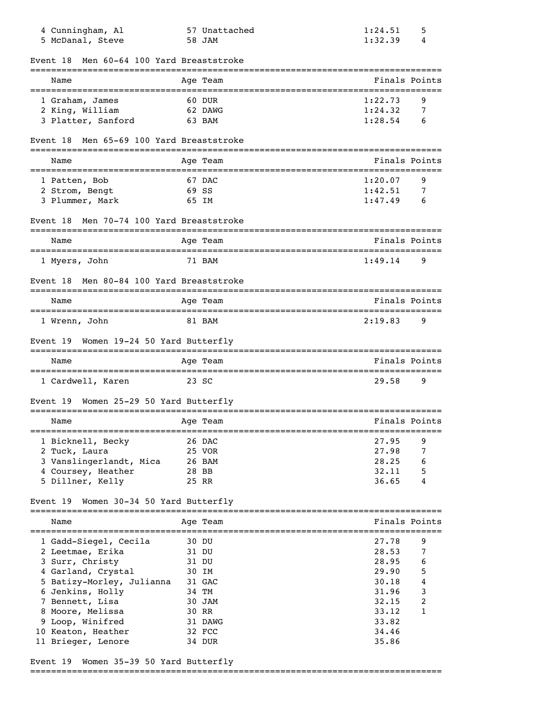| 4 Cunningham, Al<br>5 McDanal, Steve        |       | 57 Unattached<br>58 JAM                 | 1:24.51<br>1:32.39 | 5<br>4           |
|---------------------------------------------|-------|-----------------------------------------|--------------------|------------------|
| Men 60-64 100 Yard Breaststroke<br>Event 18 |       |                                         |                    |                  |
| Name                                        |       | Age Team                                |                    | Finals Points    |
| --------------------<br>1 Graham, James     |       | 60 DUR                                  | 1:22.73            | 9                |
| 2 King, William                             |       | 62 DAWG                                 | 1:24.32            | 7                |
| 3 Platter, Sanford                          |       | 63 BAM                                  | 1:28.54            | 6                |
| Men 65-69 100 Yard Breaststroke<br>Event 18 |       |                                         |                    |                  |
| Name                                        |       | Age Team                                |                    | Finals Points    |
| 1 Patten, Bob                               |       | 67 DAC                                  | 1:20.07            | 9                |
| 2 Strom, Bengt                              |       | 69 SS                                   | 1:42.51            | 7                |
| 3 Plummer, Mark                             |       | 65 IM                                   | 1:47.49            | 6                |
| Men 70-74 100 Yard Breaststroke<br>Event 18 |       |                                         |                    |                  |
| Name                                        |       | Age Team                                |                    | Finals Points    |
| 1 Myers, John                               |       | =============================<br>71 BAM | 1:49.14            | 9                |
| Men 80-84 100 Yard Breaststroke<br>Event 18 |       |                                         |                    |                  |
| Name                                        |       | Age Team                                |                    | Finals Points    |
| 1 Wrenn, John                               |       | 81 BAM                                  | 2:19.83            | 9                |
| Women 19-24 50 Yard Butterfly<br>Event 19   |       |                                         |                    |                  |
| Name                                        |       | Age Team                                |                    | Finals Points    |
| 1 Cardwell, Karen                           |       | 23 SC                                   | 29.58              | 9                |
| Women 25-29 50 Yard Butterfly<br>Event 19   |       |                                         |                    |                  |
| Name                                        |       | Age Team                                |                    | Finals Points    |
| 1 Bicknell, Becky                           |       | 26 DAC                                  | 27.95              | 9                |
| 2 Tuck, Laura                               |       | 25 VOR                                  | 27.98              | 7                |
| 3 Vanslingerlandt, Mica                     |       | 26 BAM                                  | 28.25              | 6                |
| 4 Coursey, Heather                          | 28 BB |                                         | 32.11              | 5                |
| 5 Dillner, Kelly                            |       | 25 RR                                   | 36.65              | 4                |
| Event 19 Women 30-34 50 Yard Butterfly      |       |                                         |                    |                  |
| Name                                        |       | Age Team                                |                    | Finals Points    |
| 1 Gadd-Siegel, Cecila                       |       | 30 DU                                   | 27.78              | 9                |
| 2 Leetmae, Erika                            |       | 31 DU                                   | 28.53              | 7                |
| 3 Surr, Christy                             |       | 31 DU                                   | 28.95              | 6                |
| 4 Garland, Crystal                          |       | 30 IM                                   | 29.90              | 5                |
| 5 Batizy-Morley, Julianna                   |       | 31 GAC                                  | 30.18              | 4                |
| 6 Jenkins, Holly                            |       | 34 TM                                   | 31.96              | 3                |
| 7 Bennett, Lisa                             |       | 30 JAM                                  | 32.15              | $\boldsymbol{2}$ |
| 8 Moore, Melissa                            |       | 30 RR                                   | 33.12              | 1                |
| 9 Loop, Winifred                            |       | 31 DAWG                                 | 33.82              |                  |
| 10 Keaton, Heather                          |       | 32 FCC                                  | 34.46              |                  |
| 11 Brieger, Lenore                          |       | 34 DUR                                  | 35.86              |                  |

# Event 19 Women 35-39 50 Yard Butterfly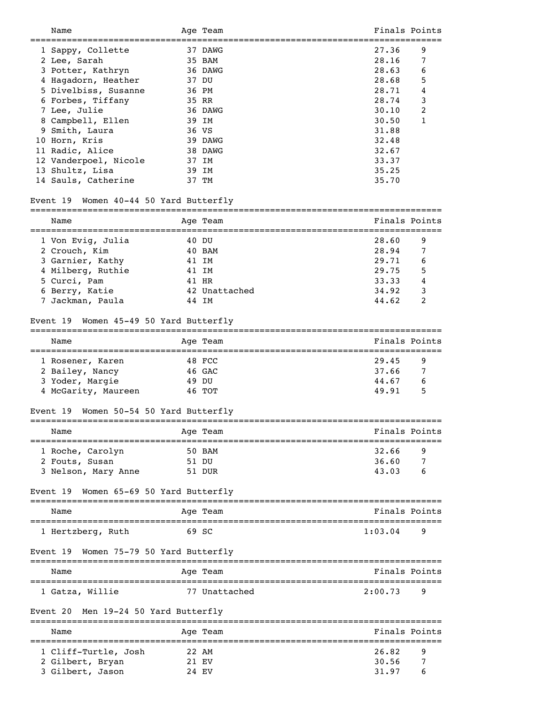| Name                                                                          | Age Team      |         | Finals Points |
|-------------------------------------------------------------------------------|---------------|---------|---------------|
| 1 Sappy, Collette                                                             | 37 DAWG       | 27.36   | 9             |
|                                                                               | 35 BAM        | 28.16   | 7             |
| 2 Lee, Sarah                                                                  |               |         |               |
| 3 Potter, Kathryn                                                             | 36 DAWG       | 28.63   | 6             |
| 4 Hagadorn, Heather                                                           | 37 DU         | 28.68   | 5             |
| 5 Divelbiss, Susanne                                                          | 36 PM         | 28.71   | 4             |
| 6 Forbes, Tiffany                                                             | 35 RR         | 28.74   | 3             |
| 7 Lee, Julie                                                                  | 36 DAWG       | 30.10   | 2             |
| 8 Campbell, Ellen                                                             | 39 IM         | 30.50   | 1             |
| 9 Smith, Laura                                                                | 36 VS         | 31.88   |               |
| 10 Horn, Kris                                                                 | 39 DAWG       | 32.48   |               |
|                                                                               |               |         |               |
| 11 Radic, Alice                                                               | 38 DAWG       | 32.67   |               |
| 12 Vanderpoel, Nicole                                                         | 37 IM         | 33.37   |               |
| 13 Shultz, Lisa                                                               | 39 IM         | 35.25   |               |
| 14 Sauls, Catherine                                                           | 37 TM         | 35.70   |               |
| Event 19 Women 40-44 50 Yard Butterfly                                        |               |         |               |
| Name                                                                          | Age Team      |         | Finals Points |
|                                                                               |               |         |               |
| 1 Von Evig, Julia                                                             | 40 DU         | 28.60   | 9             |
| 2 Crouch, Kim                                                                 | 40 BAM        | 28.94   | 7             |
| 3 Garnier, Kathy                                                              | 41 IM         | 29.71   | 6             |
| 4 Milberg, Ruthie                                                             | 41 IM         | 29.75   | 5             |
| 5 Curci, Pam                                                                  | 41 HR         | 33.33   | 4             |
|                                                                               |               | 34.92   |               |
| 6 Berry, Katie                                                                | 42 Unattached |         | 3             |
| 7 Jackman, Paula                                                              | 44 IM         | 44.62   | 2             |
| Women 45-49 50 Yard Butterfly<br>Event 19                                     |               |         |               |
| Name                                                                          | Age Team      |         | Finals Points |
| 1 Rosener, Karen                                                              | 48 FCC        | 29.45   | 9             |
| 2 Bailey, Nancy                                                               | 46 GAC        | 37.66   | 7             |
| 3 Yoder, Margie                                                               | 49 DU         | 44.67   | 6             |
| 4 McGarity, Maureen                                                           | 46 TOT        | 49.91   | 5             |
|                                                                               |               |         |               |
| Women 50-54 50 Yard Butterfly<br>Event 19<br>================================ |               |         |               |
| Name                                                                          | Age Team      |         | Finals Points |
| 1 Roche, Carolyn                                                              | 50 BAM        | 32.66   | 9             |
| 2 Fouts, Susan                                                                | 51 DU         | 36.60   | 7             |
| 3 Nelson, Mary Anne                                                           | 51 DUR        | 43.03   | 6             |
|                                                                               |               |         |               |
| Women 65-69 50 Yard Butterfly<br>Event 19                                     | _______       |         |               |
| Name                                                                          | Age Team      |         | Finals Points |
| 1 Hertzberg, Ruth                                                             | 69 SC         | 1:03.04 | 9             |
| Women 75-79 50 Yard Butterfly<br>Event 19                                     |               |         |               |
| Name                                                                          | Age Team      |         | Finals Points |
|                                                                               |               |         |               |
| 1 Gatza, Willie                                                               | 77 Unattached | 2:00.73 | 9             |
| Men 19-24 50 Yard Butterfly<br>Event 20                                       |               |         |               |
| Name                                                                          | Age Team      |         | Finals Points |
| 1 Cliff-Turtle, Josh                                                          | 22 AM         | 26.82   | 9             |
| 2 Gilbert, Bryan                                                              | 21 EV         | 30.56   | 7             |
|                                                                               |               |         |               |
| 3 Gilbert, Jason                                                              | 24 EV         | 31.97   | 6             |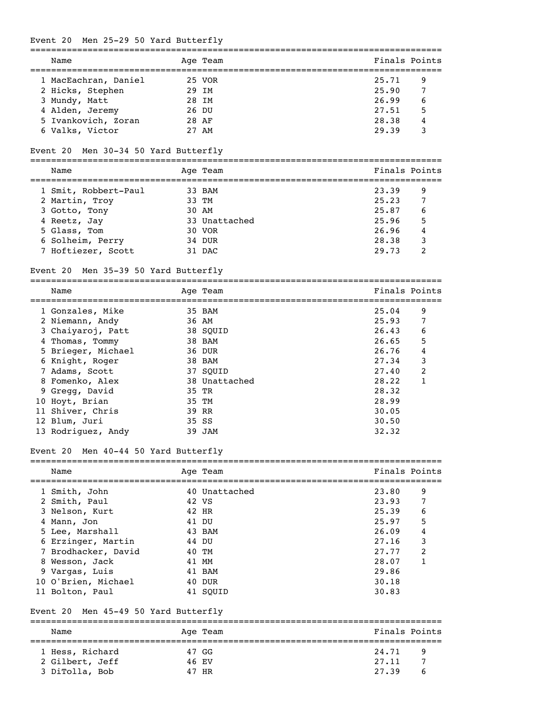# Event 20 Men 25-29 50 Yard Butterfly

|   | Name                                    |       | Age Team      |                | Finals Points |
|---|-----------------------------------------|-------|---------------|----------------|---------------|
|   | 1 MacEachran, Daniel                    |       | 25 VOR        | 25.71          | 9             |
|   | 2 Hicks, Stephen                        | 29 IM |               | 25.90          | 7             |
|   | 3 Mundy, Matt                           | 28 IM |               | 26.99          | 6             |
|   | 4 Alden, Jeremy                         | 26 DU |               | 27.51          | 5             |
|   | 5 Ivankovich, Zoran                     | 28 AF |               | 28.38          | 4             |
|   | 6 Valks, Victor                         | 27 AM |               | 29.39          | 3             |
|   | Men 30-34 50 Yard Butterfly<br>Event 20 |       |               |                |               |
|   |                                         |       |               |                | Finals Points |
|   | Name                                    |       | Age Team      |                |               |
|   | 1 Smit, Robbert-Paul                    |       | 33 BAM        | 23.39          | 9             |
|   | 2 Martin, Troy                          |       | 33 TM         | 25.23          | 7             |
|   | 3 Gotto, Tony                           | 30 AM |               | 25.87          | 6             |
|   | 4 Reetz, Jay                            |       | 33 Unattached | 25.96          | 5             |
|   | 5 Glass, Tom                            |       | 30 VOR        | 26.96          | 4             |
|   | 6 Solheim, Perry                        |       | 34 DUR        | 28.38          | 3             |
|   | 7 Hoftiezer, Scott                      |       | 31 DAC        | 29.73          | 2             |
|   | Men 35-39 50 Yard Butterfly<br>Event 20 |       |               |                |               |
|   | Name                                    |       | Age Team      |                | Finals Points |
|   | 1 Gonzales, Mike                        |       | 35 BAM        | 25.04          | 9             |
|   | 2 Niemann, Andy                         | 36 AM |               | 25.93          | 7             |
|   | 3 Chaiyaroj, Patt                       |       | 38 SQUID      | 26.43          | 6             |
|   | 4 Thomas, Tommy                         |       | 38 BAM        | 26.65          | 5             |
|   | 5 Brieger, Michael                      |       | 36 DUR        | 26.76          | 4             |
|   | 6 Knight, Roger                         |       | 38 BAM        | 27.34          | 3             |
|   | 7 Adams, Scott                          |       | 37 SOUID      | 27.40          | 2             |
|   | 8 Fomenko, Alex                         |       | 38 Unattached | 28.22          | 1             |
|   | 9 Gregg, David                          | 35 TR |               | 28.32          |               |
|   |                                         | 35 TM |               | 28.99          |               |
|   | 10 Hoyt, Brian                          |       |               |                |               |
|   | 11 Shiver, Chris                        | 39 RR |               | 30.05          |               |
|   | 12 Blum, Juri<br>13 Rodriguez, Andy     | 35 SS | 39 JAM        | 30.50<br>32.32 |               |
|   | Men 40-44 50 Yard Butterfly<br>Event 20 |       |               |                |               |
|   |                                         |       |               |                |               |
|   | Name<br>;=====================          |       | Age Team      |                | Finals Points |
|   | 1 Smith, John                           |       | 40 Unattached | 23.80          | 9             |
|   | 2 Smith, Paul                           | 42 VS |               | 23.93          | 7             |
|   | 3 Nelson, Kurt                          |       | 42 HR         | 25.39          | 6             |
|   | 4 Mann, Jon                             |       | 41 DU         | 25.97          | 5             |
|   | 5 Lee, Marshall                         |       | 43 BAM        | 26.09          | 4             |
|   | 6 Erzinger, Martin                      |       | 44 DU         | 27.16          | 3             |
|   | 7 Brodhacker, David                     |       | 40 TM         | 27.77          | 2             |
| 8 | Wesson, Jack                            |       | 41 MM         | 28.07          | 1             |
|   | 9 Vargas, Luis                          |       | 41 BAM        | 29.86          |               |
|   | 10 O'Brien, Michael                     |       | 40 DUR        | 30.18          |               |
|   | 11 Bolton, Paul                         |       | 41 SQUID      | 30.83          |               |
|   | Men 45-49 50 Yard Butterfly<br>Event 20 |       |               |                |               |
|   | Name                                    |       | Age Team      |                | Finals Points |
|   |                                         |       |               |                |               |

| --------        |        |       |                |
|-----------------|--------|-------|----------------|
| 1 Hess, Richard | 47 GG  | 24.71 | $\overline{q}$ |
| 2 Gilbert, Jeff | 46 F.V | 27.11 |                |
| 3 DiTolla, Bob  | 47 HR  | 27.39 | - 6            |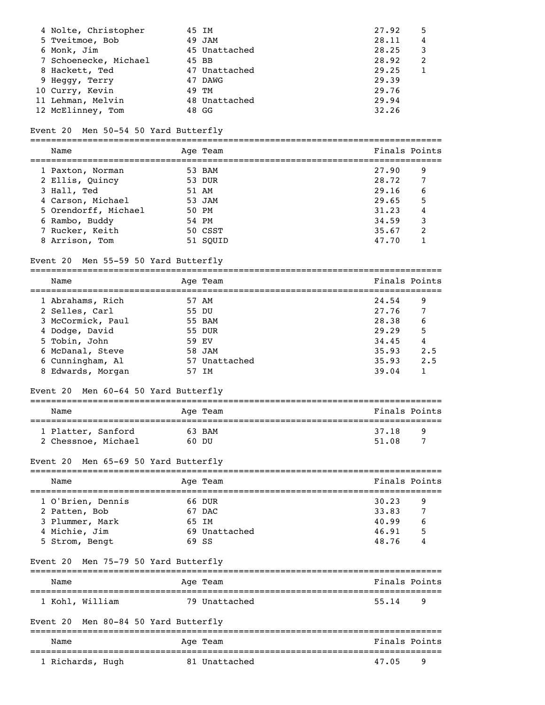| 4 Nolte, Christopher |                                                                                                                                                          | 27.92                                                                                                    | 5 |
|----------------------|----------------------------------------------------------------------------------------------------------------------------------------------------------|----------------------------------------------------------------------------------------------------------|---|
|                      |                                                                                                                                                          | 28.11                                                                                                    | 4 |
|                      |                                                                                                                                                          | 28.25                                                                                                    | 3 |
|                      |                                                                                                                                                          | 28.92                                                                                                    | 2 |
|                      |                                                                                                                                                          | 29.25                                                                                                    |   |
|                      |                                                                                                                                                          | 29.39                                                                                                    |   |
|                      |                                                                                                                                                          | 29.76                                                                                                    |   |
|                      |                                                                                                                                                          | 29.94                                                                                                    |   |
|                      |                                                                                                                                                          | 32.26                                                                                                    |   |
|                      | 5 Tveitmoe, Bob<br>6 Monk, Jim<br>7 Schoenecke, Michael<br>8 Hackett, Ted<br>9 Heggy, Terry<br>10 Curry, Kevin<br>11 Lehman, Melvin<br>12 McElinney, Tom | 45 IM<br>49 JAM<br>45 Unattached<br>45 BB<br>47 Unattached<br>47 DAWG<br>49 TM<br>48 Unattached<br>48 GG |   |

## Event 20 Men 50-54 50 Yard Butterfly

===============================================================================

| Name                 | Age Team | Finals Points |   |
|----------------------|----------|---------------|---|
| 1 Paxton, Norman     | 53 BAM   | 27.90         | 9 |
| 2 Ellis, Quincy      | 53 DUR   | 28.72         | 7 |
| 3 Hall, Ted          | 51 AM    | 29.16         | 6 |
| 4 Carson, Michael    | 53 JAM   | 29.65         | 5 |
| 5 Orendorff, Michael | 50 PM    | 31.23         | 4 |
| 6 Rambo, Buddy       | 54 PM    | 34.59         | 3 |
| 7 Rucker, Keith      | 50 CSST  | 35.67         | 2 |
| 8 Arrison, Tom       | 51 SOUID | 47.70         |   |
|                      |          |               |   |

## Event 20 Men 55-59 50 Yard Butterfly

=============================================================================== Name Age Team Age Team Finals Points =============================================================================== 1 Abrahams, Rich 57 AM<br>2 Selles, Carl 55 DU 2 Selles, Carl 3 McCormick, Paul 55 BAM 28.38 6 4 Dodge, David 55 DUR 29.29 5 5 Tobin, John 59 EV 34.45 4

 6 McDanal, Steve 58 JAM 35.93 2.5 6 Cunningham, Al 57 Unattached 35.93 2.5 1 6 Cunningham, Al 57 Unattached 35.93 2.5<br>8 Edwards, Morgan 57 IM 39.04 1

# Event 20 Men 60-64 50 Yard Butterfly

| Name                | Age Team | Finals Points |
|---------------------|----------|---------------|
| 1 Platter, Sanford  | 63 BAM   | 37.18<br>q    |
| 2 Chessnoe, Michael | 60 DU    | 7<br>51.08    |

#### Event 20 Men 65-69 50 Yard Butterfly

| Name                                                                                     | Age Team       |                                   | Finals Points                                                 |
|------------------------------------------------------------------------------------------|----------------|-----------------------------------|---------------------------------------------------------------|
| 1 O'Brien, Dennis<br>2 Patten, Bob<br>3 Plummer, Mark<br>4 Michie, Jim<br>5 Strom, Bengt | 65 TM<br>69 SS | 66 DUR<br>67 DAC<br>69 Unattached | 30.23<br>9<br>33.83<br>40.99<br>6<br>5<br>46.91<br>48.76<br>4 |

#### Event 20 Men 75-79 50 Yard Butterfly

| Name            | Age Team      | Finals Points |
|-----------------|---------------|---------------|
| 1 Kohl, William | 79 Unattached | 55.14<br>q    |

# Event 20 Men 80-84 50 Yard Butterfly

| Name             | Aqe Team      | Finals Points |     |
|------------------|---------------|---------------|-----|
| 1 Richards, Hugh | 81 Unattached | 47.05         | - q |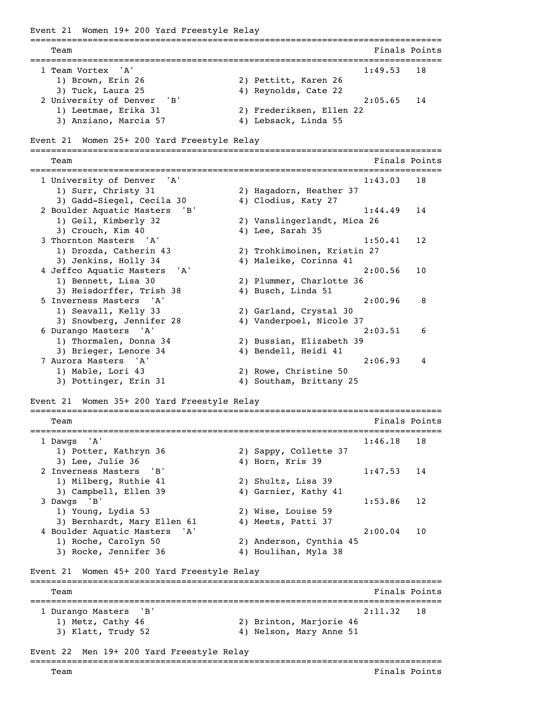Event 21 Women 19+ 200 Yard Freestyle Relay =============================================================================== **Team** Finals Points **Properties Finals** Points **Properties Finals** Points =============================================================================== 1 Team Vortex 'A' 1) Brown, Erin 26 2) Pettitt, Karen 26 3) Tuck, Laura 25 4) Reynolds, Cate 22 2 University of Denver 'B' 2:05.65 14 1) Leetmae, Erika 31 2) Frederiksen, Ellen 22 3) Anziano, Marcia 57 (4) Lebsack, Linda 55 Event 21 Women 25+ 200 Yard Freestyle Relay =============================================================================== Team Finals Points Points Points Points Points Points Points Points Points Points Points Points Points Points Points Points Points Points Points Points Points Points Points Points Points Points Points Points Points Points =============================================================================== 1 University of Denver 'A' 1:43.03 18 1) Surr, Christy 31 2) Hagadorn, Heather 37<br>3) Gadd-Siegel, Cecila 30 4) Clodius, Katy 27 3) Gadd-Siegel, Cecila 30 2 Boulder Aquatic Masters 'B' 1:44.49 14 1) Geil, Kimberly 32 2) Vanslingerlandt, Mica 26 3) Crouch, Kim 40 4) Lee, Sarah 35 3 Thornton Masters 'A' 1:50.41 12 1) Drozda, Catherin 43 2) Trohkimoinen, Kristin 27 3) Jenkins, Holly 34 4) Maleike, Corinna 41 4 Jeffco Aquatic Masters 'A' 2:00.56 10 1) Bennett, Lisa 30 2) Plummer, Charlotte 36 3) Heisdorffer, Trish 38 4) Busch, Linda 51 5 Inverness Masters 'A' 2:00.96 8 1) Seavall, Kelly 33 2) Garland, Crystal 30 3) Snowberg, Jennifer 28 4) Vanderpoel, Nicole 37 6 Durango Masters 'A' 2:03.51 6 1) Thormalen, Donna 34 2) Bussian, Elizabeth 39 3) Brieger, Lenore 34 4) Bendell, Heidi 41 7 Aurora Masters 'A' 2:06.93 4 1) Mable, Lori 43 2) Rowe, Christine 50 3) Pottinger, Erin 31 4) Southam, Brittany 25 Event 21 Women 35+ 200 Yard Freestyle Relay =============================================================================== Team Finals Points =============================================================================== 1 Dawgs 'A' 1:46.18 18 1) Potter, Kathryn 36 2) Sappy, Collette 37 3) Lee, Julie 36 4) Horn, Kris 39 2 Inverness Masters 'B' 1:47.53 14 1) Milberg, Ruthie 41 2) Shultz, Lisa 39 3) Campbell, Ellen 39 4) Garnier, Kathy 41 3 Dawgs 'B' 1:53.86 12 1) Young, Lydia 53 2) Wise, Louise 59 3) Bernhardt, Mary Ellen 61 4) Meets, Patti 37 4 Boulder Aquatic Masters 'A' 2:00.04 10 1) Roche, Carolyn 50 2) Anderson, Cynthia 45 3) Rocke, Jennifer 36 4) Houlihan, Myla 38 Event 21 Women 45+ 200 Yard Freestyle Relay =============================================================================== Team Finals Points **Finals** Points **Finals** Points **Finals** Points =============================================================================== 1 Durango Masters 'B' 2:11.32 18 1) Metz, Cathy 46 2) Brinton, Marjorie 46 3) Klatt, Trudy 52 4) Nelson, Mary Anne 51 Event 22 Men 19+ 200 Yard Freestyle Relay ===============================================================================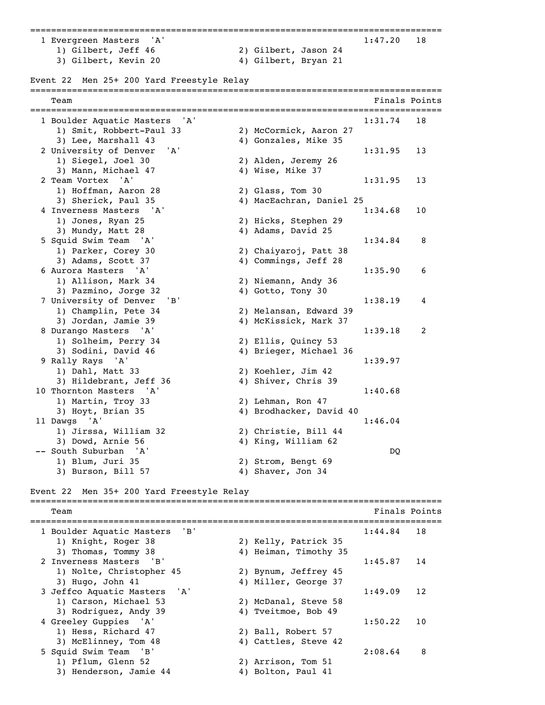=============================================================================== 1 Evergreen Masters 'A' 1:47.20 18 1) Gilbert, Jeff 46 2) Gilbert, Jason 24 3) Gilbert, Kevin 20 4) Gilbert, Bryan 21

Event 22 Men 25+ 200 Yard Freestyle Relay =============================================================================== Team **Finals Points** =============================================================================== 1 Boulder Aquatic Masters 'A' 1:31.74 18 1) Smit, Robbert-Paul 33 2) McCormick, Aaron 27 3) Lee, Marshall 43 4) Gonzales, Mike 35

 2 University of Denver 'A' 1:31.95 13 1) Siegel, Joel 30 2) Alden, Jeremy 26 3) Mann, Michael 47 4) Wise, Mike 37 2 Team Vortex 'A' 1:31.95 13 1) Hoffman, Aaron 28 2) Glass, Tom 30 3) Sherick, Paul 35 4) MacEachran, Daniel 25 4 Inverness Masters 'A' 1:34.68 10 1) Jones, Ryan 25 2) Hicks, Stephen 29 3) Mundy, Matt 28 4) Adams, David 25 5 Squid Swim Team 'A' 1:34.84 8 1) Parker, Corey 30 2) Chaiyaroj, Patt 38 3) Adams, Scott 37 4) Commings, Jeff 28 6 Aurora Masters 'A' 1:35.90 6 1) Allison, Mark 34 2) Niemann, Andy 36 3) Pazmino, Jorge 32 4) Gotto, Tony 30 7 University of Denver 'B' 1:38.19 4 1) Champlin, Pete 34 2) Melansan, Edward 39 3) Jordan, Jamie 39 4) McKissick, Mark 37 8 Durango Masters 'A' 1:39.18 2 1) Solheim, Perry 34 2) Ellis, Quincy 53 3) Sodini, David 46 4) Brieger, Michael 36 9 Rally Rays 'A' 1:39.97 1) Dahl, Matt 33 2) Koehler, Jim 42 3) Hildebrant, Jeff 36 4) Shiver, Chris 39 10 Thornton Masters 'A' 1:40.68 1) Martin, Troy 33 2) Lehman, Ron 47 3) Hoyt, Brian 35 4) Brodhacker, David 40 11 Dawgs 'A' 1:46.04 1) Jirssa, William 32 2) Christie, Bill 44 3) Dowd, Arnie 56 4) King, William 62 -- South Suburban 'A' DQ 1) Blum, Juri 35 2) Strom, Bengt 69 3) Burson, Bill 57 4) Shaver, Jon 34

# Event 22 Men 35+ 200 Yard Freestyle Relay

=============================================================================== Team Finals Points =============================================================================== 1 Boulder Aquatic Masters 'B' 1:44.84 18 1) Knight, Roger 38 2) Kelly, Patrick 35 3) Thomas, Tommy 38 4) Heiman, Timothy 35 2 Inverness Masters 'B' 1:45.87 14 1) Nolte, Christopher 45 2) Bynum, Jeffrey 45 3) Hugo, John 41 4) Miller, George 37 3 Jeffco Aquatic Masters 'A' 1:49.09 12 1) Carson, Michael 53 2) McDanal, Steve 58 3) Rodriguez, Andy 39 4) Tveitmoe, Bob 49 4 Greeley Guppies 'A' 1:50.22 10 1) Hess, Richard 47 2) Ball, Robert 57 3) McElinney, Tom 48 4) Cattles, Steve 42 5 Squid Swim Team 'B' 2:08.64 8 1) Pflum, Glenn 52 2) Arrison, Tom 51 3) Henderson, Jamie 44 4 4) Bolton, Paul 41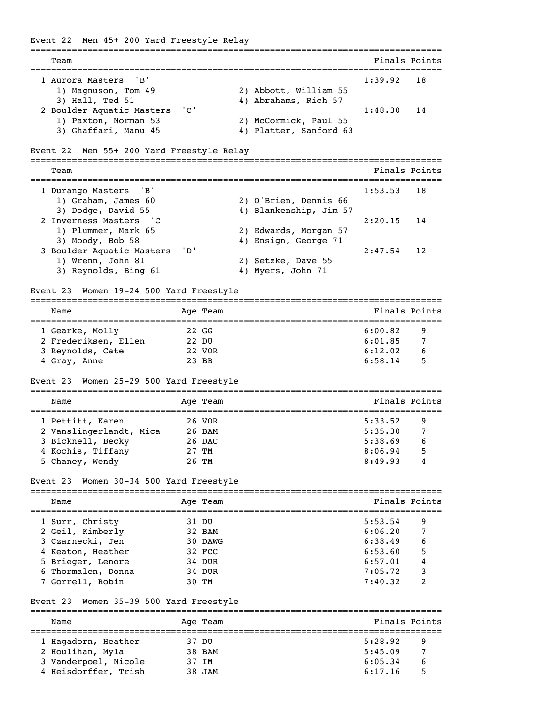Event 22 Men 45+ 200 Yard Freestyle Relay =============================================================================== Team Finals Points =============================================================================== 1 Aurora Masters 'B' 1) Magnuson, Tom 49 2) Abbott, William 55 3) Hall, Ted 51 4) Abrahams, Rich 57 2 Boulder Aquatic Masters 'C' 1:48.30 14<br>1) Paxton, Norman 53 2) McCormick, Paul 55 2) McCormick, Paul 55 3) Ghaffari, Manu 45 4) Platter, Sanford 63 Event 22 Men 55+ 200 Yard Freestyle Relay =============================================================================== Team Finals Points =============================================================================== 1 Durango Masters 'B' 1:53.53 18 1) Graham, James 60 2) O'Brien, Dennis 66 3) Dodge, David 55 4) Blankenship, Jim 57 2 Inverness Masters 'C' and the contract of the 2:20.15 14 1) Plummer, Mark 65 2) Edwards, Morgan 57 3) Moody, Bob 58 4) Ensign, George 71 3 Boulder Aquatic Masters 'D' 2:47.54 12 OUIGET Aquatic rasters -<br>1) Wrenn, John 81 2) Setzke, Dave 55 3) Reynolds, Bing 61 4) Myers, John 71 Event 23 Women 19-24 500 Yard Freestyle =============================================================================== Name Age Team Age Team Finals Points =============================================================================== 1 Gearke, Molly 22 GG 6:00.82 9 2 Frederiksen, Ellen 22 DU 6:01.85 7 3 Reynolds, Cate 22 VOR 6:12.02 6 4 Gray, Anne 23 BB 6:58.14 5 Event 23 Women 25-29 500 Yard Freestyle =============================================================================== Name **Age Team** Age Team Finals Points =============================================================================== 1 Pettitt, Karen 26 VOR 5:33.52 9 2 Vanslingerlandt, Mica and 26 BAM 5:35.30 7 3 Bicknell, Becky 26 DAC 5:38.69 6 4 Kochis, Tiffany 27 TM 8:06.94 5 5 Chaney, Wendy 26 TM 8:49.93 4 Event 23 Women 30-34 500 Yard Freestyle =============================================================================== Name Age Team Age Team Finals Points =============================================================================== 1 Surr, Christy 31 DU 5:53.54 9 2 Geil, Kimberly 32 BAM 6:06.20 7 3 Czarnecki, Jen 30 DAWG 6:38.49 6 4 Keaton, Heather 32 FCC 6:53.60 5 5 Brieger, Lenore 34 DUR 6:57.01 4 6 Thormalen, Donna 34 DUR 7:05.72 3 7 Gorrell, Robin 30 TM 7:40.32 2 Event 23 Women 35-39 500 Yard Freestyle =============================================================================== Age Team  $\qquad \qquad$  Finals Points =============================================================================== 1 Hagadorn, Heather 37 DU 5:28.92 9 2 Houlihan, Myla 38 BAM 5:45.09 7 3 Vanderpoel, Nicole 37 IM 6:05.34 6

4 Heisdorffer, Trish 38 JAM 6:17.16 5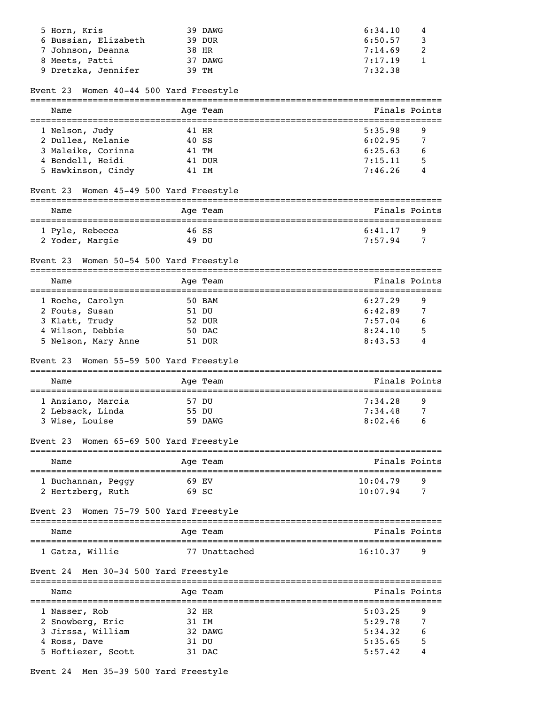| 5 Horn, Kris<br>6 Bussian, Elizabeth<br>7 Johnson, Deanna<br>8 Meets, Patti<br>9 Dretzka, Jennifer |       | 39 DAWG<br>39 DUR<br>38 HR<br>37 DAWG<br>39 TM | 6:34.10<br>6:50.57<br>7:14.69<br>7:17.19<br>7:32.38 | 4<br>3<br>2<br>1 |
|----------------------------------------------------------------------------------------------------|-------|------------------------------------------------|-----------------------------------------------------|------------------|
| Women 40-44 500 Yard Freestyle<br>Event 23                                                         |       |                                                |                                                     |                  |
| Name                                                                                               |       | Age Team                                       | Finals Points                                       |                  |
| 1 Nelson, Judy                                                                                     |       | 41 HR                                          | 5:35.98                                             | 9                |
| 2 Dullea, Melanie                                                                                  | 40 SS |                                                | 6:02.95                                             | 7                |
| 3 Maleike, Corinna                                                                                 |       | 41 TM                                          | 6:25.63                                             | 6                |
| 4 Bendell, Heidi                                                                                   |       | 41 DUR                                         | 7:15.11                                             | 5                |
| 5 Hawkinson, Cindy                                                                                 |       | 41 IM                                          | 7:46.26                                             | 4                |
| Event 23 Women 45-49 500 Yard Freestyle                                                            |       |                                                |                                                     |                  |
| Name                                                                                               |       | Age Team                                       | Finals Points                                       |                  |
| 1 Pyle, Rebecca                                                                                    |       | 46 SS                                          | 6:41.17                                             | 9                |
| 2 Yoder, Margie                                                                                    | 49 DU |                                                | 7:57.94                                             | 7                |
| Event 23 Women 50-54 500 Yard Freestyle                                                            |       |                                                |                                                     |                  |
| Name<br>=====================================                                                      |       | Age Team                                       | Finals Points                                       |                  |
| 1 Roche, Carolyn                                                                                   |       | 50 BAM                                         | 6:27.29                                             | 9                |
| 2 Fouts, Susan                                                                                     |       | 51 DU                                          | 6:42.89                                             | 7                |
| 3 Klatt, Trudy                                                                                     |       | 52 DUR                                         | 7:57.04                                             | 6                |
| 4 Wilson, Debbie                                                                                   |       | 50 DAC                                         | 8:24.10                                             | 5                |
| 5 Nelson, Mary Anne                                                                                |       | 51 DUR                                         | 8:43.53                                             | 4                |
| Women 55-59 500 Yard Freestyle<br>Event 23                                                         |       |                                                |                                                     |                  |
| Name                                                                                               |       | Age Team                                       | Finals Points                                       |                  |
| 1 Anziano, Marcia                                                                                  |       | 57 DU                                          | 7:34.28                                             | 9                |
| 2 Lebsack, Linda                                                                                   |       | 55 DU                                          | 7:34.48                                             | 7                |
| 3 Wise, Louise                                                                                     |       | 59 DAWG                                        | $8:02.46$ 6                                         |                  |
| Event 23 Women 65-69 500 Yard Freestyle                                                            |       |                                                |                                                     |                  |
| Name                                                                                               |       | Age Team                                       | Finals Points                                       |                  |
| 1 Buchannan, Peggy                                                                                 | 69 EV |                                                | 10:04.79                                            | 9                |
| 2 Hertzberg, Ruth                                                                                  | 69 SC |                                                | 10:07.94                                            | 7                |
| Women 75-79 500 Yard Freestyle<br>Event 23                                                         |       |                                                |                                                     |                  |
| Name                                                                                               |       | Age Team                                       | Finals Points                                       |                  |
| 1 Gatza, Willie                                                                                    |       | 77 Unattached                                  | 16:10.37                                            | 9                |
| Event 24 Men 30-34 500 Yard Freestyle                                                              |       |                                                |                                                     |                  |
| Name                                                                                               |       | Aqe Team                                       | Finals Points                                       |                  |
|                                                                                                    |       |                                                |                                                     |                  |
| 1 Nasser, Rob                                                                                      |       | 32 HR                                          | 5:03.25                                             | 9                |
| 2 Snowberg, Eric                                                                                   |       | 31 IM                                          | 5:29.78                                             | 7                |
| 3 Jirssa, William                                                                                  |       | 32 DAWG                                        | 5:34.32                                             | 6                |
| 4 Ross, Dave<br>5 Hoftiezer, Scott                                                                 |       | 31 DU<br>31 DAC                                | 5:35.65<br>5:57.42                                  | 5                |
|                                                                                                    |       |                                                |                                                     |                  |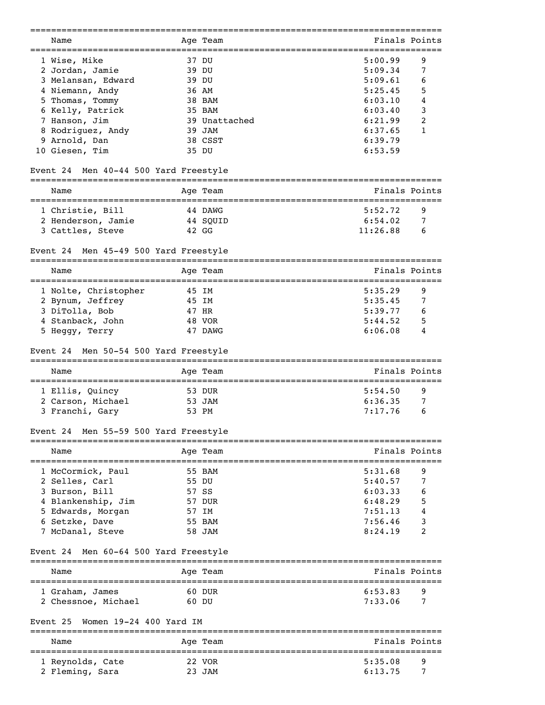| Name                                                                               |       | Age Team                               | Finals Points                                    |        |
|------------------------------------------------------------------------------------|-------|----------------------------------------|--------------------------------------------------|--------|
| 1 Wise, Mike                                                                       |       | 37 DU                                  | 5:00.99                                          | 9      |
| 2 Jordan, Jamie                                                                    |       | 39 DU                                  | 5:09.34                                          | 7      |
| 3 Melansan, Edward                                                                 |       | 39 DU                                  | 5:09.61                                          | 6      |
| 4 Niemann, Andy                                                                    |       | 36 AM                                  | 5:25.45                                          | 5      |
| 5 Thomas, Tommy                                                                    |       | 38 BAM                                 | 6:03.10                                          | 4      |
| 6 Kelly, Patrick                                                                   |       | 35 BAM                                 | 6:03.40                                          | 3      |
| 7 Hanson, Jim                                                                      |       | 39 Unattached                          | 6:21.99                                          | 2      |
| 8 Rodriguez, Andy                                                                  |       | 39 JAM                                 | 6:37.65                                          | 1      |
| 9 Arnold, Dan                                                                      |       | 38 CSST                                | 6:39.79                                          |        |
| 10 Giesen, Tim                                                                     |       | 35 DU                                  | 6:53.59                                          |        |
|                                                                                    |       |                                        |                                                  |        |
| Men 40-44 500 Yard Freestyle<br>Event 24<br>====================================== |       |                                        |                                                  |        |
| Name                                                                               |       | Age Team                               | Finals Points                                    |        |
| 1 Christie, Bill                                                                   |       | 44 DAWG                                | 5:52.72                                          | 9      |
| 2 Henderson, Jamie                                                                 |       | 44 SQUID                               | 6:54.02                                          | 7      |
| 3 Cattles, Steve                                                                   |       | 42 GG                                  | 11:26.88                                         | 6      |
| Men 45-49 500 Yard Freestyle<br>Event 24                                           |       |                                        |                                                  |        |
| Name                                                                               |       | Age Team                               | Finals Points                                    |        |
|                                                                                    |       |                                        |                                                  |        |
| 1 Nolte, Christopher                                                               |       | 45 IM                                  | 5:35.29                                          | 9      |
| 2 Bynum, Jeffrey                                                                   | 45 IM |                                        | 5:35.45                                          | 7      |
| 3 DiTolla, Bob                                                                     |       | 47 HR                                  | 5:39.77                                          | 6      |
| 4 Stanback, John                                                                   |       | 48 VOR                                 | 5:44.52                                          | 5      |
| 5 Heggy, Terry                                                                     |       | 47 DAWG                                | 6:06.08                                          | 4      |
| Men 50-54 500 Yard Freestyle<br>Event 24                                           |       |                                        |                                                  |        |
| Name                                                                               |       | Age Team                               | Finals Points                                    |        |
|                                                                                    |       |                                        |                                                  |        |
| 1 Ellis, Quincy                                                                    |       | 53 DUR                                 | 5:54.50                                          | 9      |
| 2 Carson, Michael                                                                  |       | 53 JAM                                 | 6:36.35                                          | 7      |
| 3 Franchi, Gary                                                                    |       | 53 PM                                  | 7:17.76                                          | 6      |
| Men 55-59 500 Yard Freestyle<br>Event 24                                           |       |                                        |                                                  |        |
| Name                                                                               |       | Age Team                               | Finals Points                                    |        |
|                                                                                    |       |                                        | ==================                               |        |
| 1 McCormick, Paul                                                                  |       | 55 BAM                                 | 5:31.68                                          | 9      |
| 2 Selles, Carl                                                                     |       | 55 DU                                  | 5:40.57                                          | 7      |
| 3 Burson, Bill                                                                     |       | 57 SS                                  | 6:03.33                                          | 6      |
| 4 Blankenship, Jim                                                                 |       | 57 DUR                                 | 6:48.29                                          | 5      |
| 5 Edwards, Morgan                                                                  |       | 57 IM                                  | 7:51.13                                          | 4      |
| 6 Setzke, Dave                                                                     |       | 55 BAM                                 | 7:56.46                                          | 3      |
| 7 McDanal, Steve                                                                   |       | 58 JAM                                 | 8:24.19                                          | 2      |
| Men 60-64 500 Yard Freestyle<br>Event 24                                           |       |                                        |                                                  |        |
| Name                                                                               |       | Age Team                               | ==============<br>Finals Points                  |        |
|                                                                                    |       |                                        |                                                  |        |
| 1 Graham, James<br>2 Chessnoe, Michael                                             |       | 60 DUR<br>60 DU                        | 6:53.83<br>7:33.06                               | 9<br>7 |
|                                                                                    |       |                                        |                                                  |        |
| Women 19-24 400 Yard IM<br>Event 25                                                |       | ==========                             |                                                  |        |
| Name<br>========================                                                   |       | Age Team<br>========================== | Finals Points<br>=============================== |        |
| 1 Reynolds, Cate                                                                   |       | 22 VOR                                 | 5:35.08                                          | 9      |
| 2 Fleming, Sara                                                                    |       | 23 JAM                                 | 6:13.75                                          | 7      |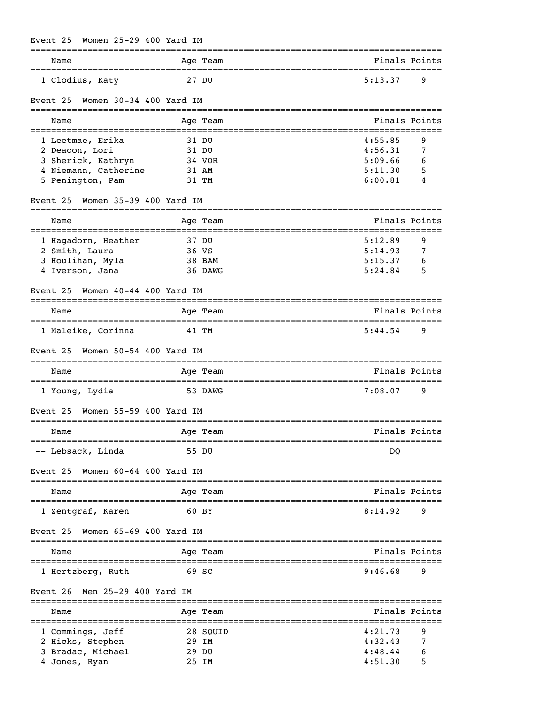| Women 25-29 400 Yard IM<br>Event 25                                                                                                         |                                            |                                                                              |
|---------------------------------------------------------------------------------------------------------------------------------------------|--------------------------------------------|------------------------------------------------------------------------------|
| Name                                                                                                                                        | Age Team                                   | Finals Points                                                                |
| 1 Clodius, Katy                                                                                                                             | 27 DU                                      | 5:13.37<br>9                                                                 |
| Women $30-34$ 400 Yard IM<br>Event 25<br>___________________________                                                                        |                                            |                                                                              |
| Name                                                                                                                                        | Age Team                                   | Finals Points                                                                |
| 1 Leetmae, Erika<br>2 Deacon, Lori<br>3 Sherick, Kathryn<br>4 Niemann, Catherine<br>5 Penington, Pam<br>Women 35-39 400 Yard IM<br>Event 25 | 31 DU<br>31 DU<br>34 VOR<br>31 AM<br>31 TM | 4:55.85<br>9<br>4:56.31<br>7<br>5:09.66<br>6<br>5:11.30<br>5<br>6:00.81<br>4 |
| Name                                                                                                                                        | Age Team                                   | Finals Points                                                                |
| 1 Hagadorn, Heather<br>2 Smith, Laura<br>3 Houlihan, Myla<br>4 Iverson, Jana                                                                | 37 DU<br>36 VS<br>38 BAM<br>36 DAWG        | ==========<br>5:12.89<br>9<br>5:14.93<br>7<br>5:15.37<br>6<br>5:24.84<br>5   |
| Women $40-44$ $400$ Yard IM<br>Event 25                                                                                                     |                                            |                                                                              |
| Name<br>---------------------------------                                                                                                   | Age Team                                   | Finals Points<br>-------------------------                                   |
| 1 Maleike, Corinna<br>Women 50-54 400 Yard IM<br>Event 25                                                                                   | 41 TM                                      | 5:44.54<br>9                                                                 |

| Name           | Aqe Team | Finals Points  |
|----------------|----------|----------------|
| 1 Young, Lydia | 53 DAWG  | 7:08.07<br>- q |

| Event 25 Women 55-59 400 Yard IM |          |               |
|----------------------------------|----------|---------------|
| Name                             | Age Team | Finals Points |
| -- Lebsack, Linda                | 55 DU    | DO            |

Event 25 Women 60-64 400 Yard IM

| Name              | Age Team | Finals Points |     |
|-------------------|----------|---------------|-----|
| 1 Zentgraf, Karen | 60 BY    | 8:14.92       | ∣ Q |
|                   |          |               |     |

Event 25 Women 65-69 400 Yard IM

| Name              | Age Team | Finals Points |
|-------------------|----------|---------------|
| 1 Hertzberg, Ruth | 69 SC    | 9:46.68<br>q  |

Event 26 Men 25-29 400 Yard IM

| Name              | Age Team | Finals Points |  |
|-------------------|----------|---------------|--|
| 1 Commings, Jeff  | 28 SOUID | 4:21.73<br>-9 |  |
| 2 Hicks, Stephen  | 29 TM    | 4:32.43       |  |
| 3 Bradac, Michael | 29 DU    | 4:48.44<br>6  |  |
| 4 Jones, Ryan     | 25 TM    | 5<br>4:51.30  |  |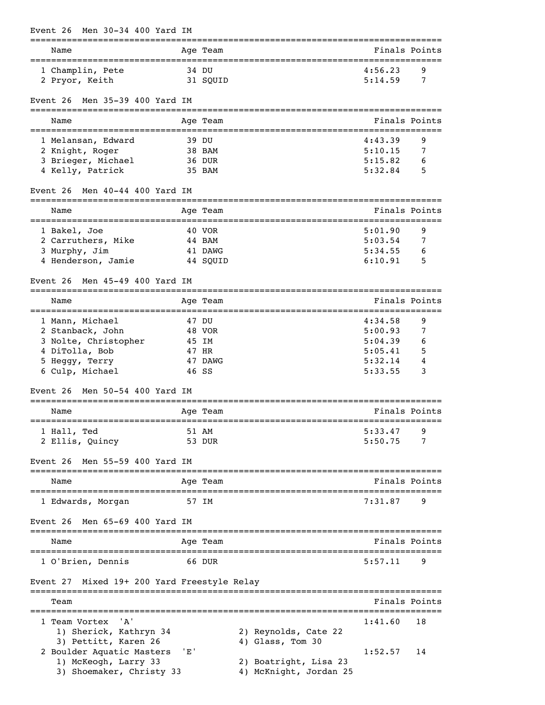| Men 30-34 400 Yard IM<br>Event 26                                          |     |                           |                                    |         |               |
|----------------------------------------------------------------------------|-----|---------------------------|------------------------------------|---------|---------------|
| ==============================<br>Name                                     |     | Age Team                  |                                    |         | Finals Points |
| 1 Champlin, Pete                                                           |     | 34 DU                     |                                    | 4:56.23 | 9             |
| 2 Pryor, Keith                                                             |     | 31 SQUID                  |                                    | 5:14.59 | 7             |
| Men 35-39 400 Yard IM<br>Event 26                                          |     |                           |                                    |         |               |
| Name                                                                       |     | Age Team<br>============= | __________________________________ |         | Finals Points |
| 1 Melansan, Edward                                                         |     | 39 DU                     |                                    | 4:43.39 | 9             |
| 2 Knight, Roger                                                            |     | 38 BAM                    |                                    | 5:10.15 | 7             |
| 3 Brieger, Michael                                                         |     | 36 DUR                    |                                    | 5:15.82 | 6             |
| 4 Kelly, Patrick                                                           |     | 35 BAM                    |                                    | 5:32.84 | 5             |
| Men 40-44 400 Yard IM<br>Event 26                                          |     |                           |                                    |         |               |
| Name                                                                       |     | Age Team                  |                                    |         | Finals Points |
| 1 Bakel, Joe                                                               |     | 40 VOR                    |                                    | 5:01.90 | 9             |
| 2 Carruthers, Mike                                                         |     | 44 BAM                    |                                    | 5:03.54 | 7             |
| 3 Murphy, Jim                                                              |     | 41 DAWG                   |                                    | 5:34.55 | 6             |
| 4 Henderson, Jamie                                                         |     | 44 SQUID                  |                                    | 6:10.91 | 5             |
| Men 45-49 400 Yard IM<br>Event 26<br>;==================================== |     |                           |                                    |         |               |
| Name                                                                       |     | Age Team                  |                                    |         | Finals Points |
| 1 Mann, Michael                                                            |     | 47 DU                     |                                    | 4:34.58 | 9             |
| 2 Stanback, John                                                           |     | 48 VOR                    |                                    | 5:00.93 | 7             |
| 3 Nolte, Christopher                                                       |     | 45 IM                     |                                    | 5:04.39 | 6             |
| 4 DiTolla, Bob                                                             |     | 47 HR                     |                                    | 5:05.41 | 5             |
| 5 Heggy, Terry                                                             |     | 47 DAWG                   |                                    | 5:32.14 | 4             |
| 6 Culp, Michael                                                            |     | 46 SS                     |                                    | 5:33.55 | 3             |
| Men 50-54 400 Yard IM<br>Event 26                                          |     |                           |                                    |         |               |
| Name                                                                       |     | Age Team                  |                                    |         | Finals Points |
| 1 Hall, Ted                                                                |     | 51 AM                     |                                    | 5:33.47 | 9             |
| 2 Ellis, Quincy                                                            |     | 53 DUR                    |                                    | 5:50.75 | 7             |
| Men 55-59 400 Yard IM<br>Event 26                                          |     |                           |                                    |         |               |
| Name                                                                       |     | Age Team                  |                                    |         | Finals Points |
| _______________________________                                            |     | 57 IM                     |                                    | 7:31.87 | 9             |
| 1 Edwards, Morgan                                                          |     |                           |                                    |         |               |
| Men 65-69 400 Yard IM<br>Event 26                                          |     |                           |                                    |         |               |
| Name                                                                       |     | Age Team                  |                                    |         | Finals Points |
| 1 O'Brien, Dennis                                                          |     | 66 DUR                    |                                    | 5:57.11 | 9             |
| Mixed 19+ 200 Yard Freestyle Relay<br>Event 27                             |     |                           |                                    |         |               |
| Team                                                                       |     |                           |                                    |         | Finals Points |
| 'A'<br>1 Team Vortex                                                       |     |                           |                                    | 1:41.60 | 18            |
| 1) Sherick, Kathryn 34                                                     |     |                           | 2) Reynolds, Cate 22               |         |               |
| 3) Pettitt, Karen 26                                                       |     |                           | 4) Glass, Tom 30                   |         |               |
| 2 Boulder Aquatic Masters                                                  | 'E' |                           |                                    | 1:52.57 | 14            |
| 1) McKeogh, Larry 33                                                       |     |                           | 2) Boatright, Lisa 23              |         |               |
| 3) Shoemaker, Christy 33                                                   |     |                           | 4) McKnight, Jordan 25             |         |               |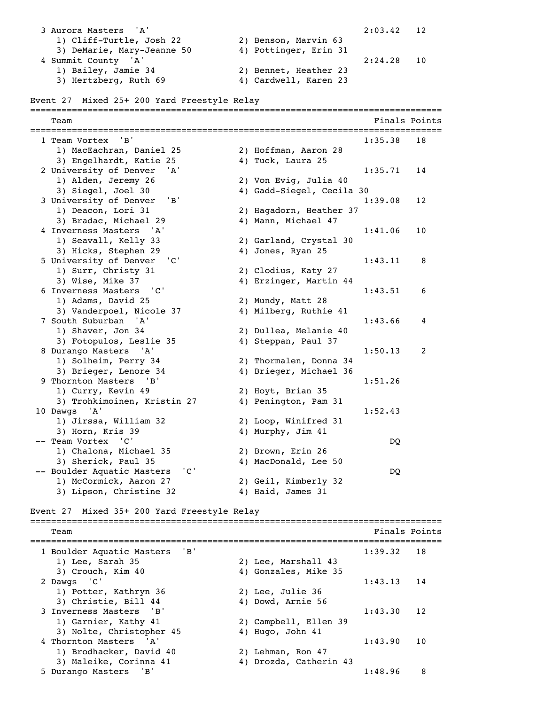3 Aurora Masters 'A' 2:03.42 12 1) Cliff-Turtle, Josh 22 2) Benson, Marvin 63<br>3) DeMarie, Mary-Jeanne 50 4) Pottinger, Erin 31 3) DeMarie, Mary-Jeanne 50 4 Summit County 'A' 2:24.28 10 1) Bailey, Jamie 34 2) Bennet, Heather 23 3) Hertzberg, Ruth 69 4) Cardwell, Karen 23 Event 27 Mixed 25+ 200 Yard Freestyle Relay =============================================================================== **Team** Finals Points **Properties Finals** Points **Properties Finals** Points =============================================================================== 1 Team Vortex 'B' 1:35.38 18 1) MacEachran, Daniel 25 2) Hoffman, Aaron 28 3) Engelhardt, Katie 25 (4) Tuck, Laura 25 2 University of Denver 'A' 1:35.71 14 1) Alden, Jeremy 26 2) Von Evig, Julia 40 3) Siegel, Joel 30 4) Gadd-Siegel, Cecila 30 3 University of Denver 'B' 1:39.08 12 1) Deacon, Lori 31 2) Hagadorn, Heather 37 3) Bradac, Michael 29 4) Mann, Michael 47 4 Inverness Masters 'A' 1:41.06 10 1) Seavall, Kelly 33 2) Garland, Crystal 30 3) Hicks, Stephen 29 4) Jones, Ryan 25 5 University of Denver 'C' 1:43.11 8 1) Surr, Christy 31 2) Clodius, Katy 27 3) Wise, Mike 37 4) Erzinger, Martin 44 6 Inverness Masters 'C' 1:43.51 6 1) Adams, David 25 2) Mundy, Matt 28 3) Vanderpoel, Nicole 37 4) Milberg, Ruthie 41 7 South Suburban 'A' 1:43.66 4 1) Shaver, Jon 34 2) Dullea, Melanie 40<br>3) Fotopulos, Leslie 35 4) Steppan, Paul 37 3) Fotopulos, Leslie 35 8 Durango Masters 'A' 1:50.13 2 1) Solheim, Perry 34 2) Thormalen, Donna 34 3) Brieger, Lenore 34 4) Brieger, Michael 36 9 Thornton Masters 'B' 1:51.26 1) Curry, Kevin 49 2) Hoyt, Brian 35 3) Trohkimoinen, Kristin 27 4) Penington, Pam 31 10 Dawgs 'A' 1:52.43 1) Jirssa, William 32 2) Loop, Winifred 31 3) Horn, Kris 39 4) Murphy, Jim 41 -- Team Vortex 'C' DQ 1) Chalona, Michael 35 2) Brown, Erin 26 3) Sherick, Paul 35 4) MacDonald, Lee 50 -- Boulder Aquatic Masters 'C' DQ 1) McCormick, Aaron 27 2) Geil, Kimberly 32 3) Lipson, Christine 32 4) Haid, James 31 Event 27 Mixed 35+ 200 Yard Freestyle Relay =============================================================================== Team Finals Points =============================================================================== 1 Boulder Aquatic Masters 'B' 1:39.32 18 1) Lee, Sarah 35 2) Lee, Marshall 43 3) Crouch, Kim 40 4) Gonzales, Mike 35 2 Dawgs 'C' 1:43.13 14 1) Potter, Kathryn 36 2) Lee, Julie 36 3) Christie, Bill 44 4) Dowd, Arnie 56 3 Inverness Masters 'B' 1:43.30 12 1) Garnier, Kathy 41 2) Campbell, Ellen 39 3) Nolte, Christopher 45 4) Hugo, John 41 4 Thornton Masters 'A' 1:43.90 10 1) Brodhacker, David 40 2) Lehman, Ron 47 3) Maleike, Corinna 41 4) Drozda, Catherin 43 5 Durango Masters 'B' 1:48.96 8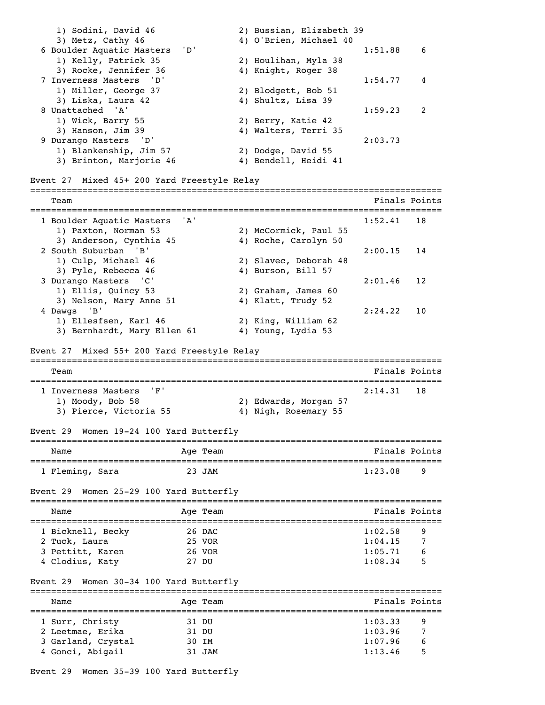1) Sodini, David 46 2) Bussian, Elizabeth 39 3) Metz, Cathy 46 4) O'Brien, Michael 40 6 Boulder Aquatic Masters 'D' 1:51.88 6 1) Kelly, Patrick 35 2) Houlihan, Myla 38 3) Rocke, Jennifer 36 4) Knight, Roger 38 7 Inverness Masters 'D' 1:54.77 4 1) Miller, George 37 2) Blodgett, Bob 51 3) Liska, Laura 42 4) Shultz, Lisa 39 8 Unattached 'A' 1:59.23 2 1) Wick, Barry 55 2) Berry, Katie 42 3) Hanson, Jim 39 4) Walters, Terri 35 9 Durango Masters 'D' 2:03.73 1) Blankenship, Jim 57 2) Dodge, David 55 3) Brinton, Marjorie 46 4) Bendell, Heidi 41 Event 27 Mixed 45+ 200 Yard Freestyle Relay =============================================================================== Team Finals Points =============================================================================== 1 Boulder Aquatic Masters 'A' 1:52.41 18 1) Paxton, Norman 53 2) McCormick, Paul 55 3) Anderson, Cynthia 45 4) Roche, Carolyn 50 2 South Suburban 'B' 2:00.15 14 1) Culp, Michael 46 2) Slavec, Deborah 48 3) Pyle, Rebecca 46 4) Burson, Bill 57 3 Durango Masters 'C' 2:01.46 12 1) Ellis, Quincy 53 2) Graham, James 60 3) Nelson, Mary Anne 51 4) Klatt, Trudy 52 4 Dawgs 'B' 2:24.22 10 1) Ellesfsen, Karl 46 2) King, William 62 3) Bernhardt, Mary Ellen 61 4) Young, Lydia 53 Event 27 Mixed 55+ 200 Yard Freestyle Relay =============================================================================== Team Finals Points =============================================================================== 1 Inverness Masters 'F' 2:14.31 18 1) Moody, Bob 58 2) Edwards, Morgan 57 3) Pierce, Victoria 55 4) Nigh, Rosemary 55 Event 29 Women 19-24 100 Yard Butterfly =============================================================================== Name Age Team Age Team Finals Points =============================================================================== 1 Fleming, Sara and 23 JAM Event 29 Women 25-29 100 Yard Butterfly =============================================================================== Name **Age Team** Age Team **Finals Points** =============================================================================== 1 Bicknell, Becky 26 DAC 1:02.58 9<br>
2 Tuck, Laura 25 VOR 1:04.15 7<br>
3 Pettitt, Karen 26 VOR 1:05.71 6 2 Tuck, Laura 25 VOR 1:04.15 7 3 Pettitt, Karen 26 VOR 1:05.71 6 4 Clodius, Katy 27 DU 1:08.34 5 Event 29 Women 30-34 100 Yard Butterfly =============================================================================== Name **Age Team** Age Team Finals Points =============================================================================== 1 Surr, Christy 31 DU 1:03.33 9 2 Leetmae, Erika 31 DU 1:03.96 7 3 Garland, Crystal 30 IM 1:07.96 6 4 Gonci, Abigail 31 JAM 1:13.46 5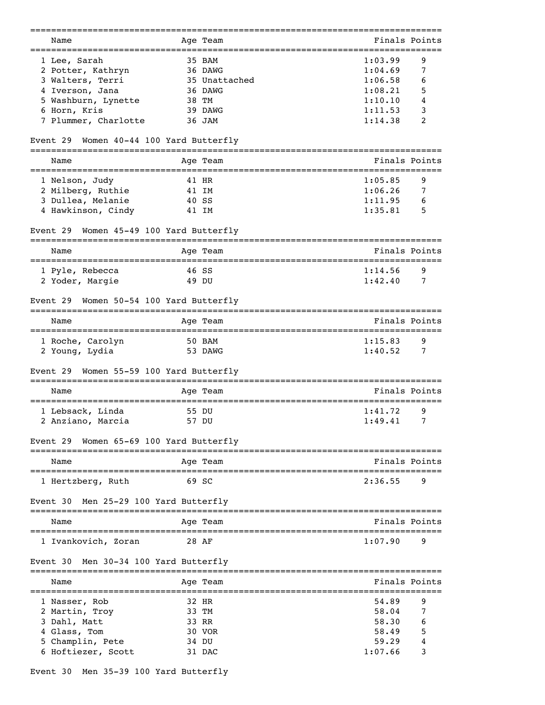| Name                                           |                | Age Team      | Finals Points        |        |
|------------------------------------------------|----------------|---------------|----------------------|--------|
| 1 Lee, Sarah                                   |                | 35 BAM        | 1:03.99              | 9      |
| 2 Potter, Kathryn                              |                | 36 DAWG       | 1:04.69              | 7      |
| 3 Walters, Terri                               |                | 35 Unattached | 1:06.58              | 6      |
|                                                |                |               |                      |        |
| 4 Iverson, Jana                                |                | 36 DAWG       | 1:08.21              | 5      |
| 5 Washburn, Lynette                            | 38 TM          |               | 1:10.10              | 4      |
| 6 Horn, Kris                                   |                | 39 DAWG       | 1:11.53              | 3      |
| 7 Plummer, Charlotte                           |                | 36 JAM        | 1:14.38              | 2      |
| Women 40-44 100 Yard Butterfly<br>Event 29     |                |               |                      |        |
| Name<br>====================================== |                | Age Team      | Finals Points        |        |
| 1 Nelson, Judy                                 | 41 HR          |               | 1:05.85              | 9      |
| 2 Milberg, Ruthie                              | 41 IM          |               | 1:06.26              | 7      |
| 3 Dullea, Melanie                              | 40 SS          |               | 1:11.95              | 6      |
| 4 Hawkinson, Cindy                             | 41 IM          |               | 1:35.81              | 5      |
| Women 45-49 100 Yard Butterfly<br>Event 29     |                |               |                      |        |
| Name                                           |                | Age Team      | Finals Points        |        |
|                                                |                |               |                      |        |
| 1 Pyle, Rebecca<br>2 Yoder, Margie             | 46 SS<br>49 DU |               | 1:14.56<br>1:42.40   | 9<br>7 |
|                                                |                |               |                      |        |
| Women 50-54 100 Yard Butterfly<br>Event 29     |                |               |                      |        |
| Name                                           |                | Age Team      | Finals Points        |        |
| 1 Roche, Carolyn                               |                | 50 BAM        | 1:15.83              | 9      |
| 2 Young, Lydia                                 |                | 53 DAWG       | 1:40.52              | 7      |
| Women 55-59 100 Yard Butterfly<br>Event 29     |                | ========      |                      |        |
| Name                                           |                | Age Team      | Finals Points        |        |
| 1 Lebsack, Linda                               | 55 DU          |               | 1:41.72              | 9      |
| 2 Anziano, Marcia                              | 57 DU          |               | 1:49.41              | 7      |
| Women 65-69 100 Yard Butterfly<br>Event 29     |                |               |                      |        |
| ____________________________<br>Name           |                | Age Team      | Finals Points        |        |
| 1 Hertzberg, Ruth                              | 69 SC          |               | 2:36.55              | 9      |
|                                                |                |               |                      |        |
| Men 25-29 100 Yard Butterfly<br>Event 30       |                |               |                      |        |
| Name                                           |                | Aqe Team      | Finals Points        |        |
| 1 Ivankovich, Zoran                            | 28 AF          |               | 1:07.90              | 9      |
| Men 30-34 100 Yard Butterfly<br>Event 30       |                |               | ==================== |        |
| Name                                           |                | Age Team      | Finals Points        |        |
| 1 Nasser, Rob                                  | 32 HR          |               | 54.89                | 9      |
| 2 Martin, Troy                                 | 33 TM          |               | 58.04                | 7      |
| 3 Dahl, Matt                                   | 33 RR          |               | 58.30                | 6      |
|                                                |                |               |                      |        |
| Glass, Tom                                     |                | 30 VOR        | 58.49                | 5      |
| Champlin, Pete                                 | 34 DU          |               | 59.29                | 4      |
| 6 Hoftiezer, Scott                             |                | 31 DAC        | 1:07.66              | 3      |
|                                                |                |               |                      |        |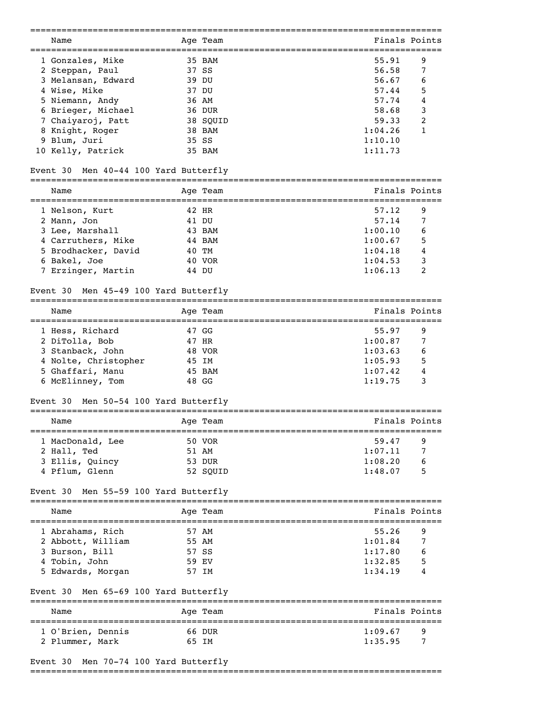| Name                                     | Age Team | Finals Points                        |                |
|------------------------------------------|----------|--------------------------------------|----------------|
| 1 Gonzales, Mike                         | 35 BAM   | 55.91                                | 9              |
| 2 Steppan, Paul                          | 37 SS    | 56.58                                | 7              |
| 3 Melansan, Edward                       | 39 DU    | 56.67                                | 6              |
| 4 Wise, Mike                             | 37 DU    | 57.44                                | 5              |
| 5 Niemann, Andy                          | 36 AM    | 57.74                                | 4              |
| 6 Brieger, Michael                       | 36 DUR   | 58.68                                | 3              |
| 7 Chaiyaroj, Patt                        | 38 SQUID | 59.33                                | 2              |
| 8 Knight, Roger                          | 38 BAM   | 1:04.26                              | 1              |
| 9 Blum, Juri                             | 35 SS    | 1:10.10                              |                |
| 10 Kelly, Patrick                        | 35 BAM   | 1:11.73                              |                |
| Men 40-44 100 Yard Butterfly<br>Event 30 |          |                                      |                |
| Name                                     | Age Team | Finals Points                        |                |
| 1 Nelson, Kurt                           | 42 HR    | 57.12                                | 9              |
| 2 Mann, Jon                              | 41 DU    | 57.14                                | 7              |
| 3 Lee, Marshall                          | 43 BAM   | 1:00.10                              | 6              |
| 4 Carruthers, Mike                       | 44 BAM   | 1:00.67                              | 5              |
| 5 Brodhacker, David                      | 40 TM    | 1:04.18                              | 4              |
| 6 Bakel, Joe                             | 40 VOR   | 1:04.53                              | 3              |
| 7 Erzinger, Martin                       | 44 DU    | 1:06.13                              | 2              |
| Men 45-49 100 Yard Butterfly<br>Event 30 |          |                                      |                |
| Name                                     | Age Team | Finals Points                        |                |
|                                          |          | ==================================== |                |
| 1 Hess, Richard                          | 47 GG    | 55.97                                | 9              |
| 2 DiTolla, Bob                           | 47 HR    | 1:00.87                              | 7              |
| 3 Stanback, John                         | 48 VOR   | 1:03.63                              | 6              |
| 4 Nolte, Christopher                     | 45 IM    | 1:05.93                              | 5              |
| 5 Ghaffari, Manu                         | 45 BAM   | 1:07.42                              | 4              |
| 6 McElinney, Tom                         | 48 GG    | 1:19.75                              | 3              |
| Men 50-54 100 Yard Butterfly<br>Event 30 | -------- |                                      |                |
| Name                                     | Age Team | Finals Points                        |                |
| 1 MacDonald, Lee                         | 50 VOR   | 59.47                                | 9              |
| 2 Hall, Ted                              | 51 AM    | 1:07.11                              | 7              |
| 3 Ellis, Quincy                          | 53 DUR   | 1:08.20                              | 6              |
| 4 Pflum, Glenn                           | 52 SQUID | 1:48.07                              | 5              |
| Men 55-59 100 Yard Butterfly<br>Event 30 |          |                                      |                |
| Name                                     | Age Team | Finals Points                        |                |
| 1 Abrahams, Rich                         | 57 AM    | 55.26                                | ---------<br>9 |
| 2 Abbott, William                        | 55 AM    | 1:01.84                              | 7              |
| 3 Burson, Bill                           | 57 SS    | 1:17.80                              | 6              |
| 4 Tobin, John                            | 59 EV    | 1:32.85                              | 5              |
| 5 Edwards, Morgan                        | 57 IM    | 1:34.19                              | 4              |
| Men 65-69 100 Yard Butterfly<br>Event 30 |          |                                      |                |
| Name                                     | Age Team | Finals Points                        |                |
| 1 O'Brien, Dennis                        | 66 DUR   | 1:09.67                              | 9              |
| 2 Plummer, Mark                          | 65 IM    | 1:35.95                              | 7              |
|                                          |          |                                      |                |
| Event 30 Men 70-74 100 Yard Butterfly    |          |                                      |                |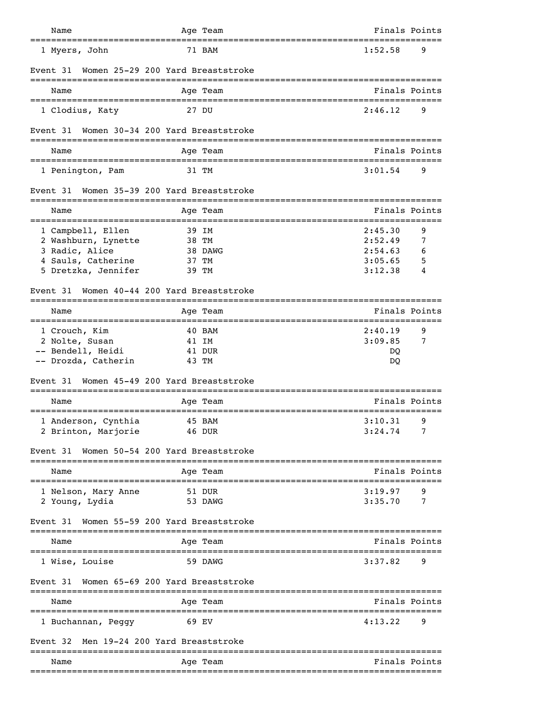| Name                      | Age Team                                        | Finals Points                                       |
|---------------------------|-------------------------------------------------|-----------------------------------------------------|
| 1 Myers, John             | 71 BAM                                          | 1:52.58<br>9                                        |
| Event 31                  | Women 25-29 200 Yard Breaststroke               |                                                     |
| Name                      | Age Team                                        | Finals Points                                       |
| 1 Clodius, Katy           | 27 DU                                           | 2:46.12<br>9                                        |
| Event 31                  | Women 30-34 200 Yard Breaststroke               |                                                     |
| Name                      | Age Team                                        | Finals Points                                       |
| 1 Penington, Pam          | 31 TM                                           | 3:01.54<br>9                                        |
| Event 31                  | Women 35-39 200 Yard Breaststroke<br>========== |                                                     |
| Name<br>================= | Age Team                                        | Finals Points                                       |
| 1 Campbell, Ellen         | 39 IM                                           | 9<br>2:45.30                                        |
| 2 Washburn, Lynette       | 38 TM                                           | 2:52.49<br>7                                        |
| 3 Radic, Alice            | 38 DAWG                                         | 2:54.63<br>6                                        |
| 4 Sauls, Catherine        | 37 TM                                           | 3:05.65<br>5                                        |
| 5 Dretzka, Jennifer       | 39 TM                                           | 3:12.38<br>4                                        |
| Event 31                  | Women 40-44 200 Yard Breaststroke               |                                                     |
| Name                      | Age Team                                        | Finals Points<br>__________________________________ |
| 1 Crouch, Kim             | 40 BAM                                          | 2:40.19<br>9                                        |
| 2 Nolte, Susan            | 41 IM                                           | 3:09.85<br>7                                        |
| -- Bendell, Heidi         | 41 DUR                                          | DQ                                                  |
| -- Drozda, Catherin       | 43 TM                                           | DQ                                                  |
| Event 31                  | Women 45-49 200 Yard Breaststroke<br>________   |                                                     |
| Name                      | Age Team<br>==========                          | Finals Points                                       |
| 1 Anderson, Cynthia       | 45 BAM                                          | 3:10.31<br>9                                        |
| 2 Brinton, Marjorie       | 46 DUR                                          | 3:24.74<br>7                                        |
| Event 31                  | Women 50-54 200 Yard Breaststroke               |                                                     |
| Name                      | ===========<br>Age Team                         | Finals Points                                       |
| 1 Nelson, Mary Anne       | ----------<br>51 DUR                            | 3:19.97<br>9                                        |
| 2 Young, Lydia            | 53 DAWG                                         | 3:35.70<br>7                                        |
| Event 31                  | Women 55-59 200 Yard Breaststroke               |                                                     |
| Name                      | Age Team                                        | Finals Points                                       |
| 1 Wise, Louise            | 59 DAWG                                         | 3:37.82<br>9                                        |
| Event 31                  | Women 65-69 200 Yard Breaststroke               |                                                     |
| Name                      | Age Team                                        | Finals Points                                       |
| 1 Buchannan, Peggy        | 69 EV                                           | 9<br>4:13.22                                        |
| Event 32                  | Men 19-24 200 Yard Breaststroke                 |                                                     |
| Name                      | Age Team                                        | Finals Points                                       |
|                           |                                                 |                                                     |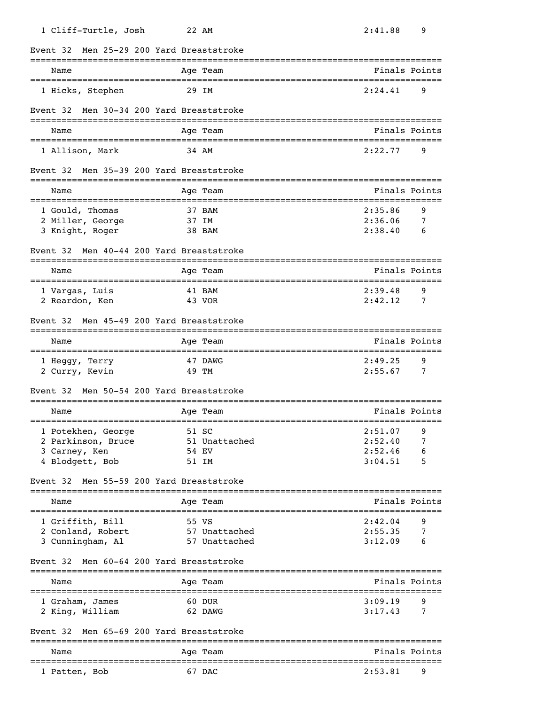| 1 Cliff-Turtle, Josh                      | 22 AM                           | 2:41.88<br>9                                 |
|-------------------------------------------|---------------------------------|----------------------------------------------|
| Event 32                                  | Men 25-29 200 Yard Breaststroke |                                              |
| Name<br>______________________            | Age Team                        | Finals Points                                |
| 1 Hicks, Stephen                          | 29 IM                           | 9<br>2:24.41                                 |
| Event 32                                  | Men 30-34 200 Yard Breaststroke |                                              |
| Name                                      | Age Team                        | Finals Points                                |
| 1 Allison, Mark                           | 34 AM                           | 2:22.77<br>9                                 |
| Event 32                                  | Men 35-39 200 Yard Breaststroke |                                              |
| Name<br>================================= | Age Team                        | Finals Points<br>=========================== |
| 1 Gould, Thomas                           | 37 BAM                          | 2:35.86<br>9                                 |
| 2 Miller, George                          | 37 IM                           | 2:36.06<br>7                                 |
| 3 Knight, Roger                           | 38 BAM                          | 2:38.40<br>6                                 |
| Event 32                                  | Men 40-44 200 Yard Breaststroke |                                              |
| Name                                      | Age Team                        | Finals Points                                |
| 1 Vargas, Luis                            | 41 BAM                          | 2:39.48<br>9                                 |
| 2 Reardon, Ken                            | 43 VOR                          | 2:42.12<br>7                                 |
| Event 32                                  | Men 45-49 200 Yard Breaststroke |                                              |
| Name                                      | Age Team                        | Finals Points                                |
| 1 Heggy, Terry                            | 47 DAWG                         | 2:49.25<br>9                                 |
| 2 Curry, Kevin                            | 49 TM                           | 2:55.67<br>7                                 |
| Event 32                                  | Men 50-54 200 Yard Breaststroke |                                              |
| Name                                      | Age Team                        | Finals Points                                |
| 1 Potekhen, George                        | 51 SC                           | 2:51.07<br>9                                 |
| 2 Parkinson, Bruce                        | 51 Unattached                   | 2:52.40                                      |
| 3 Carney, Ken                             | 54 EV                           | 2:52.46<br>6                                 |
| 4 Blodgett, Bob                           | 51 IM                           | 3:04.51<br>5                                 |
| Event 32                                  | Men 55-59 200 Yard Breaststroke |                                              |
| Name                                      | Age Team                        | Finals Points                                |
| 1 Griffith, Bill                          | 55 VS                           | 2:42.04<br>9                                 |
| 2 Conland, Robert                         | 57 Unattached                   | 2:55.35<br>7                                 |
| 3 Cunningham, Al                          | 57 Unattached                   | 3:12.09<br>6                                 |
| Event 32                                  | Men 60-64 200 Yard Breaststroke |                                              |
| Name                                      | Age Team                        | Finals Points                                |
| 1 Graham, James                           | 60 DUR                          | 3:09.19<br>9                                 |
| 2 King, William                           | 62 DAWG                         | 3:17.43<br>7                                 |
| Event 32                                  | Men 65-69 200 Yard Breaststroke |                                              |
| Name                                      | Age Team                        | Finals Points                                |
| 1 Patten, Bob                             | 67 DAC                          | 2:53.81<br>9                                 |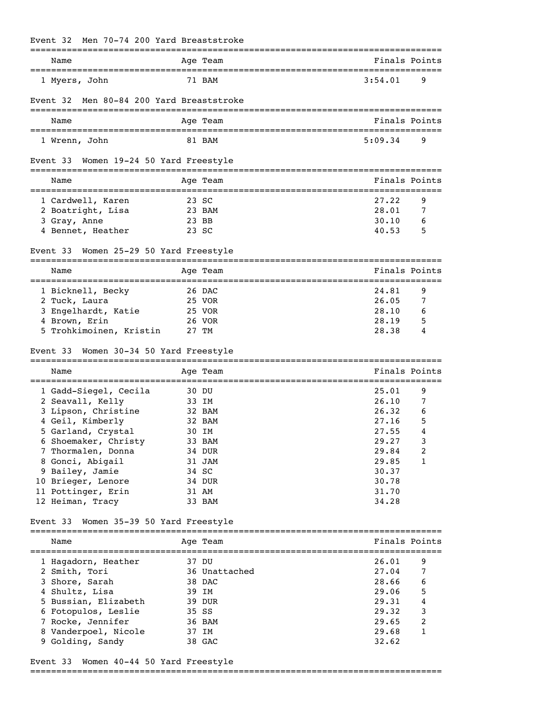| Men 70-74 200 Yard Breaststroke<br>Event 32       |        |               |                                                 |                |
|---------------------------------------------------|--------|---------------|-------------------------------------------------|----------------|
| Name<br>================================          |        | Age Team      | Finals Points                                   |                |
| 1 Myers, John                                     |        | 71 BAM        | 3:54.01                                         | 9              |
| Men 80-84 200 Yard Breaststroke<br>Event 32       |        |               |                                                 |                |
| Name                                              |        | Age Team      | Finals Points                                   |                |
| 1 Wrenn, John                                     |        | 81 BAM        | 5:09.34                                         | 9              |
| Women 19-24 50 Yard Freestyle<br>Event 33         |        |               |                                                 |                |
| Name                                              |        | Age Team      | Finals Points                                   |                |
| 1 Cardwell, Karen                                 |        | 23 SC         | 27.22                                           | 9              |
| 2 Boatright, Lisa                                 |        | 23 BAM        | 28.01                                           | 7              |
| 3 Gray, Anne                                      |        | 23 BB         | 30.10                                           | 6              |
| 4 Bennet, Heather                                 |        | 23 SC         | 40.53                                           | 5              |
| Women 25-29 50 Yard Freestyle<br>Event 33         |        |               |                                                 |                |
|                                                   |        |               |                                                 |                |
| Name                                              |        | Age Team      | Finals Points<br>;============================= |                |
| 1 Bicknell, Becky                                 |        | 26 DAC        | 24.81                                           | 9              |
| 2 Tuck, Laura                                     |        | 25 VOR        | 26.05                                           | 7              |
| 3 Engelhardt, Katie                               |        | 25 VOR        | 28.10                                           | 6              |
| 4 Brown, Erin                                     |        | 26 VOR        | 28.19                                           | 5              |
| 5 Trohkimoinen, Kristin                           |        | 27 TM         | 28.38                                           | 4              |
| Women 30-34 50 Yard Freestyle<br>Event 33<br>Name |        | Age Team      | Finals Points                                   |                |
| 1 Gadd-Siegel, Cecila                             |        | 30 DU         | 25.01                                           | 9              |
| 2 Seavall, Kelly                                  | 33 IM  |               | 26.10                                           | 7              |
| 3 Lipson, Christine                               |        | 32 BAM        | 26.32                                           | 6              |
| 4 Geil, Kimberly                                  | 32 BAM |               | 27.16                                           | 5              |
| 5 Garland, Crystal                                |        | 30 IM         | 27.55                                           | 4              |
| 6 Shoemaker, Christy                              |        | 33 BAM        | 29.27                                           | 3              |
| 7 Thormalen, Donna                                |        | 34 DUR        | 29.84                                           | 2              |
| 8 Gonci, Abigail                                  |        | 31 JAM        | 29.85                                           | 1              |
| 9 Bailey, Jamie                                   |        | 34 SC         | 30.37                                           |                |
| 10 Brieger, Lenore                                |        | 34 DUR        | 30.78                                           |                |
| 11 Pottinger, Erin                                |        | 31 AM         | 31.70                                           |                |
| 12 Heiman, Tracy                                  |        | 33 BAM        | 34.28                                           |                |
| Women 35-39 50 Yard Freestyle<br>Event 33         |        |               |                                                 |                |
| Name                                              |        | Age Team      | Finals Points                                   |                |
|                                                   |        |               |                                                 |                |
| 1 Hagadorn, Heather                               |        | 37 DU         | 26.01                                           | 9              |
| 2 Smith, Tori                                     |        | 36 Unattached | 27.04                                           | 7              |
| 3 Shore, Sarah                                    |        | 38 DAC        | 28.66                                           | 6              |
| 4 Shultz, Lisa                                    |        | 39 IM         | 29.06                                           | 5              |
| 5 Bussian, Elizabeth                              |        | 39 DUR        | 29.31                                           | 4              |
| 6 Fotopulos, Leslie                               |        | 35 SS         | 29.32                                           | 3              |
| 7 Rocke, Jennifer                                 |        | 36 BAM        | 29.65                                           | $\overline{c}$ |
| 8 Vanderpoel, Nicole                              |        | 37 IM         | 29.68                                           | 1              |
| 9 Golding, Sandy                                  |        | 38 GAC        | 32.62                                           |                |

# Event 33 Women 40-44 50 Yard Freestyle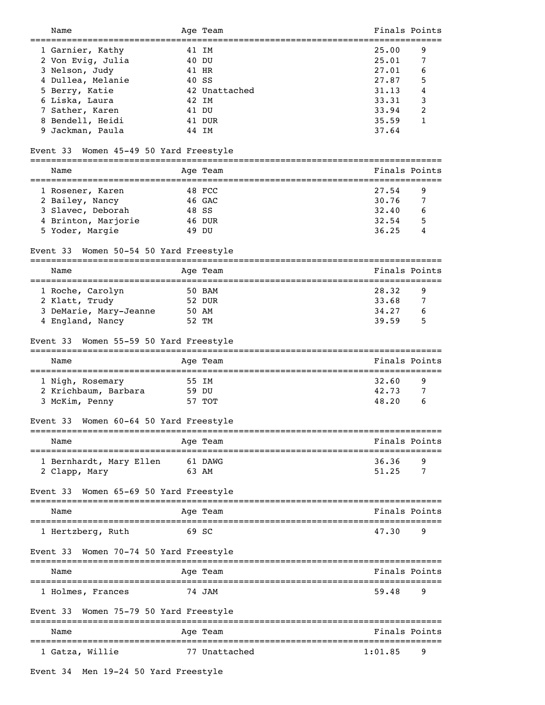| Name                                      | Age Team                                     |         | Finals Points |
|-------------------------------------------|----------------------------------------------|---------|---------------|
| 1 Garnier, Kathy                          | 41 IM                                        | 25.00   | 9             |
| 2 Von Evig, Julia                         | 40 DU                                        | 25.01   | 7             |
| 3 Nelson, Judy                            | 41 HR                                        | 27.01   | 6             |
| 4 Dullea, Melanie                         | 40 SS                                        | 27.87   | 5             |
| 5 Berry, Katie                            | 42 Unattached                                | 31.13   | 4             |
| 6 Liska, Laura                            | 42 IM                                        | 33.31   | 3             |
| 7 Sather, Karen                           | 41 DU                                        | 33.94   | 2             |
| 8 Bendell, Heidi                          | 41 DUR                                       | 35.59   | 1             |
| 9 Jackman, Paula                          | 44 IM                                        | 37.64   |               |
|                                           |                                              |         |               |
| Women 45-49 50 Yard Freestyle<br>Event 33 |                                              |         |               |
| Name                                      | Age Team                                     |         | Finals Points |
| 1 Rosener, Karen                          | 48 FCC                                       | 27.54   | 9             |
| 2 Bailey, Nancy                           | 46 GAC                                       | 30.76   | 7             |
| 3 Slavec, Deborah                         | 48 SS                                        | 32.40   | 6             |
| 4 Brinton, Marjorie                       | 46 DUR                                       | 32.54   | 5             |
| 5 Yoder, Margie                           | 49 DU                                        | 36.25   | 4             |
|                                           |                                              |         |               |
| Women 50-54 50 Yard Freestyle<br>Event 33 |                                              |         |               |
| Name                                      | Age Team<br>================================ |         | Finals Points |
| 1 Roche, Carolyn                          | 50 BAM                                       | 28.32   | 9             |
| 2 Klatt, Trudy                            | 52 DUR                                       | 33.68   | 7             |
| 3 DeMarie, Mary-Jeanne                    | 50 AM                                        | 34.27   | 6             |
| 4 England, Nancy                          | 52 TM                                        | 39.59   | 5             |
|                                           |                                              |         |               |
| Women 55-59 50 Yard Freestyle<br>Event 33 |                                              |         |               |
| Name                                      | Age Team                                     |         | Finals Points |
| 1 Nigh, Rosemary                          | 55 IM                                        | 32.60   | 9             |
| 2 Krichbaum, Barbara                      | 59 DU                                        | 42.73   | 7             |
| 3 McKim, Penny                            | 57 TOT                                       | 48.20   | 6             |
| Women 60-64 50 Yard Freestyle<br>Event 33 |                                              |         |               |
| Name                                      | Age Team                                     |         | Finals Points |
|                                           |                                              |         |               |
| 1 Bernhardt, Mary Ellen                   | 61 DAWG                                      | 36.36   | 9             |
| 2 Clapp, Mary                             | 63 AM                                        | 51.25   | 7             |
| Women 65-69 50 Yard Freestyle<br>Event 33 |                                              |         |               |
| Name                                      | Age Team                                     |         | Finals Points |
| 1 Hertzberg, Ruth                         | 69 SC                                        | 47.30   | 9             |
| Event 33 Women 70-74 50 Yard Freestyle    |                                              |         |               |
| Name                                      | Age Team                                     |         | Finals Points |
| 1 Holmes, Frances                         | 74 JAM                                       | 59.48   | 9             |
|                                           |                                              |         |               |
| Women 75-79 50 Yard Freestyle<br>Event 33 |                                              |         |               |
| Name                                      | Age Team                                     |         | Finals Points |
| 1 Gatza, Willie                           | 77 Unattached                                | 1:01.85 | 9             |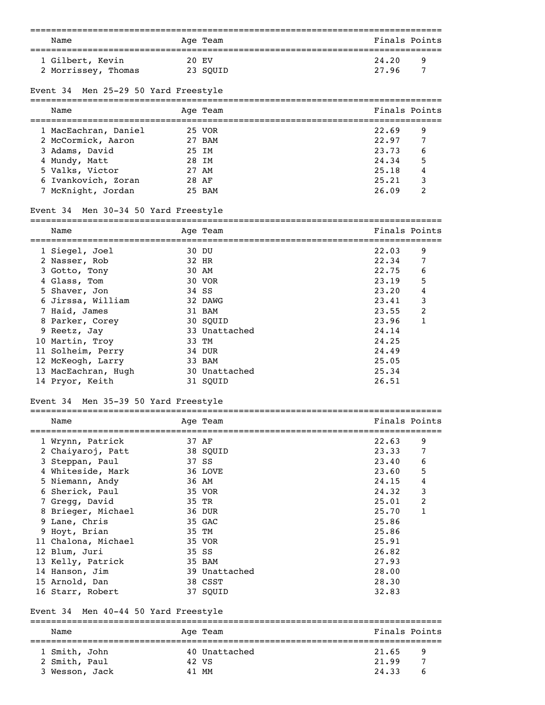| Name                                    |            | Age Team                  |                                      |                | Finals Points |
|-----------------------------------------|------------|---------------------------|--------------------------------------|----------------|---------------|
| ==================================      |            |                           | ==================================== |                |               |
| 1 Gilbert, Kevin                        |            | 20 EV                     |                                      | 24.20          | 9             |
| 2 Morrissey, Thomas                     |            | 23 SQUID                  |                                      | 27.96          | 7             |
|                                         |            |                           |                                      |                |               |
| Men 25-29 50 Yard Freestyle<br>Event 34 |            |                           |                                      |                |               |
| Name                                    |            | Age Team                  |                                      |                | Finals Points |
|                                         |            |                           |                                      |                |               |
| 1 MacEachran, Daniel                    |            | 25 VOR                    |                                      | 22.69          | 9             |
| 2 McCormick, Aaron                      |            | 27 BAM                    |                                      | 22.97          | 7             |
| 3 Adams, David                          |            | 25 IM                     |                                      | 23.73          | 6             |
| 4 Mundy, Matt                           |            | 28 IM                     |                                      | 24.34          | 5             |
| 5 Valks, Victor                         |            | 27 AM                     |                                      | 25.18          | 4             |
| 6 Ivankovich, Zoran                     | 28 AF      |                           |                                      | 25.21          | 3             |
| 7 McKnight, Jordan                      |            | 25 BAM                    |                                      | 26.09          | 2             |
|                                         |            |                           |                                      |                |               |
| Men 30-34 50 Yard Freestyle<br>Event 34 |            |                           |                                      |                |               |
| Name                                    |            | Age Team                  |                                      |                | Finals Points |
| ;===================                    | ========== |                           | ==================                   |                |               |
| 1 Siegel, Joel                          |            | 30 DU                     |                                      | 22.03          | 9             |
| 2 Nasser, Rob                           |            | 32 HR                     |                                      | 22.34          | 7             |
| 3 Gotto, Tony                           |            | 30 AM                     |                                      | 22.75          | 6             |
| 4 Glass, Tom                            |            | 30 VOR                    |                                      | 23.19          | 5             |
| 5 Shaver, Jon                           |            | 34 SS                     |                                      | 23.20          | 4             |
| 6 Jirssa, William                       |            | 32 DAWG                   |                                      | 23.41          | 3             |
| 7 Haid, James                           |            | 31 BAM                    |                                      | 23.55          | 2             |
| 8 Parker, Corey                         |            | 30 SQUID                  |                                      | 23.96          | 1             |
| 9 Reetz, Jay                            |            | 33 Unattached             |                                      | 24.14          |               |
| 10 Martin, Troy                         |            | 33 TM                     |                                      | 24.25          |               |
| 11 Solheim, Perry                       |            | 34 DUR                    |                                      | 24.49          |               |
| 12 McKeogh, Larry                       |            | 33 BAM                    |                                      | 25.05          |               |
| 13 MacEachran, Hugh<br>14 Pryor, Keith  |            | 30 Unattached<br>31 SQUID |                                      | 25.34<br>26.51 |               |
|                                         |            |                           |                                      |                |               |
| Men 35-39 50 Yard Freestyle<br>Event 34 |            |                           |                                      |                |               |
| Name                                    |            | Age Team                  |                                      |                | Finals Points |
| 1 Wrynn, Patrick                        |            | 37 AF                     |                                      | 22.63          | 9             |
| 2 Chaiyaroj, Patt                       |            | 38 SQUID                  |                                      | 23.33          | 7             |
| 3 Steppan, Paul                         |            | 37 SS                     |                                      | 23.40          | 6             |
| 4 Whiteside, Mark                       |            | 36 LOVE                   |                                      | 23.60          | 5             |
| 5 Niemann, Andy                         |            | 36 AM                     |                                      | 24.15          | 4             |
| 6 Sherick, Paul                         |            | 35 VOR                    |                                      | 24.32          | 3             |
| 7 Gregg, David                          |            | 35 TR                     |                                      | 25.01          | 2             |
| 8 Brieger, Michael                      |            | 36 DUR                    |                                      | 25.70          | 1             |
| 9 Lane, Chris                           |            | 35 GAC                    |                                      | 25.86          |               |
| 9 Hoyt, Brian                           |            | 35 TM                     |                                      | 25.86          |               |
| 11 Chalona, Michael                     |            | 35 VOR                    |                                      | 25.91          |               |
| 12 Blum, Juri                           |            | 35 SS                     |                                      | 26.82          |               |
| 13 Kelly, Patrick                       |            | 35 BAM                    |                                      | 27.93          |               |
| 14 Hanson, Jim                          |            | 39 Unattached             |                                      | 28.00          |               |
| 15 Arnold, Dan                          |            | 38 CSST                   |                                      | 28.30          |               |
| 16 Starr, Robert                        |            | 37 SQUID                  |                                      | 32.83          |               |
| Men 40-44 50 Yard Freestyle<br>Event 34 |            |                           |                                      |                |               |
| Name                                    |            |                           |                                      |                | Finals Points |
|                                         |            | Age Team                  |                                      |                |               |

| 1 Smith, John  | 40 Unattached | 21.65<br><b>Participal</b> |  |
|----------------|---------------|----------------------------|--|
| 2 Smith, Paul  | 42 VS         | 21.99                      |  |
| 3 Wesson, Jack | 41 MM         | 24.33<br>h <sub>h</sub>    |  |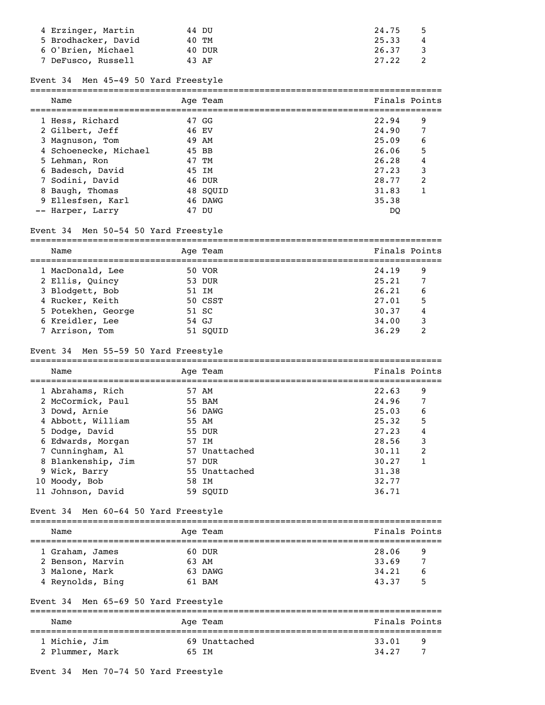| 4 Erzinger, Martin  | 44 DU  | 24.75      |
|---------------------|--------|------------|
| 5 Brodhacker, David | 40 TM  | 25.33<br>4 |
| 6 O'Brien, Michael  | 40 DUR | 26.37      |
| 7 DeFusco, Russell  | 43 AF  | 27.22      |

## Event 34 Men 45-49 50 Yard Freestyle

| Name                  |    | Age Team | Finals Points |                         |
|-----------------------|----|----------|---------------|-------------------------|
| 1 Hess, Richard       |    | 47 GG    | 22.94         | 9                       |
| 2 Gilbert, Jeff       |    | 46 EV    | 24.90         | 7                       |
| 3 Magnuson, Tom       |    | 49 AM    | 25.09         | 6                       |
| 4 Schoenecke, Michael |    | 45 BB    | 26.06         | 5                       |
| 5 Lehman, Ron         |    | 47 TM    | 26.28         | 4                       |
| 6 Badesch, David      |    | 45 IM    | 27.23         | 3                       |
| 7 Sodini, David       |    | 46 DUR   | 28.77         | $\overline{\mathbf{c}}$ |
| 8 Baugh, Thomas       |    | 48 SOUID | 31.83         |                         |
| 9 Ellesfsen, Karl     |    | 46 DAWG  | 35.38         |                         |
| -- Harper, Larry      | 47 | DU       | DO            |                         |

# Event 34 Men 50-54 50 Yard Freestyle

| Name               |       | Age Team | Finals Points |   |
|--------------------|-------|----------|---------------|---|
| 1 MacDonald, Lee   |       | 50 VOR   | 24.19         | 9 |
| 2 Ellis, Ouincy    |       | 53 DUR   | 25.21         |   |
| 3 Blodgett, Bob    |       | 51 TM    | 26.21         | 6 |
| 4 Rucker, Keith    |       | 50 CSST  | 27.01         | 5 |
| 5 Potekhen, George |       | 51 SC    | 30.37         |   |
| 6 Kreidler, Lee    | 54 GJ |          | 34.00         | 3 |
| 7 Arrison, Tom     |       | 51 SOUID | 36.29         | ? |

## Event 34 Men 55-59 50 Yard Freestyle

===============================================================================

| Name               | Age Team      | Finals Points |                |
|--------------------|---------------|---------------|----------------|
| 1 Abrahams, Rich   | 57 AM         | 22.63         | 9              |
| 2 McCormick, Paul  | 55 BAM        | 24.96         |                |
| 3 Dowd, Arnie      | 56 DAWG       | 25.03         | 6              |
| 4 Abbott, William  | 55 AM         | 25.32         | 5              |
| 5 Dodge, David     | 55 DUR        | 27.23         | 4              |
| 6 Edwards, Morgan  | 57 TM         | 28.56         | 3              |
| 7 Cunningham, Al   | 57 Unattached | 30.11         | $\mathfrak{D}$ |
| 8 Blankenship, Jim | 57 DUR        | 30.27         |                |
| 9 Wick, Barry      | 55 Unattached | 31.38         |                |
| 10 Moody, Bob      | 58 IM         | 32.77         |                |
| 11 Johnson, David  | 59 SOUID      | 36.71         |                |

# Event 34 Men 60-64 50 Yard Freestyle

| Name             |       | Age Team | Finals Points |   |
|------------------|-------|----------|---------------|---|
|                  |       |          |               |   |
| 1 Graham, James  |       | 60 DUR   | 28.06         | 9 |
| 2 Benson, Marvin | 63 AM |          | 33.69         | 7 |
| 3 Malone, Mark   |       | 63 DAWG  | 34, 21        | 6 |
| 4 Reynolds, Bing |       | 61 BAM   | 43.37         | 5 |

# Event 34 Men 65-69 50 Yard Freestyle

| Name            | Age Team      | Finals Points |   |
|-----------------|---------------|---------------|---|
| 1 Michie, Jim   | 69 Unattached | 33.01         | q |
| 2 Plummer, Mark | 65 TM         | 34.27         |   |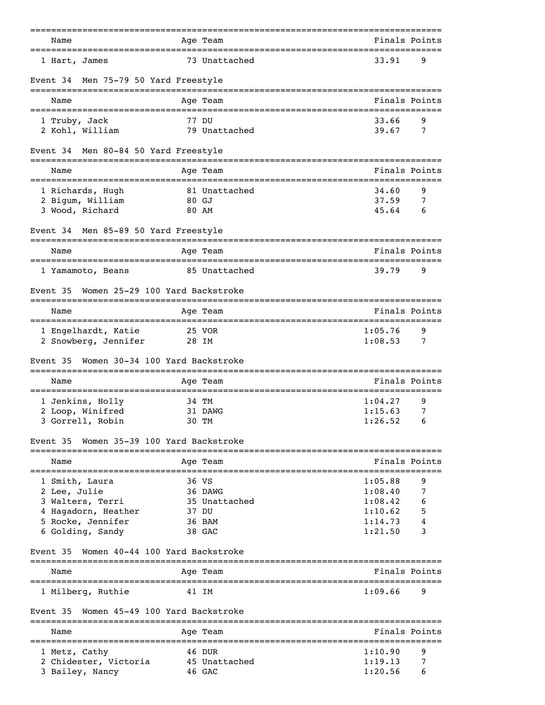| Name                                                                           |                   | Age Team               |                                                      | Finals Points |
|--------------------------------------------------------------------------------|-------------------|------------------------|------------------------------------------------------|---------------|
| ;===================================<br>1 Hart, James                          |                   | 73 Unattached          | 33.91                                                | 9             |
| Event 34 Men 75-79 50 Yard Freestyle                                           |                   |                        |                                                      |               |
| Name                                                                           |                   | Age Team               |                                                      | Finals Points |
| 1 Truby, Jack                                                                  | 77 DU             |                        | 33.66                                                | 9             |
| 2 Kohl, William                                                                |                   | 79 Unattached          | 39.67                                                | 7             |
| Event 34 Men 80-84 50 Yard Freestyle                                           |                   |                        |                                                      |               |
| Name<br>=====================================                                  |                   | Age Team               | Finals Points<br>=================================== |               |
| 1 Richards, Hugh                                                               |                   | 81 Unattached          | 34.60                                                | 9             |
| 2 Bigum, William                                                               | 80 GJ             |                        | 37.59                                                | 7             |
| 3 Wood, Richard                                                                | 80 AM             |                        | 45.64                                                | 6             |
| Event 34 Men 85-89 50 Yard Freestyle<br>-------------------------------------- |                   |                        |                                                      |               |
| Name                                                                           |                   | Age Team               | Finals Points                                        |               |
| 1 Yamamoto, Beans                                                              |                   | 85 Unattached          | 39.79                                                | 9             |
| Women 25-29 100 Yard Backstroke<br>Event 35                                    |                   |                        |                                                      |               |
| Name                                                                           |                   | Age Team               |                                                      | Finals Points |
| 1 Engelhardt, Katie                                                            |                   | 25 VOR                 | 1:05.76                                              | 9             |
| 2 Snowberg, Jennifer                                                           | 28 IM             |                        | 1:08.53                                              | 7             |
| Women 30-34 100 Yard Backstroke<br>Event 35<br>======================          | ================= |                        |                                                      |               |
| Name                                                                           |                   | Age Team               |                                                      | Finals Points |
| 1 Jenkins, Holly                                                               | 34 TM             |                        | 1:04.27                                              | 9             |
| 2 Loop, Winifred                                                               |                   | 31 DAWG                | 1:15.63                                              | 7             |
| 3 Gorrell, Robin                                                               | 30 TM             |                        | 1:26.52                                              | 6             |
| Women 35-39 100 Yard Backstroke<br>Event 35                                    |                   |                        |                                                      |               |
| Name                                                                           |                   | Age Team               |                                                      | Finals Points |
| 1 Smith, Laura                                                                 | 36 VS             |                        | 1:05.88                                              | 9             |
| 2 Lee, Julie                                                                   |                   | 36 DAWG                | 1:08.40                                              | 7             |
| 3 Walters, Terri                                                               |                   | 35 Unattached          | 1:08.42<br>1:10.62                                   | 6             |
| 4 Hagadorn, Heather<br>5 Rocke, Jennifer                                       | 37 DU             | 36 BAM                 | 1:14.73                                              | 5             |
| 6 Golding, Sandy                                                               |                   | 38 GAC                 | 1:21.50                                              | 3             |
| Women 40-44 100 Yard Backstroke<br>Event 35                                    |                   |                        |                                                      |               |
| Name                                                                           |                   | Age Team               |                                                      | Finals Points |
| 1 Milberg, Ruthie                                                              | 41 IM             |                        | 1:09.66                                              | 9             |
| Women 45-49 100 Yard Backstroke<br>Event 35                                    |                   |                        |                                                      |               |
| Name                                                                           |                   | ----------<br>Age Team |                                                      | Finals Points |
| 1 Metz, Cathy                                                                  |                   | 46 DUR                 | 1:10.90                                              | 9             |
| 2 Chidester, Victoria                                                          |                   | 45 Unattached          | 1:19.13                                              | 7             |
| 3 Bailey, Nancy                                                                |                   | 46 GAC                 | 1:20.56                                              | 6             |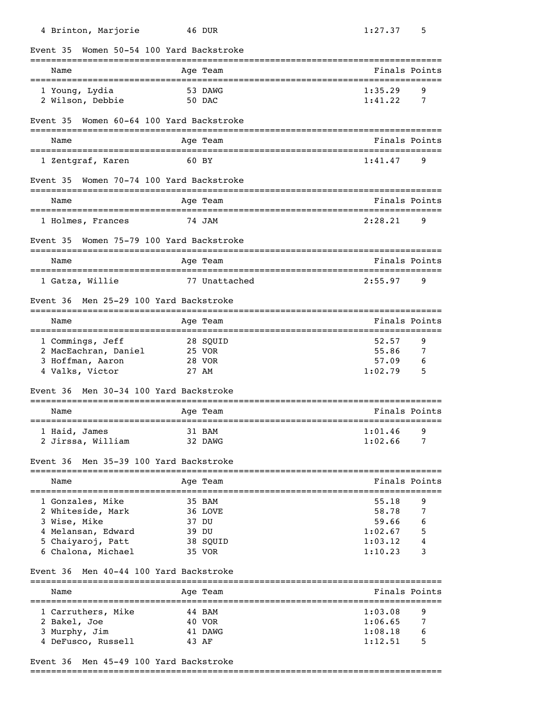| Women 50-54 100 Yard Backstroke<br>Event 35<br>Finals Points<br>Name<br>Age Team<br>=================================<br>53 DAWG<br>1:35.29<br>1 Young, Lydia<br>9<br>1:41.22<br>2 Wilson, Debbie<br>50 DAC<br>7<br>Women 60-64 100 Yard Backstroke<br>Event 35<br>Finals Points<br>Age Team<br>Name<br>1 Zentgraf, Karen<br>60 BY<br>1:41.47<br>9<br>Women 70-74 100 Yard Backstroke<br>Event 35<br>Finals Points<br>Age Team<br>Name<br>2:28.21<br>9<br>74 JAM<br>1 Holmes, Frances<br>Women 75-79 100 Yard Backstroke<br>Event 35<br>Finals Points<br>Name<br>Age Team<br>======================<br>=====================<br>9<br>1 Gatza, Willie<br>77 Unattached<br>2:55.97<br>Men 25-29 100 Yard Backstroke<br>Event 36<br>Finals Points<br>Age Team<br>Name<br>1 Commings, Jeff<br>28 SQUID<br>52.57<br>9<br>55.86<br>2 MacEachran, Daniel<br>25 VOR<br>7<br>3 Hoffman, Aaron<br>57.09<br>28 VOR<br>6<br>4 Valks, Victor<br>1:02.79<br>5<br>27 AM<br>Men 30-34 100 Yard Backstroke<br>Event 36<br>Finals Points<br>Name<br>Age Team<br>1:01.46<br>1 Haid, James<br>31 BAM<br>9<br>1:02.66<br>2 Jirssa, William<br>32 DAWG<br>7<br>Men 35-39 100 Yard Backstroke<br>Event 36<br>=====================================<br>============<br>Finals Points<br>Name<br>Age Team<br>_______________________________<br>===================================<br>1 Gonzales, Mike<br>35 BAM<br>55.18<br>9<br>58.78<br>2 Whiteside, Mark<br>36 LOVE<br>7<br>3 Wise, Mike<br>59.66<br>37 DU<br>6<br>4 Melansan, Edward<br>1:02.67<br>5<br>39 DU<br>4<br>5 Chaiyaroj, Patt<br>1:03.12<br>38 SQUID<br>3<br>6 Chalona, Michael<br>1:10.23<br>35 VOR<br>Men 40-44 100 Yard Backstroke<br>Event 36<br>Finals Points<br>Age Team<br>Name<br>1 Carruthers, Mike<br>1:03.08<br>9<br>44 BAM<br>2 Bakel, Joe<br>40 VOR<br>1:06.65<br>7<br>3 Murphy, Jim<br>1:08.18<br>6<br>41 DAWG<br>1:12.51<br>4 DeFusco, Russell<br>5<br>43 AF | 4 Brinton, Marjorie | 46 DUR | 1:27.37<br>5 |
|--------------------------------------------------------------------------------------------------------------------------------------------------------------------------------------------------------------------------------------------------------------------------------------------------------------------------------------------------------------------------------------------------------------------------------------------------------------------------------------------------------------------------------------------------------------------------------------------------------------------------------------------------------------------------------------------------------------------------------------------------------------------------------------------------------------------------------------------------------------------------------------------------------------------------------------------------------------------------------------------------------------------------------------------------------------------------------------------------------------------------------------------------------------------------------------------------------------------------------------------------------------------------------------------------------------------------------------------------------------------------------------------------------------------------------------------------------------------------------------------------------------------------------------------------------------------------------------------------------------------------------------------------------------------------------------------------------------------------------------------------------------------------------------------------------------------------------------------------------------------------------------------------------------------|---------------------|--------|--------------|
|                                                                                                                                                                                                                                                                                                                                                                                                                                                                                                                                                                                                                                                                                                                                                                                                                                                                                                                                                                                                                                                                                                                                                                                                                                                                                                                                                                                                                                                                                                                                                                                                                                                                                                                                                                                                                                                                                                                    |                     |        |              |
|                                                                                                                                                                                                                                                                                                                                                                                                                                                                                                                                                                                                                                                                                                                                                                                                                                                                                                                                                                                                                                                                                                                                                                                                                                                                                                                                                                                                                                                                                                                                                                                                                                                                                                                                                                                                                                                                                                                    |                     |        |              |
|                                                                                                                                                                                                                                                                                                                                                                                                                                                                                                                                                                                                                                                                                                                                                                                                                                                                                                                                                                                                                                                                                                                                                                                                                                                                                                                                                                                                                                                                                                                                                                                                                                                                                                                                                                                                                                                                                                                    |                     |        |              |
|                                                                                                                                                                                                                                                                                                                                                                                                                                                                                                                                                                                                                                                                                                                                                                                                                                                                                                                                                                                                                                                                                                                                                                                                                                                                                                                                                                                                                                                                                                                                                                                                                                                                                                                                                                                                                                                                                                                    |                     |        |              |
|                                                                                                                                                                                                                                                                                                                                                                                                                                                                                                                                                                                                                                                                                                                                                                                                                                                                                                                                                                                                                                                                                                                                                                                                                                                                                                                                                                                                                                                                                                                                                                                                                                                                                                                                                                                                                                                                                                                    |                     |        |              |
|                                                                                                                                                                                                                                                                                                                                                                                                                                                                                                                                                                                                                                                                                                                                                                                                                                                                                                                                                                                                                                                                                                                                                                                                                                                                                                                                                                                                                                                                                                                                                                                                                                                                                                                                                                                                                                                                                                                    |                     |        |              |
|                                                                                                                                                                                                                                                                                                                                                                                                                                                                                                                                                                                                                                                                                                                                                                                                                                                                                                                                                                                                                                                                                                                                                                                                                                                                                                                                                                                                                                                                                                                                                                                                                                                                                                                                                                                                                                                                                                                    |                     |        |              |
|                                                                                                                                                                                                                                                                                                                                                                                                                                                                                                                                                                                                                                                                                                                                                                                                                                                                                                                                                                                                                                                                                                                                                                                                                                                                                                                                                                                                                                                                                                                                                                                                                                                                                                                                                                                                                                                                                                                    |                     |        |              |
|                                                                                                                                                                                                                                                                                                                                                                                                                                                                                                                                                                                                                                                                                                                                                                                                                                                                                                                                                                                                                                                                                                                                                                                                                                                                                                                                                                                                                                                                                                                                                                                                                                                                                                                                                                                                                                                                                                                    |                     |        |              |
|                                                                                                                                                                                                                                                                                                                                                                                                                                                                                                                                                                                                                                                                                                                                                                                                                                                                                                                                                                                                                                                                                                                                                                                                                                                                                                                                                                                                                                                                                                                                                                                                                                                                                                                                                                                                                                                                                                                    |                     |        |              |
|                                                                                                                                                                                                                                                                                                                                                                                                                                                                                                                                                                                                                                                                                                                                                                                                                                                                                                                                                                                                                                                                                                                                                                                                                                                                                                                                                                                                                                                                                                                                                                                                                                                                                                                                                                                                                                                                                                                    |                     |        |              |
|                                                                                                                                                                                                                                                                                                                                                                                                                                                                                                                                                                                                                                                                                                                                                                                                                                                                                                                                                                                                                                                                                                                                                                                                                                                                                                                                                                                                                                                                                                                                                                                                                                                                                                                                                                                                                                                                                                                    |                     |        |              |
|                                                                                                                                                                                                                                                                                                                                                                                                                                                                                                                                                                                                                                                                                                                                                                                                                                                                                                                                                                                                                                                                                                                                                                                                                                                                                                                                                                                                                                                                                                                                                                                                                                                                                                                                                                                                                                                                                                                    |                     |        |              |
|                                                                                                                                                                                                                                                                                                                                                                                                                                                                                                                                                                                                                                                                                                                                                                                                                                                                                                                                                                                                                                                                                                                                                                                                                                                                                                                                                                                                                                                                                                                                                                                                                                                                                                                                                                                                                                                                                                                    |                     |        |              |
|                                                                                                                                                                                                                                                                                                                                                                                                                                                                                                                                                                                                                                                                                                                                                                                                                                                                                                                                                                                                                                                                                                                                                                                                                                                                                                                                                                                                                                                                                                                                                                                                                                                                                                                                                                                                                                                                                                                    |                     |        |              |
|                                                                                                                                                                                                                                                                                                                                                                                                                                                                                                                                                                                                                                                                                                                                                                                                                                                                                                                                                                                                                                                                                                                                                                                                                                                                                                                                                                                                                                                                                                                                                                                                                                                                                                                                                                                                                                                                                                                    |                     |        |              |
|                                                                                                                                                                                                                                                                                                                                                                                                                                                                                                                                                                                                                                                                                                                                                                                                                                                                                                                                                                                                                                                                                                                                                                                                                                                                                                                                                                                                                                                                                                                                                                                                                                                                                                                                                                                                                                                                                                                    |                     |        |              |
|                                                                                                                                                                                                                                                                                                                                                                                                                                                                                                                                                                                                                                                                                                                                                                                                                                                                                                                                                                                                                                                                                                                                                                                                                                                                                                                                                                                                                                                                                                                                                                                                                                                                                                                                                                                                                                                                                                                    |                     |        |              |
|                                                                                                                                                                                                                                                                                                                                                                                                                                                                                                                                                                                                                                                                                                                                                                                                                                                                                                                                                                                                                                                                                                                                                                                                                                                                                                                                                                                                                                                                                                                                                                                                                                                                                                                                                                                                                                                                                                                    |                     |        |              |
|                                                                                                                                                                                                                                                                                                                                                                                                                                                                                                                                                                                                                                                                                                                                                                                                                                                                                                                                                                                                                                                                                                                                                                                                                                                                                                                                                                                                                                                                                                                                                                                                                                                                                                                                                                                                                                                                                                                    |                     |        |              |
|                                                                                                                                                                                                                                                                                                                                                                                                                                                                                                                                                                                                                                                                                                                                                                                                                                                                                                                                                                                                                                                                                                                                                                                                                                                                                                                                                                                                                                                                                                                                                                                                                                                                                                                                                                                                                                                                                                                    |                     |        |              |
|                                                                                                                                                                                                                                                                                                                                                                                                                                                                                                                                                                                                                                                                                                                                                                                                                                                                                                                                                                                                                                                                                                                                                                                                                                                                                                                                                                                                                                                                                                                                                                                                                                                                                                                                                                                                                                                                                                                    |                     |        |              |
|                                                                                                                                                                                                                                                                                                                                                                                                                                                                                                                                                                                                                                                                                                                                                                                                                                                                                                                                                                                                                                                                                                                                                                                                                                                                                                                                                                                                                                                                                                                                                                                                                                                                                                                                                                                                                                                                                                                    |                     |        |              |
|                                                                                                                                                                                                                                                                                                                                                                                                                                                                                                                                                                                                                                                                                                                                                                                                                                                                                                                                                                                                                                                                                                                                                                                                                                                                                                                                                                                                                                                                                                                                                                                                                                                                                                                                                                                                                                                                                                                    |                     |        |              |
|                                                                                                                                                                                                                                                                                                                                                                                                                                                                                                                                                                                                                                                                                                                                                                                                                                                                                                                                                                                                                                                                                                                                                                                                                                                                                                                                                                                                                                                                                                                                                                                                                                                                                                                                                                                                                                                                                                                    |                     |        |              |
|                                                                                                                                                                                                                                                                                                                                                                                                                                                                                                                                                                                                                                                                                                                                                                                                                                                                                                                                                                                                                                                                                                                                                                                                                                                                                                                                                                                                                                                                                                                                                                                                                                                                                                                                                                                                                                                                                                                    |                     |        |              |
|                                                                                                                                                                                                                                                                                                                                                                                                                                                                                                                                                                                                                                                                                                                                                                                                                                                                                                                                                                                                                                                                                                                                                                                                                                                                                                                                                                                                                                                                                                                                                                                                                                                                                                                                                                                                                                                                                                                    |                     |        |              |
|                                                                                                                                                                                                                                                                                                                                                                                                                                                                                                                                                                                                                                                                                                                                                                                                                                                                                                                                                                                                                                                                                                                                                                                                                                                                                                                                                                                                                                                                                                                                                                                                                                                                                                                                                                                                                                                                                                                    |                     |        |              |
|                                                                                                                                                                                                                                                                                                                                                                                                                                                                                                                                                                                                                                                                                                                                                                                                                                                                                                                                                                                                                                                                                                                                                                                                                                                                                                                                                                                                                                                                                                                                                                                                                                                                                                                                                                                                                                                                                                                    |                     |        |              |
|                                                                                                                                                                                                                                                                                                                                                                                                                                                                                                                                                                                                                                                                                                                                                                                                                                                                                                                                                                                                                                                                                                                                                                                                                                                                                                                                                                                                                                                                                                                                                                                                                                                                                                                                                                                                                                                                                                                    |                     |        |              |
|                                                                                                                                                                                                                                                                                                                                                                                                                                                                                                                                                                                                                                                                                                                                                                                                                                                                                                                                                                                                                                                                                                                                                                                                                                                                                                                                                                                                                                                                                                                                                                                                                                                                                                                                                                                                                                                                                                                    |                     |        |              |
|                                                                                                                                                                                                                                                                                                                                                                                                                                                                                                                                                                                                                                                                                                                                                                                                                                                                                                                                                                                                                                                                                                                                                                                                                                                                                                                                                                                                                                                                                                                                                                                                                                                                                                                                                                                                                                                                                                                    |                     |        |              |
|                                                                                                                                                                                                                                                                                                                                                                                                                                                                                                                                                                                                                                                                                                                                                                                                                                                                                                                                                                                                                                                                                                                                                                                                                                                                                                                                                                                                                                                                                                                                                                                                                                                                                                                                                                                                                                                                                                                    |                     |        |              |
|                                                                                                                                                                                                                                                                                                                                                                                                                                                                                                                                                                                                                                                                                                                                                                                                                                                                                                                                                                                                                                                                                                                                                                                                                                                                                                                                                                                                                                                                                                                                                                                                                                                                                                                                                                                                                                                                                                                    |                     |        |              |
|                                                                                                                                                                                                                                                                                                                                                                                                                                                                                                                                                                                                                                                                                                                                                                                                                                                                                                                                                                                                                                                                                                                                                                                                                                                                                                                                                                                                                                                                                                                                                                                                                                                                                                                                                                                                                                                                                                                    |                     |        |              |
|                                                                                                                                                                                                                                                                                                                                                                                                                                                                                                                                                                                                                                                                                                                                                                                                                                                                                                                                                                                                                                                                                                                                                                                                                                                                                                                                                                                                                                                                                                                                                                                                                                                                                                                                                                                                                                                                                                                    |                     |        |              |

# Event 36 Men 45-49 100 Yard Backstroke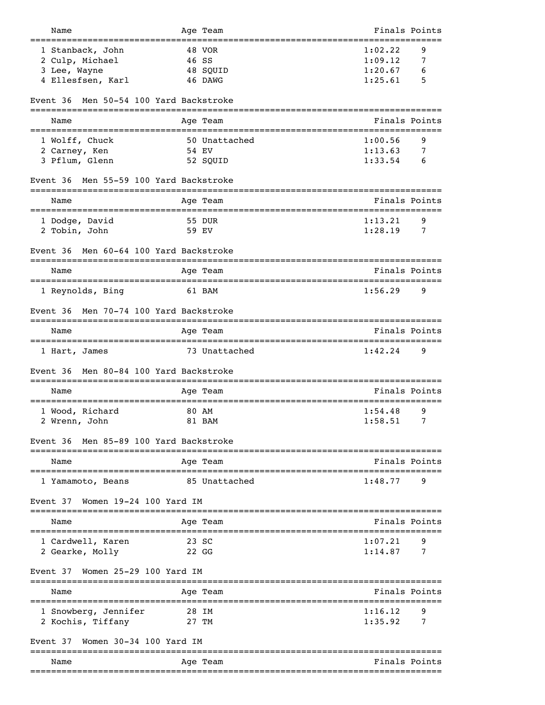| Name                                                        | Age Team                  | Finals Points |
|-------------------------------------------------------------|---------------------------|---------------|
| 1 Stanback, John                                            | 48 VOR                    | 1:02.22<br>9  |
| 2 Culp, Michael                                             | 46 SS                     | 1:09.12<br>7  |
| 3 Lee, Wayne                                                | 48 SQUID                  | 1:20.67<br>6  |
| 4 Ellesfsen, Karl                                           | 46 DAWG                   | 1:25.61<br>5  |
| Men 50-54 100 Yard Backstroke<br>Event 36                   |                           |               |
| Name                                                        | Age Team                  | Finals Points |
| 1 Wolff, Chuck                                              | 50 Unattached             | 1:00.56<br>9  |
| 2 Carney, Ken                                               | 54 EV                     | 1:13.63<br>7  |
| 3 Pflum, Glenn                                              | 52 SQUID                  | 1:33.54<br>6  |
| Men 55-59 100 Yard Backstroke<br>Event 36                   |                           |               |
| Name                                                        | Age Team                  | Finals Points |
| ==================================<br>1 Dodge, David        | 55 DUR                    | 1:13.21<br>9  |
| 2 Tobin, John                                               | 59 EV                     | 1:28.19<br>7  |
| Men 60-64 100 Yard Backstroke<br>Event 36                   |                           |               |
| Name                                                        | Age Team                  | Finals Points |
| 1 Reynolds, Bing                                            | 61 BAM                    | 1:56.29<br>9  |
| Men 70-74 100 Yard Backstroke<br>Event 36                   |                           |               |
| Name                                                        | Age Team                  | Finals Points |
| 1 Hart, James                                               | 73 Unattached             | 1:42.24<br>9  |
| Men 80-84 100 Yard Backstroke<br>Event 36                   |                           |               |
| Name                                                        | Age Team                  | Finals Points |
| :====================<br>1 Wood, Richard                    | ==============<br>80 AM   | 9<br>1:54.48  |
| 2 Wrenn, John                                               | 81 BAM                    | 1:58.51<br>7  |
| Men 85-89 100 Yard Backstroke<br>Event 36                   |                           |               |
| Name                                                        | -------------<br>Age Team | Finals Points |
| ======================================<br>1 Yamamoto, Beans | 85 Unattached             | 1:48.77<br>9  |
| Women 19-24 100 Yard IM<br>Event 37                         |                           |               |
| Name                                                        | Age Team                  | Finals Points |
| 1 Cardwell, Karen                                           | 23 SC                     | 1:07.21<br>9  |
| 2 Gearke, Molly                                             | 22 GG                     | 7<br>1:14.87  |
| Women 25-29 100 Yard IM<br>Event 37                         |                           |               |
| Name                                                        | Age Team                  | Finals Points |
| 1 Snowberg, Jennifer                                        | 28 IM                     | 1:16.12<br>9  |
| 2 Kochis, Tiffany                                           | 27 TM                     | 1:35.92<br>7  |
| Women 30-34 100 Yard IM<br>Event 37                         |                           |               |
| Name                                                        | Age Team                  | Finals Points |
|                                                             |                           |               |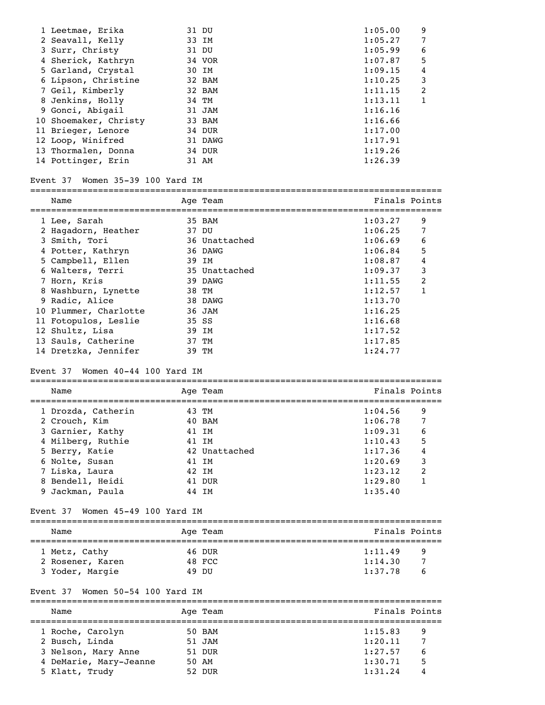| 1 Leetmae, Erika                    | 31 DU         | 1:05.00       | 9                |
|-------------------------------------|---------------|---------------|------------------|
| 2 Seavall, Kelly                    | 33 IM         | 1:05.27       | 7                |
| 3 Surr, Christy                     | 31 DU         | 1:05.99       | 6                |
| 4 Sherick, Kathryn                  | 34 VOR        | 1:07.87       | 5                |
| 5 Garland, Crystal                  | 30 IM         | 1:09.15       | 4                |
| 6 Lipson, Christine                 | 32 BAM        | 1:10.25       | 3                |
| 7 Geil, Kimberly                    | 32 BAM        | 1:11.15       | $\overline{c}$   |
| 8 Jenkins, Holly                    | 34 TM         | 1:13.11       | $\mathbf{1}$     |
| 9 Gonci, Abigail                    | 31 JAM        | 1:16.16       |                  |
| 10 Shoemaker, Christy               | 33 BAM        | 1:16.66       |                  |
| 11 Brieger, Lenore                  | 34 DUR        | 1:17.00       |                  |
| 12 Loop, Winifred                   | 31 DAWG       | 1:17.91       |                  |
| 13 Thormalen, Donna                 | 34 DUR        | 1:19.26       |                  |
| 14 Pottinger, Erin                  | 31 AM         | 1:26.39       |                  |
|                                     |               |               |                  |
| Event 37 Women 35-39 100 Yard IM    |               |               |                  |
| Name                                | Age Team      | Finals Points |                  |
| 1 Lee, Sarah                        | 35 BAM        | 1:03.27       | 9                |
| 2 Hagadorn, Heather                 | 37 DU         | 1:06.25       | 7                |
| 3 Smith, Tori                       | 36 Unattached | 1:06.69       | 6                |
| 4 Potter, Kathryn                   | 36 DAWG       | 1:06.84       | 5                |
| 5 Campbell, Ellen                   | 39 IM         | 1:08.87       | $\boldsymbol{4}$ |
| 6 Walters, Terri                    | 35 Unattached | 1:09.37       | 3                |
| 7 Horn, Kris                        | 39 DAWG       | 1:11.55       | 2                |
| 8 Washburn, Lynette                 | 38 TM         | 1:12.57       | 1                |
| 9 Radic, Alice                      | 38 DAWG       | 1:13.70       |                  |
| 10 Plummer, Charlotte               | 36 JAM        | 1:16.25       |                  |
| 11 Fotopulos, Leslie                | 35 SS         | 1:16.68       |                  |
| 12 Shultz, Lisa                     | 39 IM         | 1:17.52       |                  |
| 13 Sauls, Catherine                 | 37 TM         | 1:17.85       |                  |
| 14 Dretzka, Jennifer                | 39 TM         | 1:24.77       |                  |
| Women 40-44 100 Yard IM<br>Event 37 |               |               |                  |
| Name                                | Age Team      | Finals Points |                  |
| 1 Drozda, Catherin                  | 43 TM         | 1:04.56       | 9                |
| 2 Crouch, Kim                       | 40 BAM        | 1:06.78       | 7                |
| 3 Garnier, Kathy                    | 41 IM         | 1:09.31       | 6                |
| 4 Milberg, Ruthie                   | 41 IM         | 1:10.43       | 5                |
| 5 Berry, Katie                      | 42 Unattached | 1:17.36       | 4                |
| 6 Nolte, Susan                      | 41 IM         | 1:20.69       | 3                |
| 7 Liska, Laura                      | 42 IM         | 1:23.12       | 2                |
|                                     |               |               |                  |

# Event 37 Women 45-49 100 Yard IM

| Name             | Age Team | Finals Points |
|------------------|----------|---------------|
| 1 Metz, Cathy    | 46 DUR   | 1:11.49<br>q  |
| 2 Rosener, Karen | 48 FCC   | 1:14.30       |
| 3 Yoder, Margie  | דוח 49   | 1:37.78<br>b  |

 8 Bendell, Heidi 41 DUR 1:29.80 1 9 Jackman, Paula 44 IM 1:35.40

# Event 37 Women 50-54 100 Yard IM

| Name                   | Age Team | Finals Points |   |
|------------------------|----------|---------------|---|
| 1 Roche, Carolyn       | 50 BAM   | 1:15.83       | 9 |
| 2 Busch, Linda         | 51 JAM   | 1:20.11       |   |
| 3 Nelson, Mary Anne    | 51 DUR   | 1:27.57       | 6 |
| 4 DeMarie, Mary-Jeanne | 50 AM    | 1:30.71       | 5 |
| 5 Klatt, Trudy         | 52 DUR   | 1:31.24       | 4 |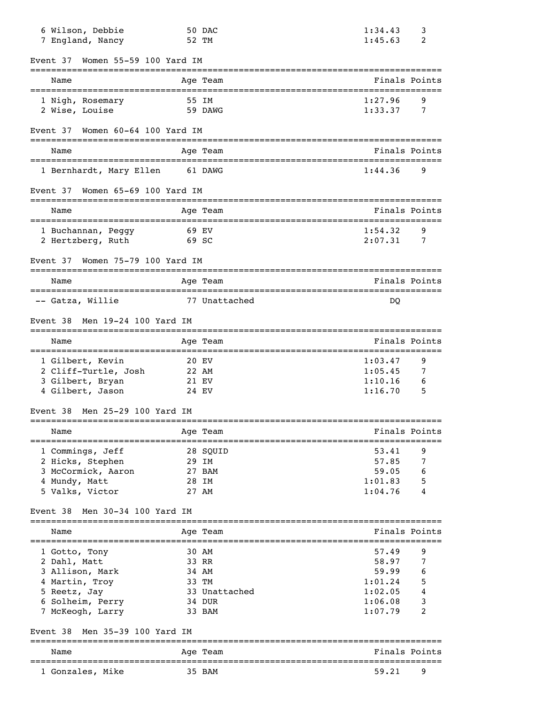| 6 Wilson, Debbie<br>7 England, Nancy         |       | 50 DAC<br>52 TM                                                            | 1:34.43<br>1:45.63 | 3<br>2        |
|----------------------------------------------|-------|----------------------------------------------------------------------------|--------------------|---------------|
| Women 55-59 100 Yard IM<br>Event 37          |       |                                                                            |                    |               |
| Name                                         |       | ---------------------<br>Age Team<br>===================================== | Finals Points      |               |
| 1 Nigh, Rosemary<br>2 Wise, Louise           |       | 55 IM<br>59 DAWG                                                           | 1:27.96<br>1:33.37 | 9<br>7        |
| Event 37<br>Women 60-64 100 Yard IM          |       |                                                                            |                    |               |
| Name                                         |       | Age Team                                                                   |                    | Finals Points |
| 1 Bernhardt, Mary Ellen                      |       | 61 DAWG                                                                    | 1:44.36            | 9             |
| Women 65-69 100 Yard IM<br>Event 37          |       |                                                                            |                    |               |
| Name<br>==================================== |       | Age Team                                                                   | Finals Points      |               |
| 1 Buchannan, Peggy<br>2 Hertzberg, Ruth      | 69 SC | 69 EV                                                                      | 1:54.32<br>2:07.31 | 9<br>7        |
| Women 75-79 100 Yard IM<br>Event 37          |       |                                                                            |                    |               |
| Name                                         |       | Age Team                                                                   | Finals Points      |               |
| -- Gatza, Willie                             |       | 77 Unattached                                                              | DQ                 |               |
| Men 19-24 100 Yard IM<br>Event 38            |       |                                                                            |                    |               |
| Name                                         |       | Age Team                                                                   |                    | Finals Points |
| 1 Gilbert, Kevin                             |       | 20 EV                                                                      | 1:03.47            | 9             |
| 2 Cliff-Turtle, Josh                         |       | 22 AM                                                                      | 1:05.45            | 7             |
| 3 Gilbert, Bryan                             |       | 21 EV                                                                      | 1:10.16            | 6             |
| 4 Gilbert, Jason                             |       | 24 EV                                                                      | 1:16.70            | 5             |
| Men 25-29 100 Yard IM<br>Event 38            |       |                                                                            |                    |               |
| Name<br>===================================  |       | Age Team                                                                   | -------------      | Finals Points |
| 1 Commings, Jeff                             |       | 28 SQUID                                                                   | 53.41              | 9             |
| 2 Hicks, Stephen                             |       | 29 IM                                                                      | 57.85              | 7             |
| 3 McCormick, Aaron                           |       | 27 BAM                                                                     | 59.05              | 6             |
| 4 Mundy, Matt                                |       | 28 IM                                                                      | 1:01.83            | 5             |
| 5 Valks, Victor                              |       | 27 AM                                                                      | 1:04.76            | 4             |
| Men 30-34 100 Yard IM<br>Event 38            |       |                                                                            |                    |               |
| Name<br>======================               |       | Age Team                                                                   |                    | Finals Points |
| 1 Gotto, Tony                                |       | 30 AM                                                                      | 57.49              | 9             |
| 2 Dahl, Matt                                 |       | 33 RR                                                                      | 58.97              | 7             |
| 3 Allison, Mark                              |       | 34 AM                                                                      | 59.99              | 6             |
| 4 Martin, Troy                               |       | 33 TM                                                                      | 1:01.24            | 5             |
| 5 Reetz, Jay                                 |       | 33 Unattached                                                              | 1:02.05            | 4             |
| 6 Solheim, Perry                             |       | 34 DUR                                                                     | 1:06.08            | 3             |
| 7 McKeogh, Larry                             |       | 33 BAM                                                                     | 1:07.79            | 2             |
| Men 35-39 100 Yard IM<br>Event 38            |       |                                                                            |                    |               |
| Name                                         |       | Age Team                                                                   |                    | Finals Points |
| 1 Gonzales, Mike                             |       | 35 BAM                                                                     | 59.21              | 9             |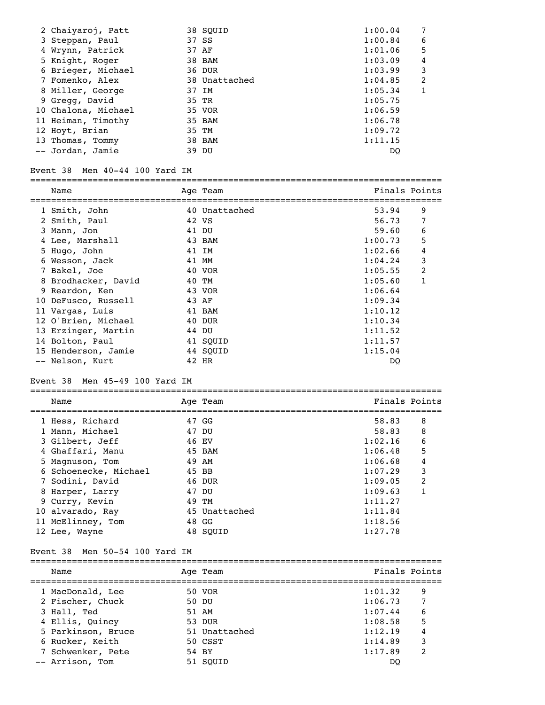| 2 Chaiyaroj, Patt   |       | 38 SOUID      | 1:00.04 | 7             |
|---------------------|-------|---------------|---------|---------------|
| 3 Steppan, Paul     |       | 37 SS         | 1:00.84 | 6             |
| 4 Wrynn, Patrick    |       | 37 AF         | 1:01.06 | 5             |
| 5 Knight, Roger     |       | 38 BAM        | 1:03.09 | 4             |
| 6 Brieger, Michael  |       | 36 DUR        | 1:03.99 | 3             |
| 7 Fomenko, Alex     |       | 38 Unattached | 1:04.85 | $\mathcal{L}$ |
| 8 Miller, George    | 37 IM |               | 1:05.34 |               |
| 9 Gregg, David      | 35 TR |               | 1:05.75 |               |
| 10 Chalona, Michael |       | 35 VOR        | 1:06.59 |               |
| 11 Heiman, Timothy  |       | 35 BAM        | 1:06.78 |               |
| 12 Hoyt, Brian      |       | 35 TM         | 1:09.72 |               |
| 13 Thomas, Tommy    |       | 38 BAM        | 1:11.15 |               |
| -- Jordan, Jamie    |       | 39 DU         | DO      |               |

#### Event 38 Men 40-44 100 Yard IM

| Name                | Age Team      | Finals Points |   |
|---------------------|---------------|---------------|---|
| 1 Smith, John       | 40 Unattached | 53.94         | 9 |
| 2 Smith, Paul       | 42 VS         | 56.73         |   |
| 3 Mann, Jon         | 41 DU         | 59.60         | 6 |
| 4 Lee, Marshall     | 43 BAM        | 1:00.73       | 5 |
| 5 Hugo, John        | 41 IM         | 1:02.66       | 4 |
| 6 Wesson, Jack      | 41 MM         | 1:04.24       | 3 |
| 7 Bakel, Joe        | 40 VOR        | 1:05.55       | 2 |
| 8 Brodhacker, David | 40 TM         | 1:05.60       |   |
| 9 Reardon, Ken      | 43 VOR        | 1:06.64       |   |
| 10 DeFusco, Russell | 43 AF         | 1:09.34       |   |
| 11 Vargas, Luis     | 41 BAM        | 1:10.12       |   |
| 12 O'Brien, Michael | 40 DUR        | 1:10.34       |   |
| 13 Erzinger, Martin | 44 DU         | 1:11.52       |   |
| 14 Bolton, Paul     | 41 SOUID      | 1:11.57       |   |
| 15 Henderson, Jamie | 44 SQUID      | 1:15.04       |   |
| -- Nelson, Kurt     | 42 HR         | DO            |   |

#### Event 38 Men 45-49 100 Yard IM

=============================================================================== Name Age Team Age Team Finals Points =============================================================================== 1 Hess, Richard 47 GG 58.83 8 1 Mann, Michael 47 DU 58.83 8 3 Gilbert, Jeff 46 EV 1:02.16 6 4 Ghaffari, Manu 45 BAM 1:06.48 5 5 Magnuson, Tom 49 AM 1:06.68 4 6 Schoenecke, Michael 45 BB 1:07.29 3 7 Sodini, David 46 DUR 1:09.05 2 8 Harper, Larry 47 DU 1:09.63 1 9 Curry, Kevin 49 TM 1:11.27 10 alvarado, Ray 45 Unattached 1:11.84 11 McElinney, Tom 48 GG 1:18.56 10 alvarado, Ray <br>
12 Lee, Wayne <br>
12 Lee, Wayne <br>
12 Lee, Wayne <br>
127.78

#### Event 38 Men 50-54 100 Yard IM

=============================================================================== Name Age Team Age Team Finals Points =============================================================================== 1 MacDonald, Lee 50 VOR 1:01.32 9 2 Fischer, Chuck 50 DU 1:06.73 7 3 Hall, Ted 51 AM 1:07.44 6 4 Ellis, Quincy 53 DUR 1:08.58 5 5 Parkinson, Bruce 51 Unattached 1:12.19 4 6 Rucker, Keith 50 CSST 1:14.89 3 7 Schwenker, Pete 54 BY 1:17.89 2 1:14.89<br>
7 Schwenker, Pete 54 BY<br>
-- Arrison, Tom 51 SQUID DQ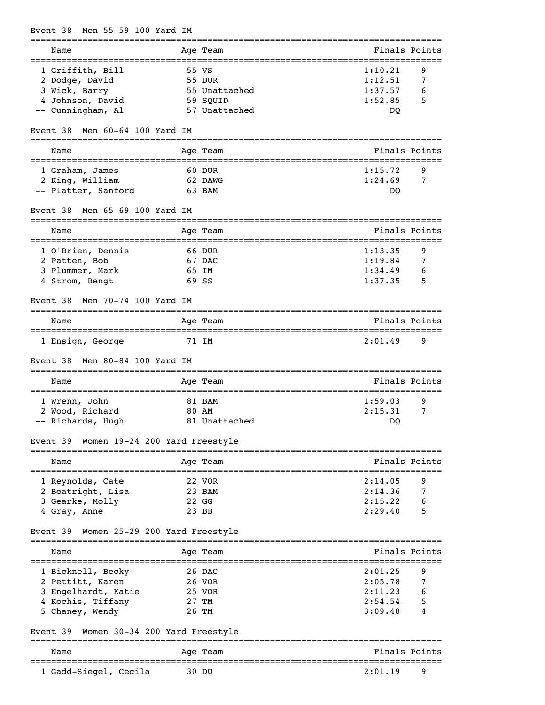| Men 55-59 100 Yard IM<br>Event 38                                     |                           |                                                        |
|-----------------------------------------------------------------------|---------------------------|--------------------------------------------------------|
| Name                                                                  | Age Team<br>------------- | Finals Points                                          |
| 1 Griffith, Bill                                                      | 55 VS                     | 1:10.21<br>9                                           |
| 2 Dodge, David                                                        | 55 DUR                    | 1:12.51<br>7                                           |
| 3 Wick, Barry                                                         | 55 Unattached             | 1:37.57<br>6                                           |
| 4 Johnson, David<br>-- Cunningham, Al                                 | 59 SQUID<br>57 Unattached | 1:52.85<br>5<br>DQ                                     |
|                                                                       |                           |                                                        |
| Men 60-64 100 Yard IM<br>Event 38                                     |                           |                                                        |
| Name<br>====================================                          | Age Team                  | Finals Points<br>===================================== |
| 1 Graham, James                                                       | 60 DUR                    | 1:15.72<br>9                                           |
| 2 King, William                                                       | 62 DAWG                   | 1:24.69<br>7                                           |
| -- Platter, Sanford                                                   | 63 BAM                    | DQ                                                     |
| Men 65-69 100 Yard IM<br>Event 38                                     | ------------              |                                                        |
| Name                                                                  | Age Team<br>============= | Finals Points                                          |
| 1 O'Brien, Dennis                                                     | 66 DUR                    | 9<br>1:13.35                                           |
| 2 Patten, Bob                                                         | 67 DAC                    | 1:19.84<br>7                                           |
| 3 Plummer, Mark                                                       | 65 IM                     | 1:34.49<br>6                                           |
| 4 Strom, Bengt                                                        | 69 SS                     | 1:37.35<br>5                                           |
| Men 70-74 100 Yard IM<br>Event 38                                     |                           |                                                        |
| Name                                                                  | Age Team                  | Finals Points                                          |
| 1 Ensign, George                                                      | 71 IM                     | 2:01.49<br>9                                           |
| Men 80-84 100 Yard IM<br>Event 38                                     |                           | ===============================                        |
| Name                                                                  | Age Team                  | Finals Points                                          |
| 1 Wrenn, John                                                         | 81 BAM                    | 9<br>1:59.03                                           |
| 2 Wood, Richard                                                       | 80 AM                     | 2:15.31<br>7                                           |
| -- Richards, Hugh                                                     | 81 Unattached             | DO                                                     |
| Women 19-24 200 Yard Freestyle<br>Event 39<br>----------------------- |                           |                                                        |
| Name                                                                  | Age Team                  | Finals Points                                          |
| 1 Reynolds, Cate                                                      | 22 VOR                    | 2:14.05<br>9                                           |
| 2 Boatright, Lisa                                                     | 23 BAM                    | 2:14.36<br>7                                           |
| 3 Gearke, Molly                                                       | $22 \text{ G}$            | 2:15.22<br>6                                           |
| 4 Gray, Anne                                                          | 23 BB                     | 2:29.40<br>5                                           |
| Women 25-29 200 Yard Freestyle<br>Event 39                            |                           |                                                        |
| Name                                                                  | Age Team                  | Finals Points<br>__________________________            |
| 1 Bicknell, Becky                                                     | 26 DAC                    | 2:01.25<br>9                                           |
| 2 Pettitt, Karen                                                      | 26 VOR                    | 2:05.78<br>7                                           |
| 3 Engelhardt, Katie                                                   | 25 VOR                    | 2:11.23                                                |
| 4 Kochis, Tiffany                                                     | 27 TM                     | 2:54.54<br>5                                           |
| 5 Chaney, Wendy                                                       | 26 TM                     | 3:09.48<br>4                                           |
| Event 39<br>Women 30-34 200 Yard Freestyle                            |                           |                                                        |
| Name                                                                  | Age Team                  | Finals Points<br>=========================             |
| 1 Gadd-Siegel, Cecila                                                 | 30 DU                     | 2:01.19<br>9                                           |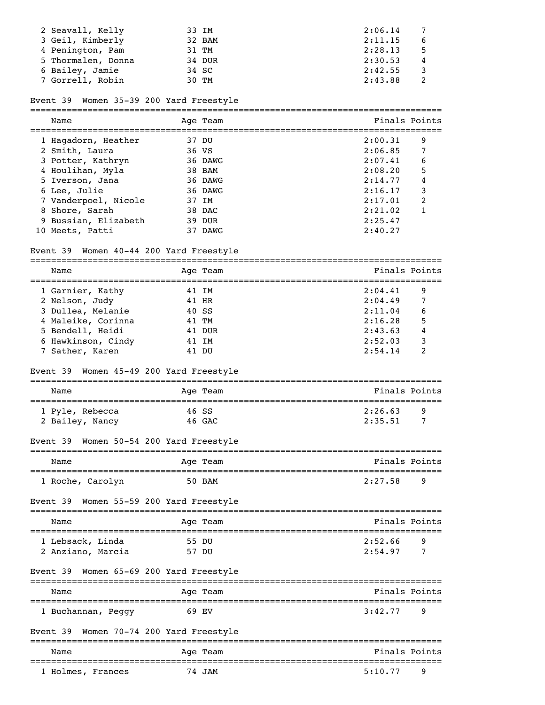| 2 Seavall, Kelly   | 33 IM  | 2:06.14<br>$\overline{7}$ |
|--------------------|--------|---------------------------|
| 3 Geil, Kimberly   | 32 BAM | 2:11.15<br>6              |
| 4 Penington, Pam   | 31 TM  | 2:28.13<br>.5             |
| 5 Thormalen, Donna | 34 DUR | 2:30.53<br>4              |
| 6 Bailey, Jamie    | 34 SC  | 2:42.55                   |
| 7 Gorrell, Robin   | 30 TM  | 2:43.88                   |

# Event 39 Women 35-39 200 Yard Freestyle

| Name                 | Age Team | Finals Points |   |
|----------------------|----------|---------------|---|
| 1 Hagadorn, Heather  | 37 DU    | 2:00.31       | 9 |
| 2 Smith, Laura       | 36 VS    | 2:06.85       | 7 |
| 3 Potter, Kathryn    | 36 DAWG  | 2:07.41       | 6 |
| 4 Houlihan, Myla     | 38 BAM   | 2:08.20       | 5 |
| 5 Iverson, Jana      | 36 DAWG  | 2:14.77       | 4 |
| 6 Lee, Julie         | 36 DAWG  | 2:16.17       | 3 |
| 7 Vanderpoel, Nicole | 37 IM    | 2:17.01       | 2 |
| 8 Shore, Sarah       | 38 DAC   | 2:21.02       |   |
| 9 Bussian, Elizabeth | 39 DUR   | 2:25.47       |   |
| 10 Meets, Patti      | DAWG     | 2:40.27       |   |

# Event 39 Women 40-44 200 Yard Freestyle

| Name                                       |              | Age Team | Finals Points                                           |   |
|--------------------------------------------|--------------|----------|---------------------------------------------------------|---|
| 1 Garnier, Kathy                           | 41 IM        |          | 2:04.41                                                 | 9 |
| 2 Nelson, Judy                             | 41 HR        |          | 2:04.49                                                 | 7 |
| 3 Dullea, Melanie                          | 40 SS        |          | 2:11.04                                                 | 6 |
| 4 Maleike, Corinna                         | 41 TM        |          | 2:16.28                                                 | 5 |
| 5 Bendell, Heidi                           |              | 41 DUR   | 2:43.63                                                 |   |
| 6 Hawkinson, Cindy                         | 41 IM        |          | 2:52.03                                                 | 3 |
| 7 Sather, Karen                            | 41 DU        |          | 2:54.14                                                 | 2 |
| Women 45-49 200 Yard Freestyle<br>Event 39 |              |          |                                                         |   |
| Name<br>----------------------             | ------------ | Age Team | Finals Points<br>===============================        |   |
| 1 Pyle, Rebecca                            | 46 SS        |          | 2:26.63                                                 | 9 |
| 2 Bailey, Nancy                            | 46 GAC       |          | 2:35.51                                                 | 7 |
| Women 50-54 200 Yard Freestyle<br>Event 39 |              |          |                                                         |   |
| Name                                       |              | Age Team | Finals Points                                           |   |
| 1 Roche, Carolyn                           |              | 50 BAM   | 2:27.58                                                 | 9 |
| Women 55-59 200 Yard Freestyle<br>Event 39 |              |          |                                                         |   |
| Name                                       |              | Age Team | Finals Points                                           |   |
| 1 Lebsack, Linda                           | 55 DU        |          | 2:52.66                                                 | 9 |
| 2 Anziano, Marcia                          | 57 DU        |          | 2:54.97                                                 | 7 |
| Women 65-69 200 Yard Freestyle<br>Event 39 |              |          |                                                         |   |
| Name                                       |              | Age Team | --------------------------------------<br>Finals Points |   |
| 1 Buchannan, Peggy                         | 69 EV        |          | 3:42.77                                                 | 9 |
| Women 70-74 200 Yard Freestyle<br>Event 39 |              |          |                                                         |   |
| Name                                       |              | Age Team | Finals Points                                           |   |
| 1 Holmes, Frances                          |              | 74 JAM   | 5:10.77                                                 | 9 |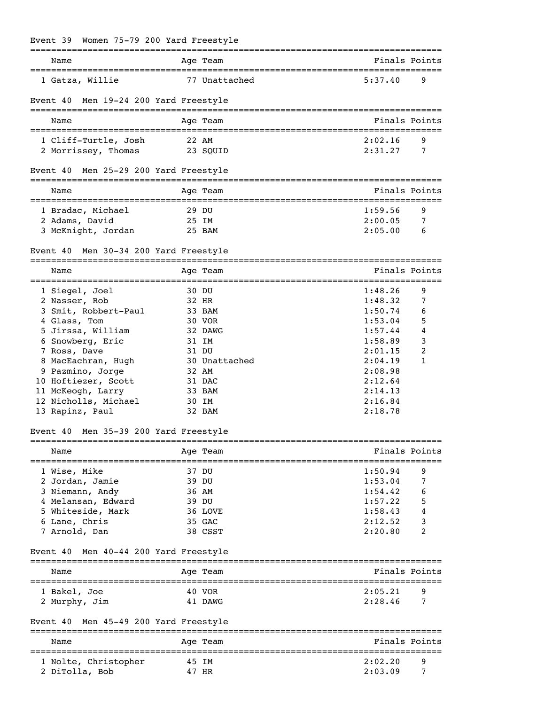|  |  |  | Event 39 Women 75-79 200 Yard Freestyle |
|--|--|--|-----------------------------------------|

| Name                                                                      |                | Age Team      |                    | Finals Points |
|---------------------------------------------------------------------------|----------------|---------------|--------------------|---------------|
| 1 Gatza, Willie                                                           |                | 77 Unattached | 5:37.40            | 9             |
| Event 40 Men 19-24 200 Yard Freestyle                                     |                |               |                    |               |
| Name                                                                      |                | Age Team      | Finals Points      |               |
| 1 Cliff-Turtle, Josh                                                      | 22 AM          |               | 2:02.16            | 9             |
| 2 Morrissey, Thomas                                                       |                | 23 SOUID      | 2:31.27            | 7             |
| Men 25-29 200 Yard Freestyle<br>Event 40                                  |                |               |                    |               |
| Name                                                                      |                | Age Team      | Finals Points      |               |
| 1 Bradac, Michael                                                         | 29 DU          |               | 1:59.56            | 9             |
| 2 Adams, David                                                            | 25 IM          |               | 2:00.05            | 7             |
| 3 McKnight, Jordan                                                        |                | 25 BAM        | 2:05.00            | 6             |
| Event 40 Men 30-34 200 Yard Freestyle                                     |                |               |                    |               |
| Name                                                                      |                | Age Team      | Finals Points      |               |
| 1 Siegel, Joel                                                            | 30 DU          |               | 1:48.26            | 9             |
| 2 Nasser, Rob                                                             | 32 HR          |               | 1:48.32            | 7             |
| 3 Smit, Robbert-Paul                                                      |                | 33 BAM        | 1:50.74            | 6             |
| 4 Glass, Tom                                                              | 30 VOR         |               | 1:53.04            | 5             |
| 5 Jirssa, William                                                         |                | 32 DAWG       | 1:57.44<br>1:58.89 | 4<br>3        |
| 6 Snowberg, Eric<br>7 Ross, Dave                                          | 31 IM<br>31 DU |               | 2:01.15            | 2             |
| 8 MacEachran, Hugh                                                        |                | 30 Unattached | 2:04.19            | $\mathbf{1}$  |
| 9 Pazmino, Jorge                                                          | 32 AM          |               | 2:08.98            |               |
| 10 Hoftiezer, Scott                                                       | 31 DAC         |               | 2:12.64            |               |
| 11 McKeogh, Larry                                                         |                | 33 BAM        | 2:14.13            |               |
| 12 Nicholls, Michael                                                      | 30 IM          |               | 2:16.84            |               |
| 13 Rapinz, Paul                                                           |                | 32 BAM        | 2:18.78            |               |
| Event 40 Men 35-39 200 Yard Freestyle                                     |                |               |                    |               |
| Name                                                                      | Age Team       |               |                    | Finals Points |
| ======================<br>1 Wise, Mike                                    | 37 DU          |               | 1:50.94            | 9             |
| 2 Jordan, Jamie                                                           | 39 DU          |               | 1:53.04            | 7             |
| 3 Niemann, Andy                                                           | 36 AM          |               | 1:54.42            | 6             |
| 4 Melansan, Edward                                                        | 39 DU          |               | 1:57.22            | 5             |
| 5 Whiteside, Mark                                                         |                | 36 LOVE       | 1:58.43            | 4             |
| 6 Lane, Chris                                                             | 35 GAC         |               | 2:12.52            | 3             |
| 7 Arnold, Dan                                                             |                | 38 CSST       | 2:20.80            | 2             |
| Event 40<br>Men 40-44 200 Yard Freestyle                                  |                |               |                    |               |
| Name                                                                      |                | Age Team      |                    | Finals Points |
| 1 Bakel, Joe                                                              |                | 40 VOR        | 2:05.21            | 9             |
| 2 Murphy, Jim                                                             |                | 41 DAWG       | 2:28.46            | 7             |
| Men 45-49 200 Yard Freestyle<br>Event 40<br>============================= |                |               |                    |               |
| Name                                                                      | Age Team       |               |                    | Finals Points |
| 1 Nolte, Christopher                                                      | 45 IM          |               | 2:02.20            | 9             |
| 2 DiTolla, Bob                                                            | 47 HR          |               | 2:03.09            | 7             |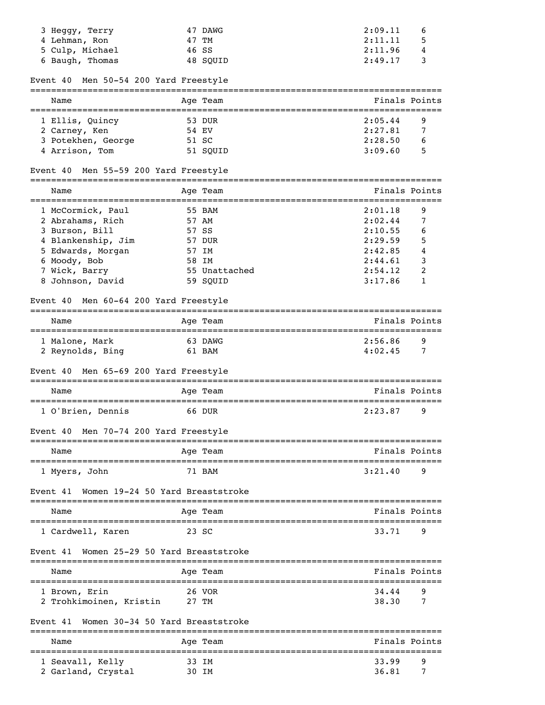| 3 Heggy, Terry<br>4 Lehman, Ron<br>5 Culp, Michael    | 47 DAWG<br>47 TM<br>46 SS     | 2:09.11<br>6<br>2:11.11<br>5<br>2:11.96<br>4 |
|-------------------------------------------------------|-------------------------------|----------------------------------------------|
| 6 Baugh, Thomas                                       | 48 SQUID                      | 2:49.17<br>3                                 |
| Men 50-54 200 Yard Freestyle<br>Event 40              |                               | ===============                              |
| Name<br>=================================             | Age Team                      | Finals Points<br>=========================   |
| 1 Ellis, Quincy                                       | 53 DUR                        | 2:05.44<br>9                                 |
| 2 Carney, Ken                                         | 54 EV                         | 2:27.81<br>7                                 |
| 3 Potekhen, George<br>4 Arrison, Tom                  | 51 SC<br>51 SQUID             | 2:28.50<br>6<br>3:09.60<br>5                 |
| Men 55-59 200 Yard Freestyle<br>Event 40              |                               |                                              |
| Name                                                  |                               | Finals Points                                |
|                                                       | Age Team                      |                                              |
| 1 McCormick, Paul                                     | 55 BAM                        | 2:01.18<br>9                                 |
| 2 Abrahams, Rich                                      | 57 AM                         | 2:02.44<br>7                                 |
| 3 Burson, Bill                                        | 57 SS                         | 2:10.55<br>6                                 |
| 4 Blankenship, Jim                                    | 57 DUR                        | 5<br>2:29.59                                 |
| 5 Edwards, Morgan                                     | 57 IM                         | 4<br>2:42.85                                 |
| 6 Moody, Bob                                          | 58 IM                         | 2:44.61<br>3                                 |
| 7 Wick, Barry                                         | 55 Unattached                 | 2<br>2:54.12                                 |
| 8 Johnson, David                                      | 59 SQUID                      | 3:17.86<br>1                                 |
| Men 60-64 200 Yard Freestyle<br>Event 40              |                               |                                              |
| Name                                                  | Age Team<br>================= | Finals Points<br>====================        |
| 1 Malone, Mark                                        | 63 DAWG                       | 2:56.86<br>9                                 |
| 2 Reynolds, Bing                                      | 61 BAM                        | 4:02.45<br>7                                 |
| Men 65-69 200 Yard Freestyle<br>Event 40              |                               |                                              |
| Name                                                  | Age Team                      | Finals Points                                |
| 1 O'Brien, Dennis                                     | 66 DUR                        | 2:23.87<br>9                                 |
| Men 70-74 200 Yard Freestyle<br>Event 40              |                               |                                              |
| ------------------------                              |                               |                                              |
| Name                                                  | Age Team                      | Finals Points                                |
| 1 Myers, John                                         | 71 BAM                        | 3:21.40<br>9                                 |
| Women 19-24 50 Yard Breaststroke<br>Event 41          | ================              |                                              |
| Name                                                  | Age Team                      | Finals Points                                |
| ================================<br>1 Cardwell, Karen | 23 SC                         | 33.71<br>9                                   |
| Women 25-29 50 Yard Breaststroke<br>Event 41          |                               |                                              |
| Name                                                  | -------------<br>Age Team     | Finals Points                                |
| ---------------------                                 | 26 VOR                        | 34.44<br>9                                   |
| 1 Brown, Erin<br>2 Trohkimoinen, Kristin              | 27 TM                         | 38.30<br>7                                   |
| Women 30-34 50 Yard Breaststroke<br>Event 41          |                               |                                              |
| Name                                                  | Age Team                      | Finals Points                                |
| 1 Seavall, Kelly                                      | 33 IM                         | 33.99<br>9                                   |
| 2 Garland, Crystal                                    | 30 IM                         | 36.81<br>7                                   |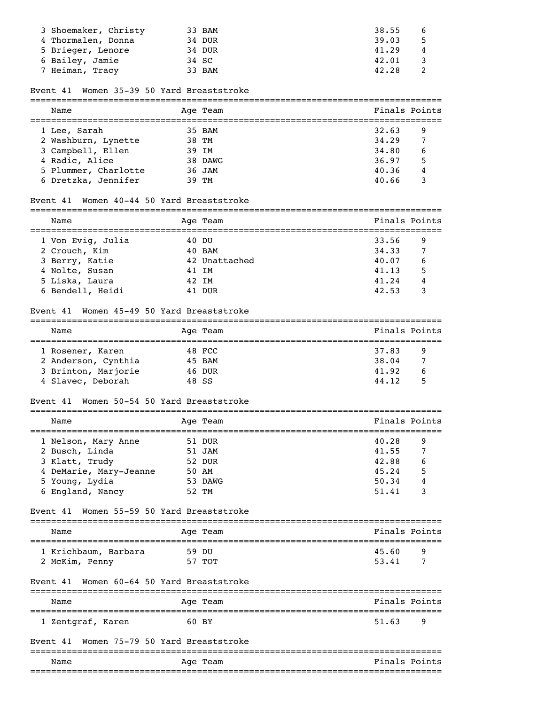| 3 Shoemaker, Christy | 33 BAM | 38.55<br>6  |
|----------------------|--------|-------------|
| 4 Thormalen, Donna   | 34 DUR | 39.03<br>-5 |
| 5 Brieger, Lenore    | 34 DUR | 41.29<br>4  |
| 6 Bailey, Jamie      | 34 SC  | 42.01       |
| 7 Heiman, Tracy      | 33 BAM | 42.28       |

# Event 41 Women 35-39 50 Yard Breaststroke

| Name                 | Age Team | Finals Points |   |
|----------------------|----------|---------------|---|
| 1 Lee, Sarah         | 35 BAM   | 32.63         | 9 |
| 2 Washburn, Lynette  | 38 TM    | 34.29         | 7 |
| 3 Campbell, Ellen    | 39 IM    | 34.80         | 6 |
| 4 Radic, Alice       | 38 DAWG  | 36.97         | 5 |
| 5 Plummer, Charlotte | 36 JAM   | 40.36         | 4 |
| 6 Dretzka, Jennifer  | 39 TM    | 40.66         |   |

# Event 41 Women 40-44 50 Yard Breaststroke

| _______ |            |                      |
|---------|------------|----------------------|
| Name    | Age<br>eam | PΟ<br>'ına⊥s<br>∍nt⊾ |

| 1 Von Evig, Julia | 40 DU         | 33.56 |   |
|-------------------|---------------|-------|---|
| 2 Crouch, Kim     | 40 BAM        | 34.33 |   |
| 3 Berry, Katie    | 42 Unattached | 40.07 |   |
| 4 Nolte, Susan    | 41 IM         | 41.13 | 5 |
| 5 Liska, Laura    | 42 IM         | 41.24 |   |
| 6 Bendell, Heidi  | 41 DUR        | 42.53 |   |

## Event 41 Women 45-49 50 Yard Breaststroke

| Name                | Age Team | Finals Points |
|---------------------|----------|---------------|
| 1 Rosener, Karen    | 48 FCC   | 37.83<br>9    |
| 2 Anderson, Cynthia | 45 BAM   | 38.04         |
| 3 Brinton, Marjorie | 46 DUR   | 41.92<br>6    |
| 4 Slavec, Deborah   | 48 SS    | 44.12<br>5    |

===============================================================================

#### Event 41 Women 50-54 50 Yard Breaststroke

| Name                   | Age Team | Finals Points |   |
|------------------------|----------|---------------|---|
| 1 Nelson, Mary Anne    | 51 DUR   | 40.28         | 9 |
| 2 Busch, Linda         | 51 JAM   | 41.55         | 7 |
| 3 Klatt, Trudy         | 52 DUR   | 42.88         | 6 |
| 4 DeMarie, Mary-Jeanne | 50 AM    | 45.24         | 5 |
| 5 Young, Lydia         | 53 DAWG  | 50.34         | 4 |
| 6 England, Nancy       | 52 TM    | 51.41         |   |

## Event 41 Women 55-59 50 Yard Breaststroke

| Name                 | Age Team | Finals Points |  |  |
|----------------------|----------|---------------|--|--|
| 1 Krichbaum, Barbara | 59 DU    | 45.60<br>q    |  |  |
| 2 McKim, Penny       | 57 TOT   | -<br>53.41    |  |  |

## Event 41 Women 60-64 50 Yard Breaststroke

| Name              | Aqe Team | Finals Points |
|-------------------|----------|---------------|
| 1 Zentgraf, Karen | 60 BY    | 51.63<br>- Q  |

## Event 41 Women 75-79 50 Yard Breaststroke

|      |             | ____________________________           |  |
|------|-------------|----------------------------------------|--|
| Name | Team<br>Age | Fina<br>Points<br>ls.<br>$\sim$ $\sim$ |  |
|      |             |                                        |  |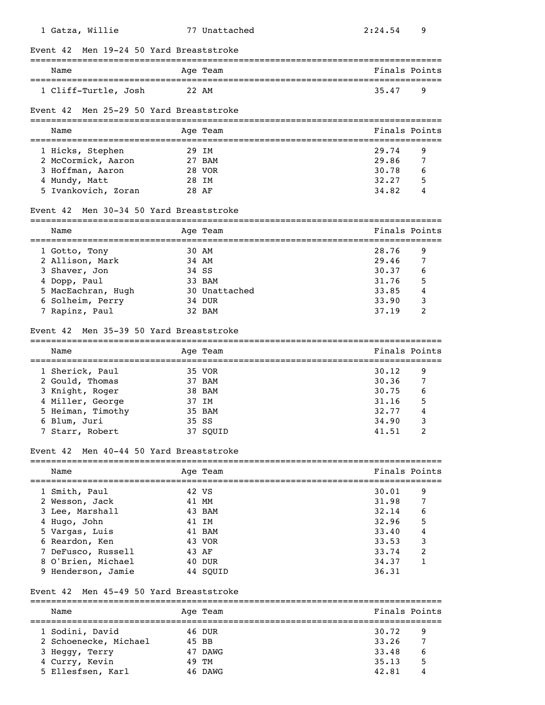| 1 Gatza, Willie                                                  |       | 77 Unattached                                    | 2:24.54                                         | 9 |
|------------------------------------------------------------------|-------|--------------------------------------------------|-------------------------------------------------|---|
| Men 19-24 50 Yard Breaststroke<br>Event 42                       |       |                                                  |                                                 |   |
| Name                                                             |       | Age Team<br>____________________________________ | Finals Points                                   |   |
| 1 Cliff-Turtle, Josh                                             | 22 AM |                                                  | 35.47                                           | 9 |
| Men 25-29 50 Yard Breaststroke<br>Event 42                       |       |                                                  |                                                 |   |
| Name                                                             |       | Age Team                                         | Finals Points                                   |   |
| 1 Hicks, Stephen                                                 | 29 IM |                                                  | 29.74                                           | 9 |
| 2 McCormick, Aaron                                               |       | 27 BAM                                           | 29.86                                           | 7 |
| 3 Hoffman, Aaron                                                 |       | 28 VOR                                           | 30.78                                           | 6 |
| 4 Mundy, Matt                                                    | 28 IM |                                                  | 32.27                                           | 5 |
| 5 Ivankovich, Zoran                                              | 28 AF |                                                  | 34.82                                           | 4 |
| Men 30-34 50 Yard Breaststroke<br>Event 42                       |       |                                                  |                                                 |   |
| Name<br>==================================                       |       | Age Team                                         | Finals Points<br>============================== |   |
| 1 Gotto, Tony                                                    | 30 AM |                                                  | 28.76                                           | 9 |
| 2 Allison, Mark                                                  | 34 AM |                                                  | 29.46                                           | 7 |
| 3 Shaver, Jon                                                    | 34 SS |                                                  | 30.37                                           | 6 |
| 4 Dopp, Paul                                                     |       | 33 BAM                                           | 31.76                                           | 5 |
| 5 MacEachran, Hugh                                               |       | 30 Unattached                                    | 33.85                                           | 4 |
| 6 Solheim, Perry                                                 |       | 34 DUR                                           | 33.90                                           | 3 |
| 7 Rapinz, Paul                                                   |       | 32 BAM                                           | 37.19                                           | 2 |
| Men 35-39 50 Yard Breaststroke<br>Event 42                       |       |                                                  |                                                 |   |
| Name                                                             |       | Age Team                                         | Finals Points                                   |   |
| 1 Sherick, Paul                                                  |       | 35 VOR                                           | 30.12                                           | 9 |
| 2 Gould, Thomas                                                  |       | 37 BAM                                           | 30.36                                           | 7 |
| 3 Knight, Roger                                                  |       | 38 BAM                                           | 30.75                                           | 6 |
| 4 Miller, George                                                 | 37 IM |                                                  | 31.16                                           | 5 |
| 5 Heiman, Timothy                                                |       | 35 BAM                                           | 32.77                                           | 4 |
| 6 Blum, Juri                                                     | 35 SS |                                                  | 34.90                                           | 3 |
| 7 Starr, Robert                                                  |       | 37 SQUID                                         | 41.51                                           | 2 |
| Men 40-44 50 Yard Breaststroke<br>Event 42                       |       |                                                  |                                                 |   |
|                                                                  |       |                                                  |                                                 |   |
| ;============<br>Name<br>======================                  |       | Age Team                                         | Finals Points                                   |   |
| 1 Smith, Paul                                                    | 42 VS |                                                  | 30.01                                           | 9 |
|                                                                  | 41 MM |                                                  | 31.98                                           | 7 |
| 2 Wesson, Jack                                                   |       | 43 BAM                                           | 32.14                                           | 6 |
| 3 Lee, Marshall                                                  | 41 IM |                                                  | 32.96                                           | 5 |
| 4 Hugo, John                                                     |       |                                                  |                                                 |   |
| 5 Vargas, Luis                                                   |       | 41 BAM                                           | 33.40                                           | 4 |
| 6 Reardon, Ken                                                   |       | 43 VOR                                           | 33.53                                           | 3 |
| 7 DeFusco, Russell                                               | 43 AF |                                                  | 33.74                                           | 2 |
| 8 O'Brien, Michael                                               |       | 40 DUR                                           | 34.37<br>36.31                                  | 1 |
| 9 Henderson, Jamie<br>Men 45-49 50 Yard Breaststroke<br>Event 42 |       | 44 SQUID                                         |                                                 |   |
| Name                                                             |       | Age Team                                         | Finals Points                                   |   |

=============================================================================== 1 Sodini, David 46 DUR 30.72 9 2 Schoenecke, Michael 45 BB 33.26 7<br>3 Heggy, Terry 47 DAWG 33.48 6 3 Heggy, Terry 47 DAWG 33.48 6 4 Curry, Kevin 49 TM 35.13 5 5 Ellesfsen, Karl 46 DAWG 42.81 4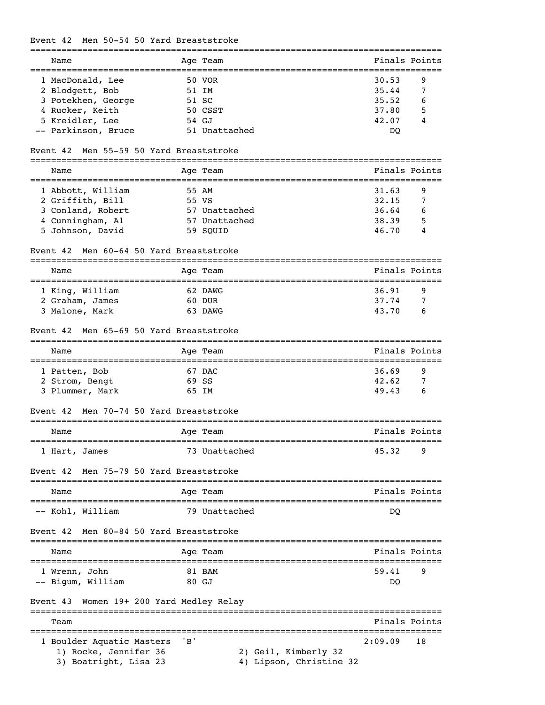# Event 42 Men 50-54 50 Yard Breaststroke

| Name                                           |       | Age Team                                                             | Finals Points                       |               |
|------------------------------------------------|-------|----------------------------------------------------------------------|-------------------------------------|---------------|
| 1 MacDonald, Lee                               |       | 50 VOR                                                               | 30.53                               | 9             |
| 2 Blodgett, Bob                                |       | 51 IM                                                                | 35.44                               | 7             |
| 3 Potekhen, George                             |       | 51 SC                                                                | 35.52                               | 6             |
| 4 Rucker, Keith                                |       | 50 CSST                                                              | 37.80                               | 5             |
| 5 Kreidler, Lee                                |       | 54 GJ                                                                | 42.07                               |               |
| -- Parkinson, Bruce                            |       | 51 Unattached                                                        | DQ                                  |               |
| Men 55-59 50 Yard Breaststroke<br>Event 42     |       |                                                                      |                                     |               |
| Name                                           |       | Age Team<br>===================================                      |                                     | Finals Points |
| 1 Abbott, William                              |       | 55 AM                                                                | 31.63                               | 9             |
| 2 Griffith, Bill                               |       | 55 VS                                                                | 32.15                               | 7             |
| 3 Conland, Robert                              |       | 57 Unattached                                                        | 36.64                               | 6             |
| 4 Cunningham, Al                               |       | 57 Unattached                                                        | 38.39                               | 5             |
| 5 Johnson, David                               |       | 59 SQUID                                                             | 46.70                               | 4             |
| Men 60-64 50 Yard Breaststroke<br>Event 42     |       |                                                                      |                                     |               |
| Name<br>====================                   |       | Age Team<br>===================<br>================================= | Finals Points                       |               |
| 1 King, William                                |       | 62 DAWG                                                              | 36.91                               | 9             |
| 2 Graham, James                                |       | 60 DUR                                                               | 37.74                               | 7             |
| 3 Malone, Mark                                 |       | 63 DAWG                                                              | 43.70                               | 6             |
| Men 65-69 50 Yard Breaststroke<br>Event 42     |       |                                                                      |                                     |               |
| Name                                           |       | Age Team                                                             | Finals Points                       |               |
| 1 Patten, Bob                                  |       | 67 DAC                                                               | 36.69                               | 9             |
| 2 Strom, Bengt                                 |       | 69 SS                                                                | 42.62                               | 7             |
| 3 Plummer, Mark                                |       | 65 IM                                                                | 49.43                               | 6             |
| Men 70-74 50 Yard Breaststroke<br>Event 42     |       |                                                                      |                                     |               |
| Name                                           |       | Age Team<br>;==========================                              | Finals Points<br>__________________ |               |
| 1 Hart, James                                  |       | 73 Unattached                                                        | 45.32                               | 9             |
| Men 75-79 50 Yard Breaststroke<br>Event 42     |       |                                                                      |                                     |               |
| Name                                           |       | Age Team                                                             | Finals Points                       |               |
| ___________________<br>-- Kohl, William        |       | 79 Unattached                                                        | DQ                                  |               |
| Men 80-84 50 Yard Breaststroke<br>Event 42     |       |                                                                      |                                     |               |
| Name                                           |       | Aqe Team                                                             |                                     | Finals Points |
| 1 Wrenn, John                                  |       | 81 BAM                                                               | 59.41                               | 9             |
| -- Bigum, William                              |       | 80 GJ                                                                | DQ                                  |               |
| Women 19+ 200 Yard Medley Relay<br>Event 43    |       |                                                                      |                                     |               |
| Team                                           |       |                                                                      |                                     | Finals Points |
| 1 Boulder Aquatic Masters                      | ' B ' |                                                                      | 2:09.09                             | 18            |
| 1) Rocke, Jennifer 36<br>3) Boatright, Lisa 23 |       | 2) Geil, Kimberly 32<br>4) Lipson, Christine 32                      |                                     |               |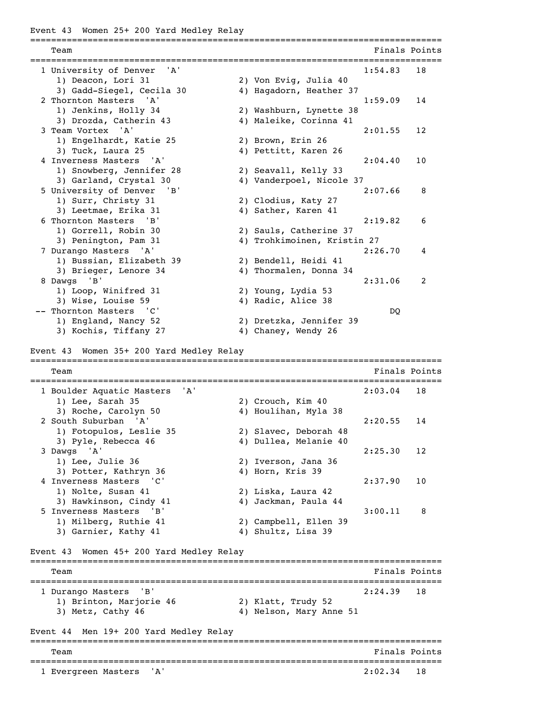Event 43 Women 25+ 200 Yard Medley Relay

=============================================================================== **Team** Finals Points **Properties Finals** Points **Properties Finals** Points =============================================================================== 1 University of Denver 'A' 1:54.83 18 1) Deacon, Lori 31 2) Von Evig, Julia 40 3) Gadd-Siegel, Cecila 30 4) Hagadorn, Heather 37 2 Thornton Masters 'A' 1:59.09 14 1) Jenkins, Holly 34 2) Washburn, Lynette 38 3) Drozda, Catherin 43 4) Maleike, Corinna 41 3 Team Vortex 'A' 2:01.55 12 1) Engelhardt, Katie 25 2) Brown, Erin 26 3) Tuck, Laura 25 4) Pettitt, Karen 26 4 Inverness Masters 'A' 2:04.40 10 1) Snowberg, Jennifer 28 2) Seavall, Kelly 33 3) Garland, Crystal 30 4) Vanderpoel, Nicole 37 5 University of Denver 'B' 2:07.66 8 1) Surr, Christy 31 2) Clodius, Katy 27 3) Leetmae, Erika 31 4) Sather, Karen 41 6 Thornton Masters 'B' 2:19.82 6 1) Gorrell, Robin 30 2) Sauls, Catherine 37 3) Penington, Pam 31 4) Trohkimoinen, Kristin 27 7 Durango Masters 'A' 2:26.70 4 1) Bussian, Elizabeth 39 2) Bendell, Heidi 41<br>3) Brieger Jones 34 30 Thermalen Donna 3) Brieger, Lenore 34 4) Thormalen, Donna 34 8 Dawgs 'B' 2:31.06 2 1) Loop, Winifred 31 2) Young, Lydia 53 3) Wise, Louise 59 4) Radic, Alice 38 -- Thornton Masters 'C' DQ 1) England, Nancy 52 2) Dretzka, Jennifer 39 3) Kochis, Tiffany 27 4) Chaney, Wendy 26 Event 43 Women 35+ 200 Yard Medley Relay =============================================================================== Team Finals Points =============================================================================== 1 Boulder Aquatic Masters 'A' 2:03.04 18 1) Lee, Sarah 35 2) Crouch, Kim 40 3) Roche, Carolyn 50 4) Houlihan, Myla 38 2 South Suburban 'A' 2:20.55 14 1) Fotopulos, Leslie 35 2) Slavec, Deborah 48 3) Pyle, Rebecca 46 4) Dullea, Melanie 40 3 Dawgs 'A' 2:25.30 12 1) Lee, Julie 36 2) Iverson, Jana 36 3) Potter, Kathryn 36 4) Horn, Kris 39 4 Inverness Masters 'C' 2:37.90 10 1) Nolte, Susan 41 2) Liska, Laura 42 3) Hawkinson, Cindy 41 4) Jackman, Paula 44 5 Inverness Masters 'B' 3:00.11 8 1) Milberg, Ruthie 41 2) Campbell, Ellen 39 3) Garnier, Kathy 41 4) Shultz, Lisa 39 Event 43 Women 45+ 200 Yard Medley Relay =============================================================================== Team Finals Points =============================================================================== 1 Durango Masters 'B' 2:24.39 18 1) Brinton, Marjorie 46 2) Klatt, Trudy 52 3) Metz, Cathy 46 4) Nelson, Mary Anne 51 Event 44 Men 19+ 200 Yard Medley Relay =============================================================================== Team Finals Points **Finals** Points **Finals** Points **Finals** Points =============================================================================== 1 Evergreen Masters 'A'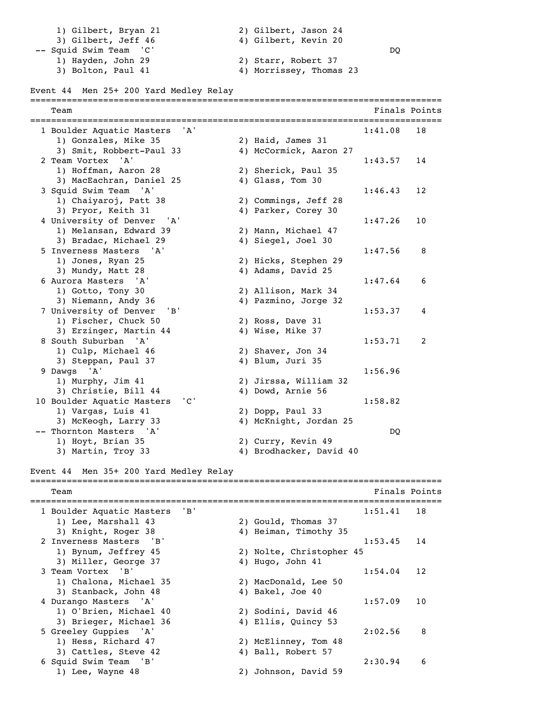1) Gilbert, Bryan 21 2) Gilbert, Jason 24 3) Gilbert, Jeff 46 4) Gilbert, Kevin 20 -- Squid Swim Team 'C' DQ 1) Hayden, John 29 2) Starr, Robert 37 3) Bolton, Paul 41 4) Morrissey, Thomas 23 Event 44 Men 25+ 200 Yard Medley Relay =============================================================================== Team Finals Points =============================================================================== 1 Boulder Aquatic Masters 'A' 1:41.08 18 1) Gonzales, Mike 35 2) Haid, James 31 3) Smit, Robbert-Paul 33 4) McCormick, Aaron 27 2 Team Vortex 'A' 1:43.57 14 1) Hoffman, Aaron 28 2) Sherick, Paul 35 3) MacEachran, Daniel 25 4) Glass, Tom 30 3 Squid Swim Team 'A' 1:46.43 12 1) Chaiyaroj, Patt 38 2) Commings, Jeff 28 3) Pryor, Keith 31 4) Parker, Corey 30 4 University of Denver 'A' 1:47.26 10 1) Melansan, Edward 39 2) Mann, Michael 47 3) Bradac, Michael 29 4) Siegel, Joel 30 5 Inverness Masters 'A' 1:47.56 8 1) Jones, Ryan 25 2) Hicks, Stephen 29 3) Mundy, Matt 28 4) Adams, David 25 6 Aurora Masters 'A' 1:47.64 6 1) Gotto, Tony 30 2) Allison, Mark 34 3) Niemann, Andy 36 4) Pazmino, Jorge 32 7 University of Denver 'B' 1:53.37 4 1) Fischer, Chuck 50 2) Ross, Dave 31 3) Erzinger, Martin 44 4) Wise, Mike 37 8 South Suburban 'A' 1:53.71 2 1) Culp, Michael 46 2) Shaver, Jon 34 3) Steppan, Paul 37 4) Blum, Juri 35 9 Dawgs 'A' 1:56.96 1) Murphy, Jim 41 2) Jirssa, William 32 3) Christie, Bill 44 4) Dowd, Arnie 56 10 Boulder Aquatic Masters 'C' 1:58.82 1) Vargas, Luis 41 2) Dopp, Paul 33 3) McKeogh, Larry 33 4) McKnight, Jordan 25 -- Thornton Masters 'A' DQ 1) Hoyt, Brian 35 2) Curry, Kevin 49 3) Martin, Troy 33 4) Brodhacker, David 40 Event 44 Men 35+ 200 Yard Medley Relay =============================================================================== Team Finals Points =============================================================================== 1 Boulder Aquatic Masters 'B' 1) Lee, Marshall 43 2) Gould, Thomas 37 3) Knight, Roger 38 4) Heiman, Timothy 35 2 Inverness Masters 'B' 1:53.45 14 1) Bynum, Jeffrey 45 2) Nolte, Christopher 45 3) Miller, George 37 4) Hugo, John 41 3 Team Vortex 'B' 1:54.04 12 1) Chalona, Michael 35 2) MacDonald, Lee 50 3) Stanback, John 48 4) Bakel, Joe 40 4 Durango Masters 'A' 1:57.09 10 1) O'Brien, Michael 40 2) Sodini, David 46<br>3) Brieger, Michael 36 4) Ellis, Quincy 53 3) Brieger, Michael 36 5 Greeley Guppies 'A' 2:02.56 8 1) Hess, Richard 47 2) McElinney, Tom 48 3) Cattles, Steve 42 4) Ball, Robert 57 6 Squid Swim Team 'B' 2:30.94 6 1) Lee, Wayne 48 2) Johnson, David 59